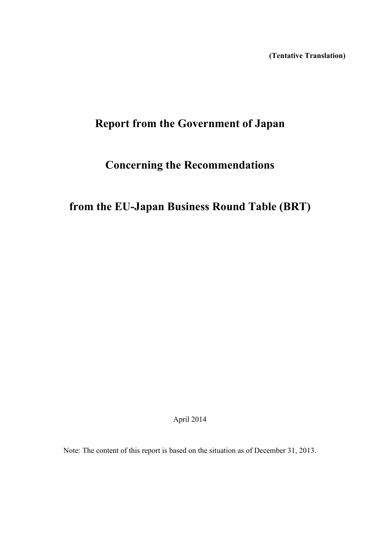**(Tentative Translation)**

# **Report from the Government of Japan**

# **Concerning the Recommendations**

**from the EU-Japan Business Round Table (BRT)**

April 2014

Note: The content of this report is based on the situation as of December 31, 2013.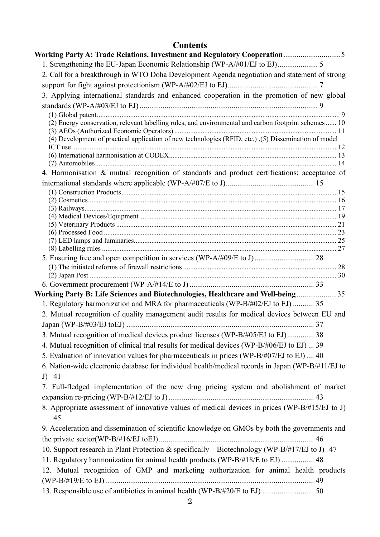# **Contents**

| Working Party A: Trade Relations, Investment and Regulatory Cooperation5                              |  |
|-------------------------------------------------------------------------------------------------------|--|
|                                                                                                       |  |
| 2. Call for a breakthrough in WTO Doha Development Agenda negotiation and statement of strong         |  |
|                                                                                                       |  |
| 3. Applying international standards and enhanced cooperation in the promotion of new global           |  |
|                                                                                                       |  |
|                                                                                                       |  |
| (2) Energy conservation, relevant labelling rules, and environmental and carbon footprint schemes  10 |  |
|                                                                                                       |  |
| (4) Development of practical application of new technologies (RFID, etc.), (5) Dissemination of model |  |
|                                                                                                       |  |
|                                                                                                       |  |
| 4. Harmonisation & mutual recognition of standards and product certifications; acceptance of          |  |
|                                                                                                       |  |
|                                                                                                       |  |
|                                                                                                       |  |
|                                                                                                       |  |
|                                                                                                       |  |
|                                                                                                       |  |
|                                                                                                       |  |
|                                                                                                       |  |
|                                                                                                       |  |
|                                                                                                       |  |
|                                                                                                       |  |
|                                                                                                       |  |
| Working Party B: Life Sciences and Biotechnologies, Healthcare and Well-being35                       |  |
| 1. Regulatory harmonization and MRA for pharmaceuticals (WP-B/#02/EJ to EJ)  35                       |  |
| 2. Mutual recognition of quality management audit results for medical devices between EU and          |  |
|                                                                                                       |  |
| 3. Mutual recognition of medical devices product licenses (WP-B/#05/EJ to EJ) 38                      |  |
| 4. Mutual recognition of clinical trial results for medical devices (WP-B/#06/EJ to EJ)  39           |  |
| 5. Evaluation of innovation values for pharmaceuticals in prices (WP-B/#07/EJ to EJ)  40              |  |
| 6. Nation-wide electronic database for individual health/medical records in Japan (WP-B/#11/EJ to     |  |
| $J)$ 41                                                                                               |  |
| 7. Full-fledged implementation of the new drug pricing system and abolishment of market               |  |
|                                                                                                       |  |
|                                                                                                       |  |
| 8. Appropriate assessment of innovative values of medical devices in prices (WP-B/#15/EJ to J)<br>45  |  |
| 9. Acceleration and dissemination of scientific knowledge on GMOs by both the governments and         |  |
|                                                                                                       |  |
| 10. Support research in Plant Protection & specifically Biotechnology (WP-B/#17/EJ to J) 47           |  |
| 11. Regulatory harmonization for animal health products (WP-B/#18/E to EJ)  48                        |  |
| 12. Mutual recognition of GMP and marketing authorization for animal health products                  |  |
|                                                                                                       |  |
|                                                                                                       |  |
|                                                                                                       |  |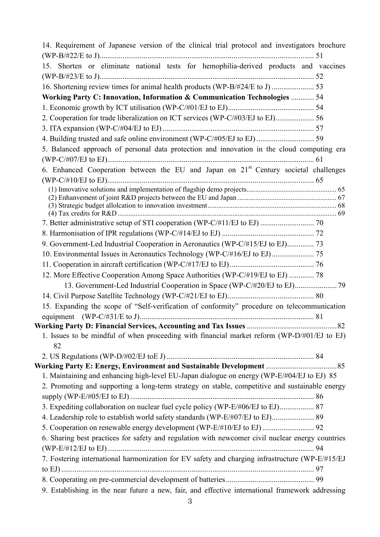| 14. Requirement of Japanese version of the clinical trial protocol and investigators brochure     |     |
|---------------------------------------------------------------------------------------------------|-----|
|                                                                                                   |     |
| 15. Shorten or eliminate national tests for hemophilia-derived products and vaccines              |     |
|                                                                                                   |     |
|                                                                                                   |     |
| Working Party C: Innovation, Information & Communication Technologies  54                         |     |
|                                                                                                   |     |
| 2. Cooperation for trade liberalization on ICT services (WP-C/#03/EJ to EJ) 56                    |     |
|                                                                                                   |     |
| 4. Building trusted and safe online environment (WP-C/#05/EJ to EJ)  59                           |     |
| 5. Balanced approach of personal data protection and innovation in the cloud computing era        |     |
|                                                                                                   |     |
| 6. Enhanced Cooperation between the EU and Japan on 21 <sup>st</sup> Century societal challenges  |     |
|                                                                                                   |     |
|                                                                                                   |     |
|                                                                                                   |     |
|                                                                                                   |     |
|                                                                                                   |     |
|                                                                                                   |     |
| 9. Government-Led Industrial Cooperation in Aeronautics (WP-C/#15/EJ to EJ) 73                    |     |
|                                                                                                   |     |
|                                                                                                   |     |
| 12. More Effective Cooperation Among Space Authorities (WP-C/#19/EJ to EJ)  78                    |     |
|                                                                                                   |     |
|                                                                                                   |     |
| 15. Expanding the scope of "Self-verification of conformity" procedure on telecommunication       |     |
|                                                                                                   |     |
|                                                                                                   | .82 |
| 1. Issues to be mindful of when proceeding with financial market reform (WP-D/#01/EJ to EJ)<br>82 |     |
|                                                                                                   |     |
|                                                                                                   |     |
| 1. Maintaining and enhancing high-level EU-Japan dialogue on energy (WP-E/#04/EJ to EJ) 85        |     |
| 2. Promoting and supporting a long-term strategy on stable, competitive and sustainable energy    |     |
|                                                                                                   |     |
| 3. Expediting collaboration on nuclear fuel cycle policy (WP-E/#06/EJ to EJ) 87                   |     |
| 4. Leadership role to establish world safety standards (WP-E/#07/EJ to EJ) 89                     |     |
|                                                                                                   |     |
| 6. Sharing best practices for safety and regulation with newcomer civil nuclear energy countries  |     |
|                                                                                                   |     |
| 7. Fostering international harmonization for EV safety and charging infrastructure (WP-E/#15/EJ   |     |
|                                                                                                   |     |
|                                                                                                   |     |
| 9. Establishing in the near future a new, fair, and effective international framework addressing  |     |
|                                                                                                   |     |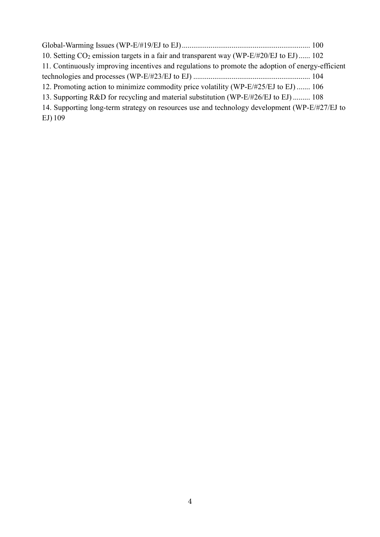| 10. Setting $CO_2$ emission targets in a fair and transparent way (WP-E/#20/EJ to EJ) 102         |  |
|---------------------------------------------------------------------------------------------------|--|
| 11. Continuously improving incentives and regulations to promote the adoption of energy-efficient |  |
|                                                                                                   |  |
| 12. Promoting action to minimize commodity price volatility (WP-E/#25/EJ to EJ)  106              |  |
| 13. Supporting R&D for recycling and material substitution (WP-E/#26/EJ to EJ)  108               |  |
| 14. Supporting long-term strategy on resources use and technology development (WP-E/#27/EJ to     |  |
| $EJ$ ) 109                                                                                        |  |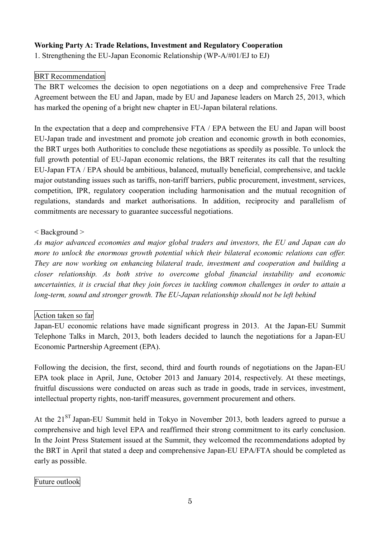## **Working Party A: Trade Relations, Investment and Regulatory Cooperation**

1. Strengthening the EU-Japan Economic Relationship (WP-A/#01/EJ to EJ)

## BRT Recommendation

The BRT welcomes the decision to open negotiations on a deep and comprehensive Free Trade Agreement between the EU and Japan, made by EU and Japanese leaders on March 25, 2013, which has marked the opening of a bright new chapter in EU-Japan bilateral relations.

In the expectation that a deep and comprehensive FTA / EPA between the EU and Japan will boost EU-Japan trade and investment and promote job creation and economic growth in both economies, the BRT urges both Authorities to conclude these negotiations as speedily as possible. To unlock the full growth potential of EU-Japan economic relations, the BRT reiterates its call that the resulting EU-Japan FTA / EPA should be ambitious, balanced, mutually beneficial, comprehensive, and tackle major outstanding issues such as tariffs, non-tariff barriers, public procurement, investment, services, competition, IPR, regulatory cooperation including harmonisation and the mutual recognition of regulations, standards and market authorisations. In addition, reciprocity and parallelism of commitments are necessary to guarantee successful negotiations.

### < Background >

*As major advanced economies and major global traders and investors, the EU and Japan can do more to unlock the enormous growth potential which their bilateral economic relations can offer. They are now working on enhancing bilateral trade, investment and cooperation and building a closer relationship. As both strive to overcome global financial instability and economic uncertainties, it is crucial that they join forces in tackling common challenges in order to attain a long-term, sound and stronger growth. The EU-Japan relationship should not be left behind*

### Action taken so far

Japan-EU economic relations have made significant progress in 2013. At the Japan-EU Summit Telephone Talks in March, 2013, both leaders decided to launch the negotiations for a Japan-EU Economic Partnership Agreement (EPA).

Following the decision, the first, second, third and fourth rounds of negotiations on the Japan-EU EPA took place in April, June, October 2013 and January 2014, respectively. At these meetings, fruitful discussions were conducted on areas such as trade in goods, trade in services, investment, intellectual property rights, non-tariff measures, government procurement and others.

At the 21<sup>ST</sup> Japan-EU Summit held in Tokyo in November 2013, both leaders agreed to pursue a comprehensive and high level EPA and reaffirmed their strong commitment to its early conclusion. In the Joint Press Statement issued at the Summit, they welcomed the recommendations adopted by the BRT in April that stated a deep and comprehensive Japan-EU EPA/FTA should be completed as early as possible.

### Future outlook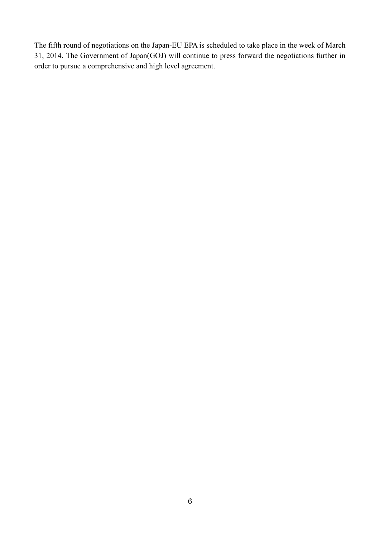The fifth round of negotiations on the Japan-EU EPA is scheduled to take place in the week of March 31, 2014. The Government of Japan(GOJ) will continue to press forward the negotiations further in order to pursue a comprehensive and high level agreement.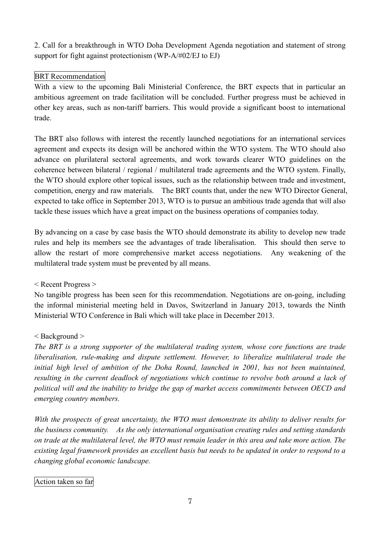2. Call for a breakthrough in WTO Doha Development Agenda negotiation and statement of strong support for fight against protectionism (WP-A/#02/EJ to EJ)

## BRT Recommendation

With a view to the upcoming Bali Ministerial Conference, the BRT expects that in particular an ambitious agreement on trade facilitation will be concluded. Further progress must be achieved in other key areas, such as non-tariff barriers. This would provide a significant boost to international trade.

The BRT also follows with interest the recently launched negotiations for an international services agreement and expects its design will be anchored within the WTO system. The WTO should also advance on plurilateral sectoral agreements, and work towards clearer WTO guidelines on the coherence between bilateral / regional / multilateral trade agreements and the WTO system. Finally, the WTO should explore other topical issues, such as the relationship between trade and investment, competition, energy and raw materials. The BRT counts that, under the new WTO Director General, expected to take office in September 2013, WTO is to pursue an ambitious trade agenda that will also tackle these issues which have a great impact on the business operations of companies today.

By advancing on a case by case basis the WTO should demonstrate its ability to develop new trade rules and help its members see the advantages of trade liberalisation. This should then serve to allow the restart of more comprehensive market access negotiations. Any weakening of the multilateral trade system must be prevented by all means.

< Recent Progress >

No tangible progress has been seen for this recommendation. Negotiations are on-going, including the informal ministerial meeting held in Davos, Switzerland in January 2013, towards the Ninth Ministerial WTO Conference in Bali which will take place in December 2013.

### < Background >

*The BRT is a strong supporter of the multilateral trading system, whose core functions are trade liberalisation, rule-making and dispute settlement. However, to liberalize multilateral trade the initial high level of ambition of the Doha Round, launched in 2001, has not been maintained, resulting in the current deadlock of negotiations which continue to revolve both around a lack of political will and the inability to bridge the gap of market access commitments between OECD and emerging country members.*

*With the prospects of great uncertainty, the WTO must demonstrate its ability to deliver results for the business community. As the only international organisation creating rules and setting standards* on trade at the multilateral level, the WTO must remain leader in this area and take more action. The existing legal framework provides an excellent basis but needs to be updated in order to respond to a *changing global economic landscape.*

### Action taken so far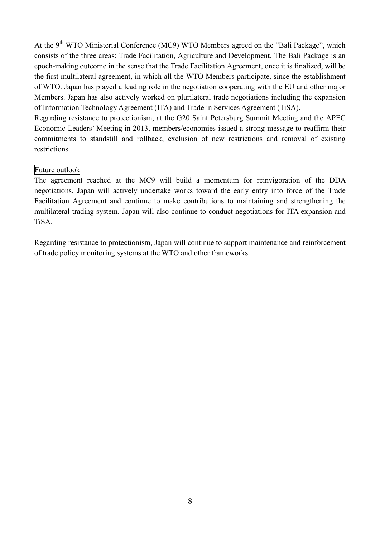At the 9<sup>th</sup> WTO Ministerial Conference (MC9) WTO Members agreed on the "Bali Package", which consists of the three areas: Trade Facilitation, Agriculture and Development. The Bali Package is an epoch-making outcome in the sense that the Trade Facilitation Agreement, once it is finalized, will be the first multilateral agreement, in which all the WTO Members participate, since the establishment of WTO. Japan has played a leading role in the negotiation cooperating with the EU and other major Members. Japan has also actively worked on plurilateral trade negotiations including the expansion of Information Technology Agreement (ITA) and Trade in Services Agreement (TiSA).

Regarding resistance to protectionism, at the G20 Saint Petersburg Summit Meeting and the APEC Economic Leaders' Meeting in 2013, members/economies issued a strong message to reaffirm their commitments to standstill and rollback, exclusion of new restrictions and removal of existing restrictions.

#### Future outlook

The agreement reached at the MC9 will build a momentum for reinvigoration of the DDA negotiations. Japan will actively undertake works toward the early entry into force of the Trade Facilitation Agreement and continue to make contributions to maintaining and strengthening the multilateral trading system. Japan will also continue to conduct negotiations for ITA expansion and TiSA.

Regarding resistance to protectionism, Japan will continue to support maintenance and reinforcement of trade policy monitoring systems at the WTO and other frameworks.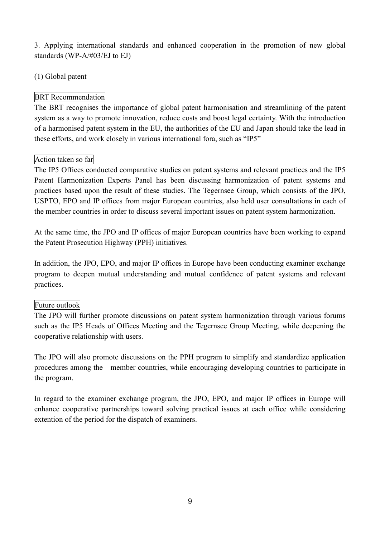3. Applying international standards and enhanced cooperation in the promotion of new global standards (WP-A/#03/EJ to EJ)

# (1) Global patent

# BRT Recommendation

The BRT recognises the importance of global patent harmonisation and streamlining of the patent system as a way to promote innovation, reduce costs and boost legal certainty. With the introduction of a harmonised patent system in the EU, the authorities of the EU and Japan should take the lead in these efforts, and work closely in various international fora, such as "IP5"

# Action taken so far

The IP5 Offices conducted comparative studies on patent systems and relevant practices and the IP5 Patent Harmonization Experts Panel has been discussing harmonization of patent systems and practices based upon the result of these studies. The Tegernsee Group, which consists of the JPO, USPTO, EPO and IP offices from major European countries, also held user consultations in each of the member countries in order to discuss several important issues on patent system harmonization.

At the same time, the JPO and IP offices of major European countries have been working to expand the Patent Prosecution Highway (PPH) initiatives.

In addition, the JPO, EPO, and major IP offices in Europe have been conducting examiner exchange program to deepen mutual understanding and mutual confidence of patent systems and relevant practices.

# Future outlook

The JPO will further promote discussions on patent system harmonization through various forums such as the IP5 Heads of Offices Meeting and the Tegernsee Group Meeting, while deepening the cooperative relationship with users.

The JPO will also promote discussions on the PPH program to simplify and standardize application procedures among the member countries, while encouraging developing countries to participate in the program.

In regard to the examiner exchange program, the JPO, EPO, and major IP offices in Europe will enhance cooperative partnerships toward solving practical issues at each office while considering extention of the period for the dispatch of examiners.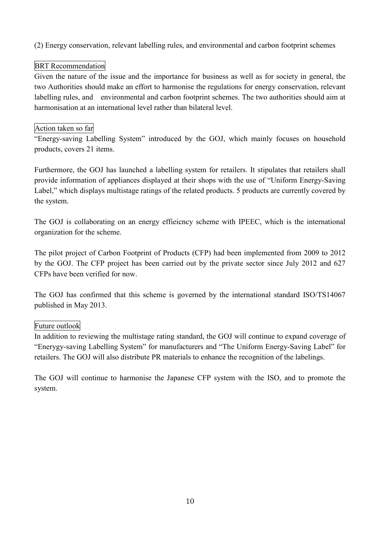(2) Energy conservation, relevant labelling rules, and environmental and carbon footprint schemes

# BRT Recommendation

Given the nature of the issue and the importance for business as well as for society in general, the two Authorities should make an effort to harmonise the regulations for energy conservation, relevant labelling rules, and environmental and carbon footprint schemes. The two authorities should aim at harmonisation at an international level rather than bilateral level.

# Action taken so far

"Energy-saving Labelling System" introduced by the GOJ, which mainly focuses on household products, covers 21 items.

Furthermore, the GOJ has launched a labelling system for retailers. It stipulates that retailers shall provide information of appliances displayed at their shops with the use of "Uniform Energy-Saving Label," which displays multistage ratings of the related products. 5 products are currently covered by the system.

The GOJ is collaborating on an energy effieicncy scheme with IPEEC, which is the international organization for the scheme.

The pilot project of Carbon Footprint of Products (CFP) had been implemented from 2009 to 2012 by the GOJ. The CFP project has been carried out by the private sector since July 2012 and 627 CFPs have been verified for now.

The GOJ has confirmed that this scheme is governed by the international standard ISO/TS14067 published in May 2013.

# Future outlook

In addition to reviewing the multistage rating standard, the GOJ will continue to expand coverage of "Enerygy-saving Labelling System" for manufacturers and "The Uniform Energy-Saving Label" for retailers. The GOJ will also distribute PR materials to enhance the recognition of the labelings.

The GOJ will continue to harmonise the Japanese CFP system with the ISO, and to promote the system.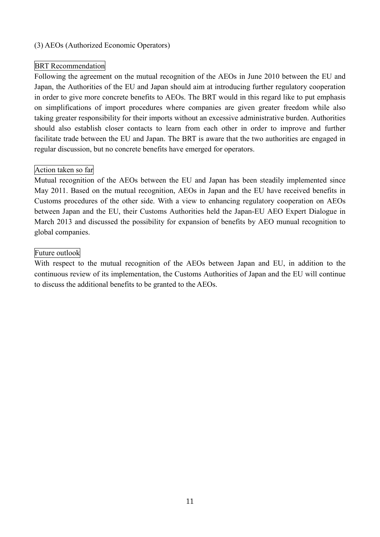## (3) AEOs (Authorized Economic Operators)

## BRT Recommendation

Following the agreement on the mutual recognition of the AEOs in June 2010 between the EU and Japan, the Authorities of the EU and Japan should aim at introducing further regulatory cooperation in order to give more concrete benefits to AEOs. The BRT would in this regard like to put emphasis on simplifications of import procedures where companies are given greater freedom while also taking greater responsibility for their imports without an excessive administrative burden. Authorities should also establish closer contacts to learn from each other in order to improve and further facilitate trade between the EU and Japan. The BRT is aware that the two authorities are engaged in regular discussion, but no concrete benefits have emerged for operators.

## Action taken so far

Mutual recognition of the AEOs between the EU and Japan has been steadily implemented since May 2011. Based on the mutual recognition, AEOs in Japan and the EU have received benefits in Customs procedures of the other side. With a view to enhancing regulatory cooperation on AEOs between Japan and the EU, their Customs Authorities held the Japan-EU AEO Expert Dialogue in March 2013 and discussed the possibility for expansion of benefits by AEO munual recognition to global companies.

### Future outlook

With respect to the mutual recognition of the AEOs between Japan and EU, in addition to the continuous review of its implementation, the Customs Authorities of Japan and the EU will continue to discuss the additional benefits to be granted to the AEOs.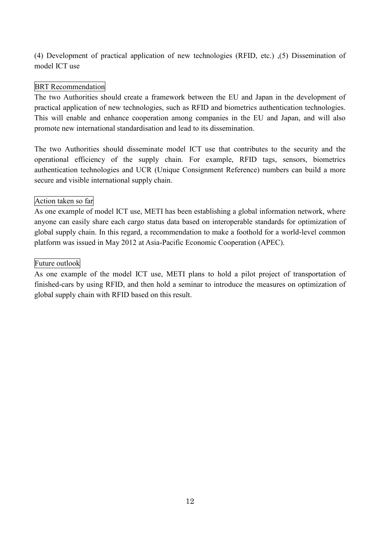(4) Development of practical application of new technologies (RFID, etc.) ,(5) Dissemination of model ICT use

### BRT Recommendation

The two Authorities should create a framework between the EU and Japan in the development of practical application of new technologies, such as RFID and biometrics authentication technologies. This will enable and enhance cooperation among companies in the EU and Japan, and will also promote new international standardisation and lead to its dissemination.

The two Authorities should disseminate model ICT use that contributes to the security and the operational efficiency of the supply chain. For example, RFID tags, sensors, biometrics authentication technologies and UCR (Unique Consignment Reference) numbers can build a more secure and visible international supply chain.

#### Action taken so far

As one example of model ICT use, METI has been establishing a global information network, where anyone can easily share each cargo status data based on interoperable standards for optimization of global supply chain. In this regard, a recommendation to make a foothold for a world-level common platform was issued in May 2012 at Asia-Pacific Economic Cooperation (APEC).

#### Future outlook

As one example of the model ICT use, METI plans to hold a pilot project of transportation of finished-cars by using RFID, and then hold a seminar to introduce the measures on optimization of global supply chain with RFID based on this result.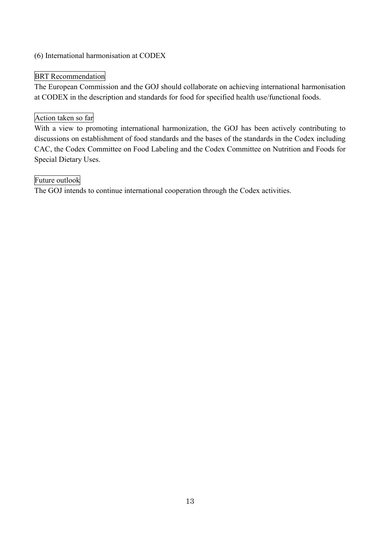## (6) International harmonisation at CODEX

# BRT Recommendation

The European Commission and the GOJ should collaborate on achieving international harmonisation at CODEX in the description and standards for food for specified health use/functional foods.

## Action taken so far

With a view to promoting international harmonization, the GOJ has been actively contributing to discussions on establishment of food standards and the bases of the standards in the Codex including CAC, the Codex Committee on Food Labeling and the Codex Committee on Nutrition and Foods for Special Dietary Uses.

## Future outlook

The GOJ intends to continue international cooperation through the Codex activities.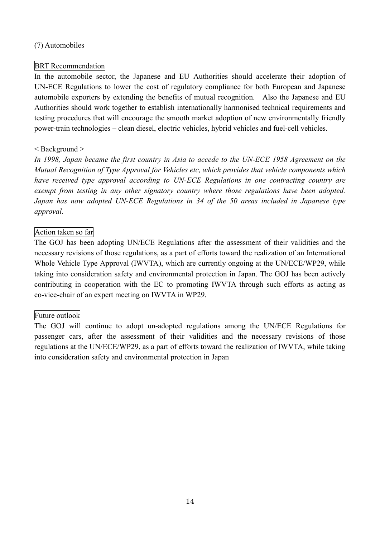## (7) Automobiles

## BRT Recommendation

In the automobile sector, the Japanese and EU Authorities should accelerate their adoption of UN-ECE Regulations to lower the cost of regulatory compliance for both European and Japanese automobile exporters by extending the benefits of mutual recognition. Also the Japanese and EU Authorities should work together to establish internationally harmonised technical requirements and testing procedures that will encourage the smooth market adoption of new environmentally friendly power-train technologies – clean diesel, electric vehicles, hybrid vehicles and fuel-cell vehicles.

## < Background >

*In 1998, Japan became the first country in Asia to accede to the UN-ECE 1958 Agreement on the Mutual Recognition of Type Approval for Vehicles etc, which provides that vehicle components which have received type approval according to UN-ECE Regulations in one contracting country are exempt from testing in any other signatory country where those regulations have been adopted. Japan has now adopted UN-ECE Regulations in 34 of the 50 areas included in Japanese type approval.*

## Action taken so far

The GOJ has been adopting UN/ECE Regulations after the assessment of their validities and the necessary revisions of those regulations, as a part of efforts toward the realization of an International Whole Vehicle Type Approval (IWVTA), which are currently ongoing at the UN/ECE/WP29, while taking into consideration safety and environmental protection in Japan. The GOJ has been actively contributing in cooperation with the EC to promoting IWVTA through such efforts as acting as co-vice-chair of an expert meeting on IWVTA in WP29.

# Future outlook

The GOJ will continue to adopt un-adopted regulations among the UN/ECE Regulations for passenger cars, after the assessment of their validities and the necessary revisions of those regulations at the UN/ECE/WP29, as a part of efforts toward the realization of IWVTA, while taking into consideration safety and environmental protection in Japan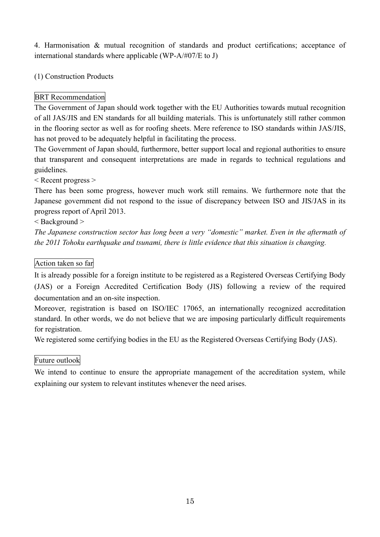4. Harmonisation & mutual recognition of standards and product certifications; acceptance of international standards where applicable (WP-A/#07/E to J)

(1) Construction Products

# BRT Recommendation

The Government of Japan should work together with the EU Authorities towards mutual recognition of all JAS/JIS and EN standards for all building materials. This is unfortunately still rather common in the flooring sector as well as for roofing sheets. Mere reference to ISO standards within JAS/JIS, has not proved to be adequately helpful in facilitating the process.

The Government of Japan should, furthermore, better support local and regional authorities to ensure that transparent and consequent interpretations are made in regards to technical regulations and guidelines.

< Recent progress >

There has been some progress, however much work still remains. We furthermore note that the Japanese government did not respond to the issue of discrepancy between ISO and JIS/JAS in its progress report of April 2013.

## < Background >

*The Japanese construction sector has long been a very "domestic" market. Even in the aftermath of the 2011 Tohoku earthquake and tsunami, there is little evidence that this situation is changing.*

### Action taken so far

It is already possible for a foreign institute to be registered as a Registered Overseas Certifying Body (JAS) or a Foreign Accredited Certification Body (JIS) following a review of the required documentation and an on-site inspection.

Moreover, registration is based on ISO/IEC 17065, an internationally recognized accreditation standard. In other words, we do not believe that we are imposing particularly difficult requirements for registration.

We registered some certifying bodies in the EU as the Registered Overseas Certifying Body (JAS).

# Future outlook

We intend to continue to ensure the appropriate management of the accreditation system, while explaining our system to relevant institutes whenever the need arises.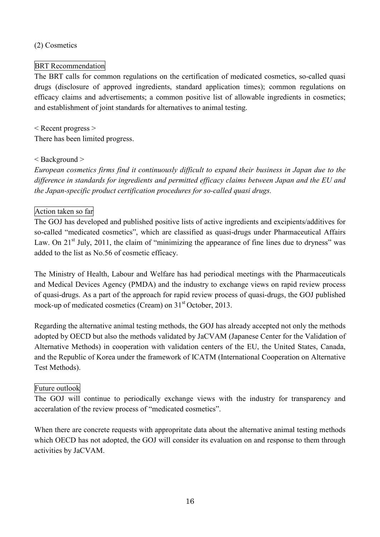## (2) Cosmetics

# BRT Recommendation

The BRT calls for common regulations on the certification of medicated cosmetics, so-called quasi drugs (disclosure of approved ingredients, standard application times); common regulations on efficacy claims and advertisements; a common positive list of allowable ingredients in cosmetics; and establishment of joint standards for alternatives to animal testing.

< Recent progress > There has been limited progress.

## < Background >

*European cosmetics firms find it continuously difficult to expand their business in Japan due to the difference in standards for ingredients and permitted efficacy claims between Japan and the EU and the Japan-specific product certification procedures for so-called quasi drugs.*

# Action taken so far

The GOJ has developed and published positive lists of active ingredients and excipients/additives for so-called "medicated cosmetics", which are classified as quasi-drugs under Pharmaceutical Affairs Law. On 21<sup>st</sup> July, 2011, the claim of "minimizing the appearance of fine lines due to dryness" was added to the list as No.56 of cosmetic efficacy.

The Ministry of Health, Labour and Welfare has had periodical meetings with the Pharmaceuticals and Medical Devices Agency (PMDA) and the industry to exchange views on rapid review process of quasi-drugs. As a part of the approach for rapid review process of quasi-drugs, the GOJ published mock-up of medicated cosmetics (Cream) on 31<sup>st</sup> October, 2013.

Regarding the alternative animal testing methods, the GOJ has already accepted not only the methods adopted by OECD but also the methods validated by JaCVAM (Japanese Center for the Validation of Alternative Methods) in cooperation with validation centers of the EU, the United States, Canada, and the Republic of Korea under the framework of ICATM (International Cooperation on Alternative Test Methods).

# Future outlook

The GOJ will continue to periodically exchange views with the industry for transparency and acceralation of the review process of "medicated cosmetics".

When there are concrete requests with appropritate data about the alternative animal testing methods which OECD has not adopted, the GOJ will consider its evaluation on and response to them through activities by JaCVAM.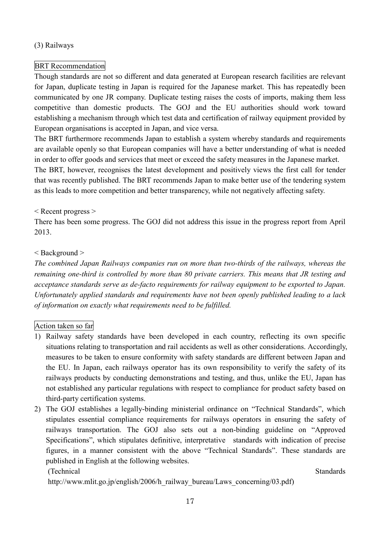## (3) Railways

# BRT Recommendation

Though standards are not so different and data generated at European research facilities are relevant for Japan, duplicate testing in Japan is required for the Japanese market. This has repeatedly been communicated by one JR company. Duplicate testing raises the costs of imports, making them less competitive than domestic products. The GOJ and the EU authorities should work toward establishing a mechanism through which test data and certification of railway equipment provided by European organisations is accepted in Japan, and vice versa.

The BRT furthermore recommends Japan to establish a system whereby standards and requirements are available openly so that European companies will have a better understanding of what is needed in order to offer goods and services that meet or exceed the safety measures in the Japanese market. The BRT, however, recognises the latest development and positively views the first call for tender that was recently published. The BRT recommends Japan to make better use of the tendering system as this leads to more competition and better transparency, while not negatively affecting safety.

## < Recent progress >

There has been some progress. The GOJ did not address this issue in the progress report from April 2013.

## < Background >

*The combined Japan Railways companies run on more than two-thirds of the railways, whereas the remaining one-third is controlled by more than 80 private carriers. This means that JR testing and acceptance standards serve as de-facto requirements for railway equipment to be exported to Japan. Unfortunately applied standards and requirements have not been openly published leading to a lack of information on exactly what requirements need to be fulfilled.*

# Action taken so far

- 1) Railway safety standards have been developed in each country, reflecting its own specific situations relating to transportation and rail accidents as well as other considerations. Accordingly, measures to be taken to ensure conformity with safety standards are different between Japan and the EU. In Japan, each railways operator has its own responsibility to verify the safety of its railways products by conducting demonstrations and testing, and thus, unlike the EU, Japan has not established any particular regulations with respect to compliance for product safety based on third-party certification systems.
- 2) The GOJ establishes a legally-binding ministerial ordinance on "Technical Standards", which stipulates essential compliance requirements for railways operators in ensuring the safety of railways transportation. The GOJ also sets out a non-binding guideline on "Approved Specifications", which stipulates definitive, interpretative standards with indication of precise figures, in a manner consistent with the above "Technical Standards". These standards are published in English at the following websites.

(Technical Standards)

http://www.mlit.go.jp/english/2006/h\_railway\_bureau/Laws\_concerning/03.pdf)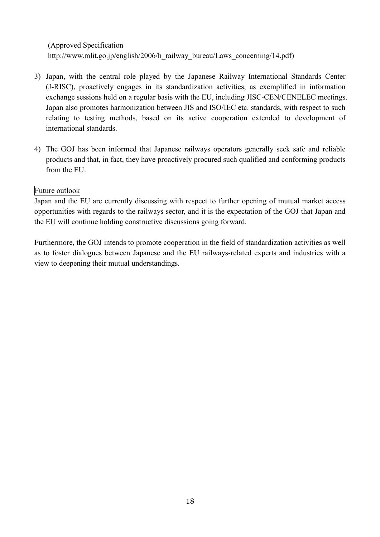(Approved Specification http://www.mlit.go.jp/english/2006/h\_railway\_bureau/Laws\_concerning/14.pdf)

- 3) Japan, with the central role played by the Japanese Railway International Standards Center (J-RISC), proactively engages in its standardization activities, as exemplified in information exchange sessions held on a regular basis with the EU, including JISC-CEN/CENELEC meetings. Japan also promotes harmonization between JIS and ISO/IEC etc. standards, with respect to such relating to testing methods, based on its active cooperation extended to development of international standards.
- 4) The GOJ has been informed that Japanese railways operators generally seek safe and reliable products and that, in fact, they have proactively procured such qualified and conforming products from the EU.

## Future outlook

Japan and the EU are currently discussing with respect to further opening of mutual market access opportunities with regards to the railways sector, and it is the expectation of the GOJ that Japan and the EU will continue holding constructive discussions going forward.

Furthermore, the GOJ intends to promote cooperation in the field of standardization activities as well as to foster dialogues between Japanese and the EU railways-related experts and industries with a view to deepening their mutual understandings.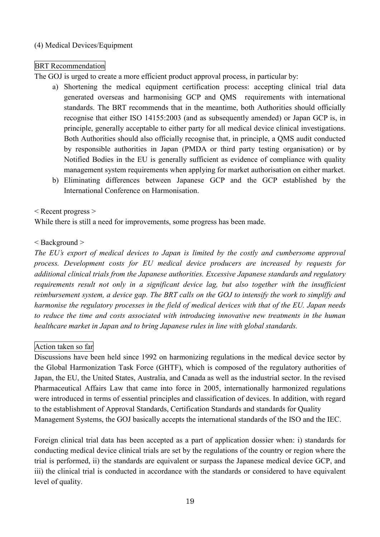## (4) Medical Devices/Equipment

# BRT Recommendation

The GOJ is urged to create a more efficient product approval process, in particular by:

- a) Shortening the medical equipment certification process: accepting clinical trial data generated overseas and harmonising GCP and QMS requirements with international standards. The BRT recommends that in the meantime, both Authorities should officially recognise that either ISO 14155:2003 (and as subsequently amended) or Japan GCP is, in principle, generally acceptable to either party for all medical device clinical investigations. Both Authorities should also officially recognise that, in principle, a QMS audit conducted by responsible authorities in Japan (PMDA or third party testing organisation) or by Notified Bodies in the EU is generally sufficient as evidence of compliance with quality management system requirements when applying for market authorisation on either market.
- b) Eliminating differences between Japanese GCP and the GCP established by the International Conference on Harmonisation.

## < Recent progress >

While there is still a need for improvements, some progress has been made.

## < Background >

*The EU's export of medical devices to Japan is limited by the costly and cumbersome approval process. Development costs for EU medical device producers are increased by requests for additional clinical trials from the Japanese authorities. Excessive Japanese standards and regulatory requirements result not only in a significant device lag, but also together with the insufficient reimbursement system, a device gap. The BRT calls on the GOJ to intensify the work to simplify and harmonise the regulatory processes in the field of medical devices with that of the EU. Japan needs to reduce the time and costs associated with introducing innovative new treatments in the human healthcare market in Japan and to bring Japanese rules in line with global standards.*

# Action taken so far

Discussions have been held since 1992 on harmonizing regulations in the medical device sector by the Global Harmonization Task Force (GHTF), which is composed of the regulatory authorities of Japan, the EU, the United States, Australia, and Canada as well as the industrial sector. In the revised Pharmaceutical Affairs Law that came into force in 2005, internationally harmonized regulations were introduced in terms of essential principles and classification of devices. In addition, with regard to the establishment of Approval Standards, Certification Standards and standards for Quality Management Systems, the GOJ basically accepts the international standards of the ISO and the IEC.

Foreign clinical trial data has been accepted as a part of application dossier when: i) standards for conducting medical device clinical trials are set by the regulations of the country or region where the trial is performed, ii) the standards are equivalent or surpass the Japanese medical device GCP, and iii) the clinical trial is conducted in accordance with the standards or considered to have equivalent level of quality.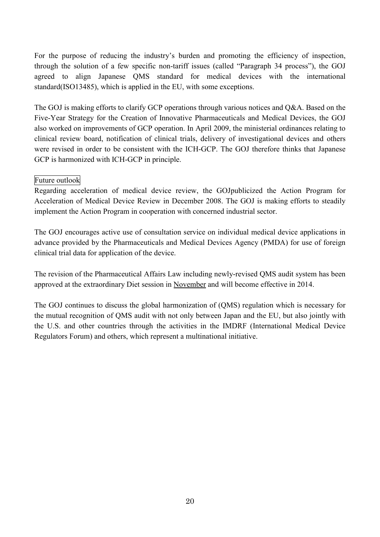For the purpose of reducing the industry's burden and promoting the efficiency of inspection, through the solution of a few specific non-tariff issues (called "Paragraph 34 process"), the GOJ agreed to align Japanese QMS standard for medical devices with the international standard(ISO13485), which is applied in the EU, with some exceptions.

The GOJ is making efforts to clarify GCP operations through various notices and Q&A. Based on the Five-Year Strategy for the Creation of Innovative Pharmaceuticals and Medical Devices, the GOJ also worked on improvements of GCP operation. In April 2009, the ministerial ordinances relating to clinical review board, notification of clinical trials, delivery of investigational devices and others were revised in order to be consistent with the ICH-GCP. The GOJ therefore thinks that Japanese GCP is harmonized with ICH-GCP in principle.

### Future outlook

Regarding acceleration of medical device review, the GOJpublicized the Action Program for Acceleration of Medical Device Review in December 2008. The GOJ is making efforts to steadily implement the Action Program in cooperation with concerned industrial sector.

The GOJ encourages active use of consultation service on individual medical device applications in advance provided by the Pharmaceuticals and Medical Devices Agency (PMDA) for use of foreign clinical trial data for application of the device.

The revision of the Pharmaceutical Affairs Law including newly-revised QMS audit system has been approved at the extraordinary Diet session in November and will become effective in 2014.

The GOJ continues to discuss the global harmonization of (QMS) regulation which is necessary for the mutual recognition of QMS audit with not only between Japan and the EU, but also jointly with the U.S. and other countries through the activities in the IMDRF (International Medical Device Regulators Forum) and others, which represent a multinational initiative.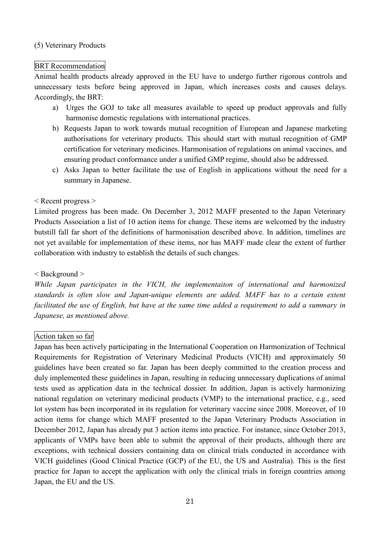#### (5) Veterinary Products

#### BRT Recommendation

Animal health products already approved in the EU have to undergo further rigorous controls and unnecessary tests before being approved in Japan, which increases costs and causes delays. Accordingly, the BRT:

- a) Urges the GOJ to take all measures available to speed up product approvals and fully harmonise domestic regulations with international practices.
- b) Requests Japan to work towards mutual recognition of European and Japanese marketing authorisations for veterinary products. This should start with mutual recognition of GMP certification for veterinary medicines. Harmonisation of regulations on animal vaccines, and ensuring product conformance under a unified GMP regime, should also be addressed.
- c) Asks Japan to better facilitate the use of English in applications without the need for a summary in Japanese.

#### < Recent progress >

Limited progress has been made. On December 3, 2012 MAFF presented to the Japan Veterinary Products Association a list of 10 action items for change. These items are welcomed by the industry butstill fall far short of the definitions of harmonisation described above. In addition, timelines are not yet available for implementation of these items, nor has MAFF made clear the extent of further collaboration with industry to establish the details of such changes.

#### < Background >

*While Japan participates in the VICH, the implementaiton of international and harmonized standards is often slow and Japan-unique elements are added. MAFF has to a certain extent* facilitated the use of English, but have at the same time added a requirement to add a summary in *Japanese, as mentioned above.*

### Action taken so far

Japan has been actively participating in the International Cooperation on Harmonization of Technical Requirements for Registration of Veterinary Medicinal Products (VICH) and approximately 50 guidelines have been created so far. Japan has been deeply committed to the creation process and duly implemented these guidelines in Japan, resulting in reducing unnecessary duplications of animal tests used as application data in the technical dossier. In addition, Japan is actively harmonizing national regulation on veterinary medicinal products (VMP) to the international practice, e.g., seed lot system has been incorporated in its regulation for veterinary vaccine since 2008. Moreover, of 10 action items for change which MAFF presented to the Japan Veterinary Products Association in December 2012, Japan has already put 3 action items into practice. For instance, since October 2013, applicants of VMPs have been able to submit the approval of their products, although there are exceptions, with technical dossiers containing data on clinical trials conducted in accordance with VICH guidelines (Good Clinical Practice (GCP) of the EU, the US and Australia). This is the first practice for Japan to accept the application with only the clinical trials in foreign countries among Japan, the EU and the US.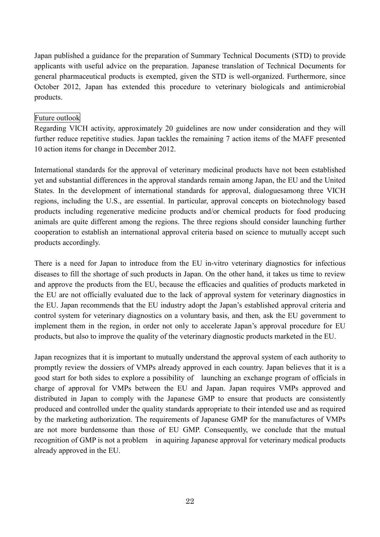Japan published a guidance for the preparation of Summary Technical Documents (STD) to provide applicants with useful advice on the preparation. Japanese translation of Technical Documents for general pharmaceutical products is exempted, given the STD is well-organized. Furthermore, since October 2012, Japan has extended this procedure to veterinary biologicals and antimicrobial products.

#### Future outlook

Regarding VICH activity, approximately 20 guidelines are now under consideration and they will further reduce repetitive studies. Japan tackles the remaining 7 action items of the MAFF presented 10 action items for change in December 2012.

International standards for the approval of veterinary medicinal products have not been established yet and substantial differences in the approval standards remain among Japan, the EU and the United States. In the development of international standards for approval, dialoguesamong three VICH regions, including the U.S., are essential. In particular, approval concepts on biotechnology based products including regenerative medicine products and/or chemical products for food producing animals are quite different among the regions. The three regions should consider launching further cooperation to establish an international approval criteria based on science to mutually accept such products accordingly.

There is a need for Japan to introduce from the EU in-vitro veterinary diagnostics for infectious diseases to fill the shortage of such products in Japan. On the other hand, it takes us time to review and approve the products from the EU, because the efficacies and qualities of products marketed in the EU are not officially evaluated due to the lack of approval system for veterinary diagnostics in the EU. Japan recommends that the EU industry adopt the Japan's established approval criteria and control system for veterinary diagnostics on a voluntary basis, and then, ask the EU government to implement them in the region, in order not only to accelerate Japan's approval procedure for EU products, but also to improve the quality of the veterinary diagnostic products marketed in the EU.

Japan recognizes that it is important to mutually understand the approval system of each authority to promptly review the dossiers of VMPs already approved in each country. Japan believes that it is a good start for both sides to explore a possibility of launching an exchange program of officials in charge of approval for VMPs between the EU and Japan. Japan requires VMPs approved and distributed in Japan to comply with the Japanese GMP to ensure that products are consistently produced and controlled under the quality standards appropriate to their intended use and as required by the marketing authorization. The requirements of Japanese GMP for the manufactures of VMPs are not more burdensome than those of EU GMP. Consequently, we conclude that the mutual recognition of GMP is not a problem in aquiring Japanese approval for veterinary medical products already approved in the EU.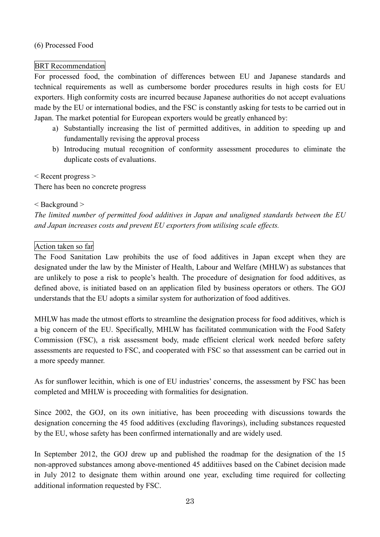### (6) Processed Food

### BRT Recommendation

For processed food, the combination of differences between EU and Japanese standards and technical requirements as well as cumbersome border procedures results in high costs for EU exporters. High conformity costs are incurred because Japanese authorities do not accept evaluations made by the EU or international bodies, and the FSC is constantly asking for tests to be carried out in Japan. The market potential for European exporters would be greatly enhanced by:

- a) Substantially increasing the list of permitted additives, in addition to speeding up and fundamentally revising the approval process
- b) Introducing mutual recognition of conformity assessment procedures to eliminate the duplicate costs of evaluations.

< Recent progress > There has been no concrete progress

#### < Background >

*The limited number of permitted food additives in Japan and unaligned standards between the EU and Japan increases costs and prevent EU exporters from utilising scale effects.*

### Action taken so far

The Food Sanitation Law prohibits the use of food additives in Japan except when they are designated under the law by the Minister of Health, Labour and Welfare (MHLW) as substances that are unlikely to pose a risk to people's health. The procedure of designation for food additives, as defined above, is initiated based on an application filed by business operators or others. The GOJ understands that the EU adopts a similar system for authorization of food additives.

MHLW has made the utmost efforts to streamline the designation process for food additives, which is a big concern of the EU. Specifically, MHLW has facilitated communication with the Food Safety Commission (FSC), a risk assessment body, made efficient clerical work needed before safety assessments are requested to FSC, and cooperated with FSC so that assessment can be carried out in a more speedy manner.

As for sunflower lecithin, which is one of EU industries' concerns, the assessment by FSC has been completed and MHLW is proceeding with formalities for designation.

Since 2002, the GOJ, on its own initiative, has been proceeding with discussions towards the designation concerning the 45 food additives (excluding flavorings), including substances requested by the EU, whose safety has been confirmed internationally and are widely used.

In September 2012, the GOJ drew up and published the roadmap for the designation of the 15 non-approved substances among above-mentioned 45 additiives based on the Cabinet decision made in July 2012 to designate them within around one year, excluding time required for collecting additional information requested by FSC.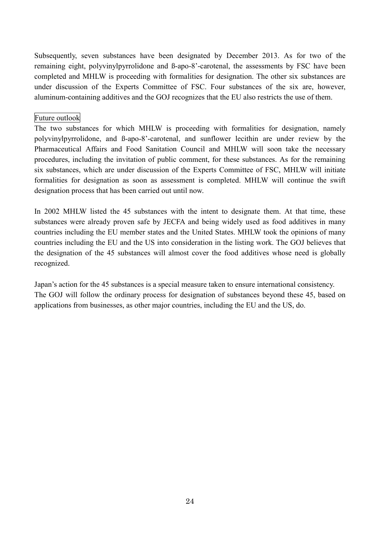Subsequently, seven substances have been designated by December 2013. As for two of the remaining eight, polyvinylpyrrolidone and ß-apo-8'-carotenal, the assessments by FSC have been completed and MHLW is proceeding with formalities for designation. The other six substances are under discussion of the Experts Committee of FSC. Four substances of the six are, however, aluminum-containing additives and the GOJ recognizes that the EU also restricts the use of them.

#### Future outlook

The two substances for which MHLW is proceeding with formalities for designation, namely polyvinylpyrrolidone, and ß-apo-8'-carotenal, and sunflower lecithin are under review by the Pharmaceutical Affairs and Food Sanitation Council and MHLW will soon take the necessary procedures, including the invitation of public comment, for these substances. As for the remaining six substances, which are under discussion of the Experts Committee of FSC, MHLW will initiate formalities for designation as soon as assessment is completed. MHLW will continue the swift designation process that has been carried out until now.

In 2002 MHLW listed the 45 substances with the intent to designate them. At that time, these substances were already proven safe by JECFA and being widely used as food additives in many countries including the EU member states and the United States. MHLW took the opinions of many countries including the EU and the US into consideration in the listing work. The GOJ believes that the designation of the 45 substances will almost cover the food additives whose need is globally recognized.

Japan's action for the 45 substances is a special measure taken to ensure international consistency. The GOJ will follow the ordinary process for designation of substances beyond these 45, based on applications from businesses, as other major countries, including the EU and the US, do.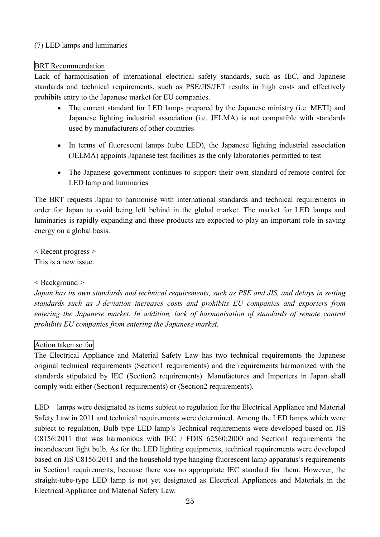## (7) LED lamps and luminaries

## BRT Recommendation

Lack of harmonisation of international electrical safety standards, such as IEC, and Japanese standards and technical requirements, such as PSE/JIS/JET results in high costs and effectively prohibits entry to the Japanese market for EU companies.

- The current standard for LED lamps prepared by the Japanese ministry (i.e. METI) and Japanese lighting industrial association (i.e. JELMA) is not compatible with standards used by manufacturers of other countries
- In terms of fluorescent lamps (tube LED), the Japanese lighting industrial association (JELMA) appoints Japanese test facilities as the only laboratories permitted to test
- The Japanese government continues to support their own standard of remote control for LED lamp and luminaries

The BRT requests Japan to harmonise with international standards and technical requirements in order for Japan to avoid being left behind in the global market. The market for LED lamps and luminaries is rapidly expanding and these products are expected to play an important role in saving energy on a global basis.

< Recent progress > This is a new issue.

# < Background >

*Japan has its own standards and technical requirements, such as PSE and JIS, and delays in setting standards such as J-deviation increases costs and prohibits EU companies and exporters from entering the Japanese market. In addition, lack of harmonisation of standards of remote control prohibits EU companies from entering the Japanese market.*

# Action taken so far

The Electrical Appliance and Material Safety Law has two technical requirements the Japanese original technical requirements (Section1 requirements) and the requirements harmonized with the standards stipulated by IEC (Section2 requirements). Manufactures and Importers in Japan shall comply with either (Section1 requirements) or (Section2 requirements).

LED lamps were designated as items subject to regulation for the Electrical Appliance and Material Safety Law in 2011 and technical requirements were determined. Among the LED lamps which were subject to regulation, Bulb type LED lamp's Technical requirements were developed based on JIS C8156:2011 that was harmonious with IEC / FDIS 62560:2000 and Section1 requirements the incandescent light bulb. As for the LED lighting equipments, technical requirements were developed based on JIS C8156:2011 and the household type hanging fluorescent lamp apparatus's requirements in Section1 requirements, because there was no appropriate IEC standard for them. However, the straight-tube-type LED lamp is not yet designated as Electrical Appliances and Materials in the Electrical Appliance and Material Safety Law.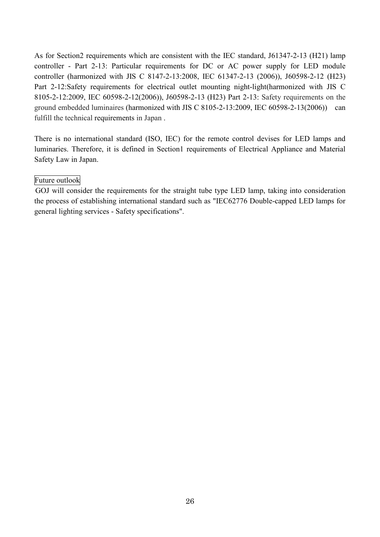As for Section2 requirements which are consistent with the IEC standard, J61347-2-13 (H21) lamp controller - Part 2-13: Particular requirements for DC or AC power supply for LED module controller (harmonized with JIS C 8147-2-13:2008, IEC 61347-2-13 (2006)), J60598-2-12 (H23) Part 2-12:Safety requirements for electrical outlet mounting night-light(harmonized with JIS C 8105-2-12:2009, IEC 60598-2-12(2006)), J60598-2-13 (H23) Part 2-13: Safety requirements on the ground embedded luminaires (harmonized with JIS C 8105-2-13:2009, IEC 60598-2-13(2006)) can fulfill the technical requirements in Japan .

There is no international standard (ISO, IEC) for the remote control devises for LED lamps and luminaries. Therefore, it is defined in Section1 requirements of Electrical Appliance and Material Safety Law in Japan.

#### Future outlook

GOJ will consider the requirements for the straight tube type LED lamp, taking into consideration the process of establishing international standard such as "IEC62776 Double-capped LED lamps for general lighting services - Safety specifications".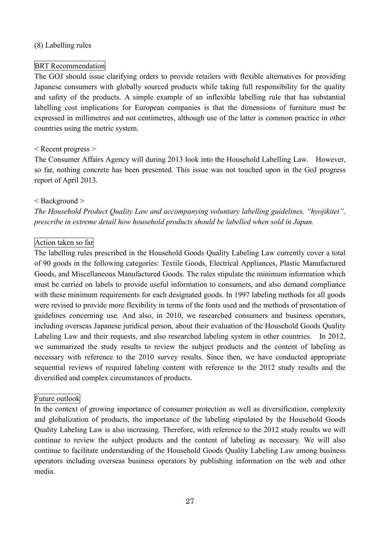#### (8) Labelling rules

#### BRT Recommendation

The GOJ should issue clarifying orders to provide retailers with flexible alternatives for providing Japanese consumers with globally sourced products while taking full responsibility for the quality and safety of the products. A simple example of an inflexible labelling rule that has substantial labelling cost implications for European companies is that the dimensions of furniture must be expressed in millimetres and not centimetres, although use of the latter is common practice in other countries using the metric system.

#### < Recent progress >

The Consumer Affairs Agency will during 2013 look into the Household Labelling Law. However, so far, nothing concrete has been presented. This issue was not touched upon in the GoJ progress report of April 2013.

#### < Background >

*The Household Product Quality Law and accompanying voluntary labelling guidelines, "hyojikitei", prescribe in extreme detail how household products should be labelled when sold in Japan.*

### Action taken so far

The labelling rules prescribed in the Household Goods Quality Labeling Law currently cover a total of 90 goods in the following categories: Textile Goods, Electrical Appliances, Plastic Manufactured Goods, and Miscellaneous Manufactured Goods. The rules stipulate the minimum information which must be carried on labels to provide useful information to consumers, and also demand compliance with these minimum requirements for each designated goods. In 1997 labeling methods for all goods were revised to provide more flexibility in terms of the fonts used and the methods of presentation of guidelines concerning use. And also, in 2010, we researched consumers and business operators, including overseas Japanese juridical person, about their evaluation of the Household Goods Quality Labeling Law and their requests, and also researched labeling system in other countries. In 2012, we summarized the study results to review the subject products and the content of labeling as necessary with reference to the 2010 survey results. Since then, we have conducted appropriate sequential reviews of required labeling content with reference to the 2012 study results and the diversified and complex circumstances of products.

### Future outlook

In the context of growing importance of consumer protection as well as diversification, complexity and globalization of products, the importance of the labeling stipulated by the Household Goods Quality Labeling Law is also increasing. Therefore, with reference to the 2012 study results we will continue to review the subject products and the content of labeling as necessary. We will also continue to facilitate understanding of the Household Goods Quality Labeling Law among business operators including overseas business operators by publishing information on the web and other media.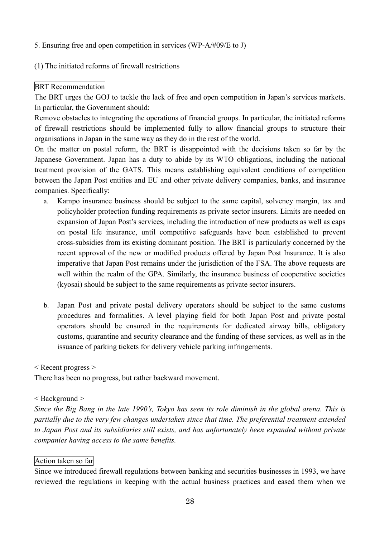### 5. Ensuring free and open competition in services (WP-A/#09/E to J)

## (1) The initiated reforms of firewall restrictions

## BRT Recommendation

The BRT urges the GOJ to tackle the lack of free and open competition in Japan's services markets. In particular, the Government should:

Remove obstacles to integrating the operations of financial groups. In particular, the initiated reforms of firewall restrictions should be implemented fully to allow financial groups to structure their organisations in Japan in the same way as they do in the rest of the world.

On the matter on postal reform, the BRT is disappointed with the decisions taken so far by the Japanese Government. Japan has a duty to abide by its WTO obligations, including the national treatment provision of the GATS. This means establishing equivalent conditions of competition between the Japan Post entities and EU and other private delivery companies, banks, and insurance companies. Specifically:

- a. Kampo insurance business should be subject to the same capital, solvency margin, tax and policyholder protection funding requirements as private sector insurers. Limits are needed on expansion of Japan Post's services, including the introduction of new products as well as caps on postal life insurance, until competitive safeguards have been established to prevent cross-subsidies from its existing dominant position. The BRT is particularly concerned by the recent approval of the new or modified products offered by Japan Post Insurance. It is also imperative that Japan Post remains under the jurisdiction of the FSA. The above requests are well within the realm of the GPA. Similarly, the insurance business of cooperative societies (kyosai) should be subject to the same requirements as private sector insurers.
- b. Japan Post and private postal delivery operators should be subject to the same customs procedures and formalities. A level playing field for both Japan Post and private postal operators should be ensured in the requirements for dedicated airway bills, obligatory customs, quarantine and security clearance and the funding of these services, as well as in the issuance of parking tickets for delivery vehicle parking infringements.

< Recent progress >

There has been no progress, but rather backward movement.

# < Background >

Since the Big Bang in the late 1990's, Tokyo has seen its role diminish in the global arena. This is *partially due to the very few changes undertaken since that time. The preferential treatment extended to Japan Post and its subsidiaries still exists, and has unfortunately been expanded without private companies having access to the same benefits.*

# Action taken so far

Since we introduced firewall regulations between banking and securities businesses in 1993, we have reviewed the regulations in keeping with the actual business practices and eased them when we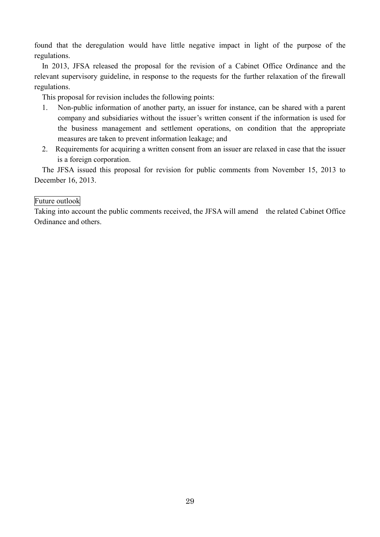found that the deregulation would have little negative impact in light of the purpose of the regulations.

In 2013, JFSA released the proposal for the revision of a Cabinet Office Ordinance and the relevant supervisory guideline, in response to the requests for the further relaxation of the firewall regulations.

This proposal for revision includes the following points:

- 1. Non-public information of another party, an issuer for instance, can be shared with a parent company and subsidiaries without the issuer's written consent if the information is used for the business management and settlement operations, on condition that the appropriate measures are taken to prevent information leakage; and
- 2. Requirements for acquiring a written consent from an issuer are relaxed in case that the issuer is a foreign corporation.

The JFSA issued this proposal for revision for public comments from November 15, 2013 to December 16, 2013.

### Future outlook

Taking into account the public comments received, the JFSA will amend the related Cabinet Office Ordinance and others.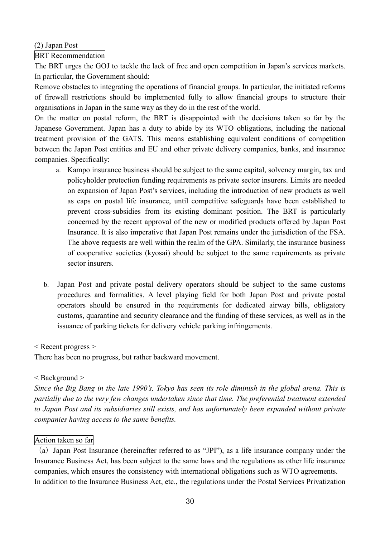## (2) Japan Post

## BRT Recommendation

The BRT urges the GOJ to tackle the lack of free and open competition in Japan's services markets. In particular, the Government should:

Remove obstacles to integrating the operations of financial groups. In particular, the initiated reforms of firewall restrictions should be implemented fully to allow financial groups to structure their organisations in Japan in the same way as they do in the rest of the world.

On the matter on postal reform, the BRT is disappointed with the decisions taken so far by the Japanese Government. Japan has a duty to abide by its WTO obligations, including the national treatment provision of the GATS. This means establishing equivalent conditions of competition between the Japan Post entities and EU and other private delivery companies, banks, and insurance companies. Specifically:

- a. Kampo insurance business should be subject to the same capital, solvency margin, tax and policyholder protection funding requirements as private sector insurers. Limits are needed on expansion of Japan Post's services, including the introduction of new products as well as caps on postal life insurance, until competitive safeguards have been established to prevent cross-subsidies from its existing dominant position. The BRT is particularly concerned by the recent approval of the new or modified products offered by Japan Post Insurance. It is also imperative that Japan Post remains under the jurisdiction of the FSA. The above requests are well within the realm of the GPA. Similarly, the insurance business of cooperative societies (kyosai) should be subject to the same requirements as private sector insurers.
- b. Japan Post and private postal delivery operators should be subject to the same customs procedures and formalities. A level playing field for both Japan Post and private postal operators should be ensured in the requirements for dedicated airway bills, obligatory customs, quarantine and security clearance and the funding of these services, as well as in the issuance of parking tickets for delivery vehicle parking infringements.

### < Recent progress >

There has been no progress, but rather backward movement.

### < Background >

Since the Big Bang in the late 1990's, Tokyo has seen its role diminish in the global arena. This is *partially due to the very few changes undertaken since that time. The preferential treatment extended to Japan Post and its subsidiaries still exists, and has unfortunately been expanded without private companies having access to the same benefits.*

#### Action taken so far

(a)Japan Post Insurance (hereinafter referred to as "JPI"), as a life insurance company under the Insurance Business Act, has been subject to the same laws and the regulations as other life insurance companies, which ensures the consistency with international obligations such as WTO agreements. In addition to the Insurance Business Act, etc., the regulations under the Postal Services Privatization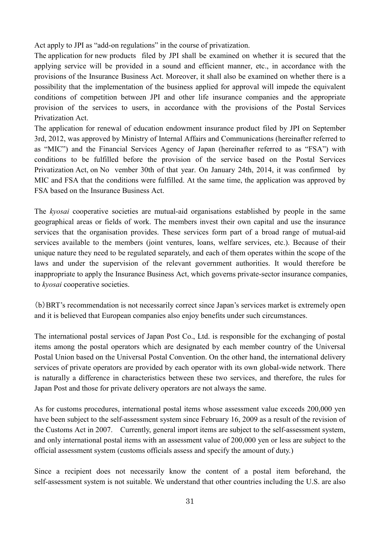Act apply to JPI as "add-on regulations" in the course of privatization.

The application for new products filed by JPI shall be examined on whether it is secured that the applying service will be provided in a sound and efficient manner, etc., in accordance with the provisions of the Insurance Business Act. Moreover, it shall also be examined on whether there is a possibility that the implementation of the business applied for approval will impede the equivalent conditions of competition between JPI and other life insurance companies and the appropriate provision of the services to users, in accordance with the provisions of the Postal Services Privatization Act.

The application for renewal of education endowment insurance product filed by JPI on September 3rd, 2012, was approved by Ministry of Internal Affairs and Communications (hereinafter referred to as "MIC") and the Financial Services Agency of Japan (hereinafter referred to as "FSA") with conditions to be fulfilled before the provision of the service based on the Postal Services Privatization Act, on No vember 30th of that year. On January 24th, 2014, it was confirmed by MIC and FSA that the conditions were fulfilled. At the same time, the application was approved by FSA based on the Insurance Business Act.

The *kyosai* cooperative societies are mutual-aid organisations established by people in the same geographical areas or fields of work. The members invest their own capital and use the insurance services that the organisation provides. These services form part of a broad range of mutual-aid services available to the members (joint ventures, loans, welfare services, etc.). Because of their unique nature they need to be regulated separately, and each of them operates within the scope of the laws and under the supervision of the relevant government authorities. It would therefore be inappropriate to apply the Insurance Business Act, which governs private-sector insurance companies, to *kyosai* cooperative societies.

(b)BRT's recommendation is not necessarily correct since Japan's services market is extremely open and it is believed that European companies also enjoy benefits under such circumstances.

The international postal services of Japan Post Co., Ltd. is responsible for the exchanging of postal items among the postal operators which are designated by each member country of the Universal Postal Union based on the Universal Postal Convention. On the other hand, the international delivery services of private operators are provided by each operator with its own global-wide network. There is naturally a difference in characteristics between these two services, and therefore, the rules for Japan Post and those for private delivery operators are not always the same.

As for customs procedures, international postal items whose assessment value exceeds 200,000 yen have been subject to the self-assessment system since February 16, 2009 as a result of the revision of the Customs Act in 2007. Currently, general import items are subject to the self-assessment system, and only international postal items with an assessment value of 200,000 yen or less are subject to the official assessment system (customs officials assess and specify the amount of duty.)

Since a recipient does not necessarily know the content of a postal item beforehand, the self-assessment system is not suitable. We understand that other countries including the U.S. are also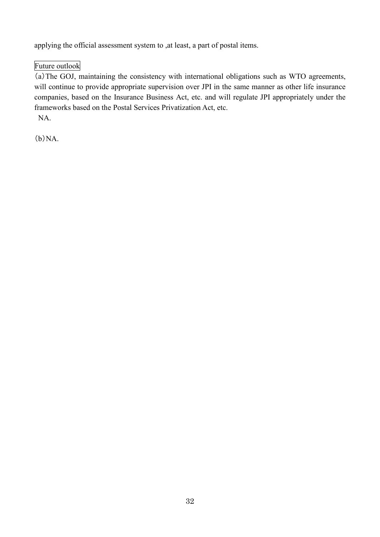applying the official assessment system to ,at least, a part of postal items.

# Future outlook

(a)The GOJ, maintaining the consistency with international obligations such as WTO agreements, will continue to provide appropriate supervision over JPI in the same manner as other life insurance companies, based on the Insurance Business Act, etc. and will regulate JPI appropriately under the frameworks based on the Postal Services Privatization Act, etc. NA.

 $(b)NA$ .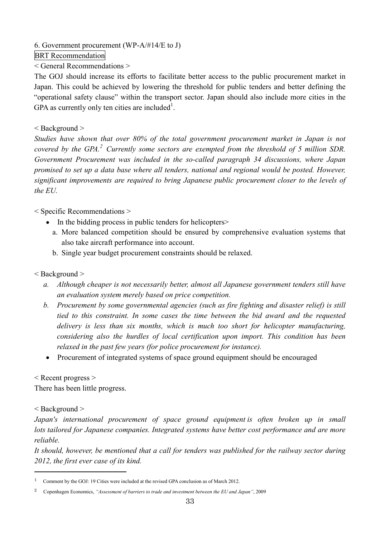6. Government procurement (WP-A/#14/E to J)

BRT Recommendation

< General Recommendations >

The GOJ should increase its efforts to facilitate better access to the public procurement market in Japan. This could be achieved by lowering the threshold for public tenders and better defining the "operational safety clause" within the transport sector. Japan should also include more cities in the GPA as currently only ten cities are included<sup>1</sup>.

## < Background >

*Studies have shown that over 80% of the total government procurement market in Japan is not covered by the GPA. <sup>2</sup> Currently some sectors are exempted from the threshold of 5 million SDR. Government Procurement was included in the so-called paragraph 34 discussions, where Japan promised to set up a data base where all tenders, national and regional would be posted. However, significant improvements are required to bring Japanese public procurement closer to the levels of the EU.*

< Specific Recommendations >

- In the bidding process in public tenders for helicopters
	- a. More balanced competition should be ensured by comprehensive evaluation systems that also take aircraft performance into account.
	- b. Single year budget procurement constraints should be relaxed.

# < Background >

- *a. Although cheaper is not necessarily better, almost all Japanese government tenders still have an evaluation system merely based on price competition.*
- *b. Procurement by some governmental agencies (such as fire fighting and disaster relief) is still tied to this constraint. In some cases the time between the bid award and the requested delivery is less than six months, which is much too short for helicopter manufacturing, considering also the hurdles of local certification upon import. This condition has been relaxed in the past few years (for police procurement for instance).*
- Procurement of integrated systems of space ground equipment should be encouraged  $\bullet$

< Recent progress >

There has been little progress.

< Background >

*Japan's international procurement of space ground equipment is often broken up in small lots tailored for Japanese companies. Integrated systems have better cost performance and are more reliable.*

*It should, however, be mentioned that a call for tenders was published for the railway sector during 2012, the first ever case of its kind.*

<sup>1</sup> Comment by the GOJ: 19 Cities were included at the revised GPA conclusion as of March 2012.

<sup>2</sup> Copenhagen Economics, *"Assessment of barriers to trade and investment between the EU and Japan"*, 2009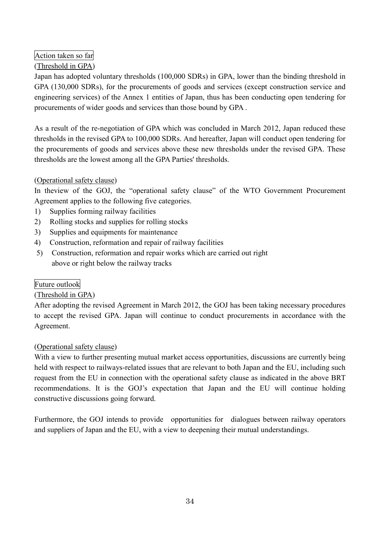# Action taken so far

# (Threshold in GPA)

Japan has adopted voluntary thresholds (100,000 SDRs) in GPA, lower than the binding threshold in GPA (130,000 SDRs), for the procurements of goods and services (except construction service and engineering services) of the Annex 1 entities of Japan, thus has been conducting open tendering for procurements of wider goods and services than those bound by GPA .

As a result of the re-negotiation of GPA which was concluded in March 2012, Japan reduced these thresholds in the revised GPA to 100,000 SDRs. And hereafter, Japan will conduct open tendering for the procurements of goods and services above these new thresholds under the revised GPA. These thresholds are the lowest among all the GPA Parties' thresholds.

# (Operational safety clause)

In the view of the GOJ, the "operational safety clause" of the WTO Government Procurement Agreement applies to the following five categories.

- 1) Supplies forming railway facilities
- 2) Rolling stocks and supplies for rolling stocks
- 3) Supplies and equipments for maintenance
- 4) Construction, reformation and repair of railway facilities
- 5) Construction, reformation and repair works which are carried out right above or right below the railway tracks

# Future outlook

# (Threshold in GPA)

After adopting the revised Agreement in March 2012, the GOJ has been taking necessary procedures to accept the revised GPA. Japan will continue to conduct procurements in accordance with the Agreement.

# (Operational safety clause)

With a view to further presenting mutual market access opportunities, discussions are currently being held with respect to railways-related issues that are relevant to both Japan and the EU, including such request from the EU in connection with the operational safety clause as indicated in the above BRT recommendations. It is the GOJ's expectation that Japan and the EU will continue holding constructive discussions going forward.

Furthermore, the GOJ intends to provide opportunities for dialogues between railway operators and suppliers of Japan and the EU, with a view to deepening their mutual understandings.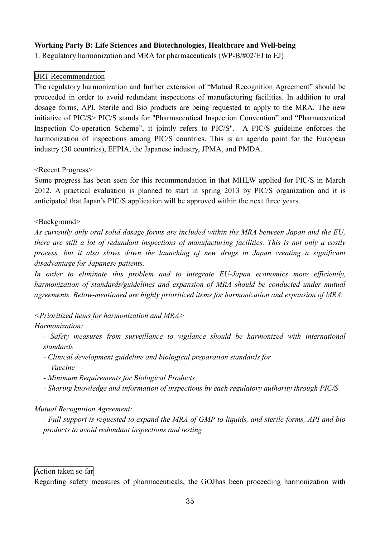## **Working Party B: Life Sciences and Biotechnologies, Healthcare and Well-being**

1. Regulatory harmonization and MRA for pharmaceuticals (WP-B/#02/EJ to EJ)

#### BRT Recommendation

The regulatory harmonization and further extension of "Mutual Recognition Agreement" should be proceeded in order to avoid redundant inspections of manufacturing facilities. In addition to oral dosage forms, API, Sterile and Bio products are being requested to apply to the MRA. The new initiative of PIC/S> PIC/S stands for "Pharmaceutical Inspection Convention" and "Pharmaceutical Inspection Co-operation Scheme", it jointly refers to PIC/S". A PIC/S guideline enforces the harmonization of inspections among PIC/S countries. This is an agenda point for the European industry (30 countries), EFPIA, the Japanese industry, JPMA, and PMDA.

<Recent Progress>

Some progress has been seen for this recommendation in that MHLW applied for PIC/S in March 2012. A practical evaluation is planned to start in spring 2013 by PIC/S organization and it is anticipated that Japan's PIC/S application will be approved within the next three years.

#### <Background>

*As currently only oral solid dosage forms are included within the MRA between Japan and the EU, there are still a lot of redundant inspections of manufacturing facilities. This is not only a costly process, but it also slows down the launching of new drugs in Japan creating a significant disadvantage for Japanese patients.*

*In order to eliminate this problem and to integrate EU-Japan economics more efficiently, harmonization of standards/guidelines and expansion of MRA should be conducted under mutual agreements. Below-mentioned are highly prioritized items for harmonization and expansion of MRA.*

*<Prioritized items for harmonization and MRA>*

### *Harmonization:*

- *- Safety measures from surveillance to vigilance should be harmonized with international standards*
- *- Clinical development guideline and biological preparation standards for Vaccine*
- *- Minimum Requirements for Biological Products*
- *- Sharing knowledge and information of inspections by each regulatory authority through PIC/S*

### *Mutual Recognition Agreement:*

- Full support is requested to expand the MRA of GMP to liquids, and sterile forms, API and bio *products to avoid redundant inspections and testing*

#### Action taken so far

Regarding safety measures of pharmaceuticals, the GOJhas been proceeding harmonization with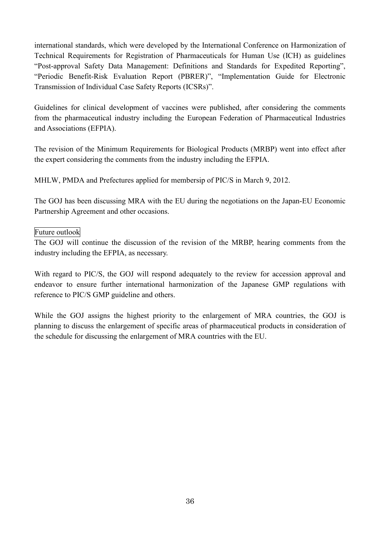international standards, which were developed by the International Conference on Harmonization of Technical Requirements for Registration of Pharmaceuticals for Human Use (ICH) as guidelines "Post-approval Safety Data Management: Definitions and Standards for Expedited Reporting", "Periodic Benefit-Risk Evaluation Report (PBRER)", "Implementation Guide for Electronic Transmission of Individual Case Safety Reports (ICSRs)".

Guidelines for clinical development of vaccines were published, after considering the comments from the pharmaceutical industry including the European Federation of Pharmaceutical Industries and Associations (EFPIA).

The revision of the Minimum Requirements for Biological Products (MRBP) went into effect after the expert considering the comments from the industry including the EFPIA.

MHLW, PMDA and Prefectures applied for membersip of PIC/S in March 9, 2012.

The GOJ has been discussing MRA with the EU during the negotiations on the Japan-EU Economic Partnership Agreement and other occasions.

### Future outlook

The GOJ will continue the discussion of the revision of the MRBP, hearing comments from the industry including the EFPIA, as necessary.

With regard to PIC/S, the GOJ will respond adequately to the review for accession approval and endeavor to ensure further international harmonization of the Japanese GMP regulations with reference to PIC/S GMP guideline and others.

While the GOJ assigns the highest priority to the enlargement of MRA countries, the GOJ is planning to discuss the enlargement of specific areas of pharmaceutical products in consideration of the schedule for discussing the enlargement of MRA countries with the EU.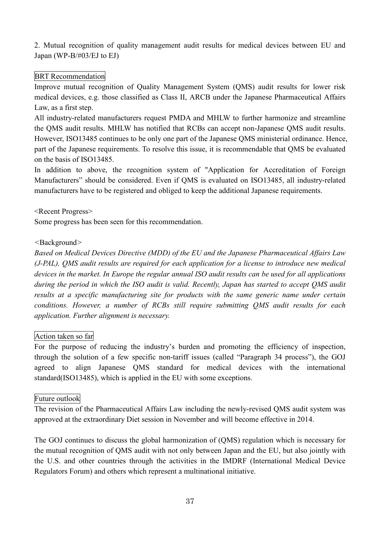2. Mutual recognition of quality management audit results for medical devices between EU and Japan (WP-B/#03/EJ to EJ)

## BRT Recommendation

Improve mutual recognition of Quality Management System (QMS) audit results for lower risk medical devices, e.g. those classified as Class II, ARCB under the Japanese Pharmaceutical Affairs Law, as a first step.

All industry-related manufacturers request PMDA and MHLW to further harmonize and streamline the QMS audit results. MHLW has notified that RCBs can accept non-Japanese QMS audit results. However, ISO13485 continues to be only one part of the Japanese QMS ministerial ordinance. Hence, part of the Japanese requirements. To resolve this issue, it is recommendable that QMS be evaluated on the basis of ISO13485.

In addition to above, the recognition system of "Application for Accreditation of Foreign Manufacturers" should be considered. Even if QMS is evaluated on ISO13485, all industry-related manufacturers have to be registered and obliged to keep the additional Japanese requirements.

<Recent Progress>

Some progress has been seen for this recommendation.

### *<*Background*>*

*Based on Medical Devices Directive (MDD) of the EU and the Japanese Pharmaceutical Affairs Law (J-PAL), QMS audit results are required for each application for a license to introduce new medical* devices in the market. In Europe the regular annual ISO audit results can be used for all applications *during the period in which the ISO audit is valid. Recently, Japan has started to accept QMS audit results at a specific manufacturing site for products with the same generic name under certain conditions. However, a number of RCBs still require submitting QMS audit results for each application. Further alignment is necessary.*

### Action taken so far

For the purpose of reducing the industry's burden and promoting the efficiency of inspection, through the solution of a few specific non-tariff issues (called "Paragraph 34 process"), the GOJ agreed to align Japanese QMS standard for medical devices with the international standard(ISO13485), which is applied in the EU with some exceptions.

### Future outlook

The revision of the Pharmaceutical Affairs Law including the newly-revised QMS audit system was approved at the extraordinary Diet session in November and will become effective in 2014.

The GOJ continues to discuss the global harmonization of (QMS) regulation which is necessary for the mutual recognition of QMS audit with not only between Japan and the EU, but also jointly with the U.S. and other countries through the activities in the IMDRF (International Medical Device Regulators Forum) and others which represent a multinational initiative.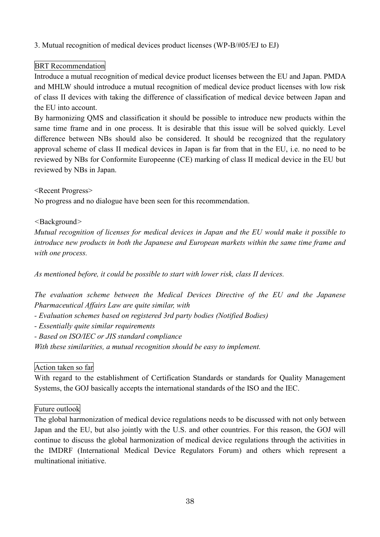## 3. Mutual recognition of medical devices product licenses (WP-B/#05/EJ to EJ)

## BRT Recommendation

Introduce a mutual recognition of medical device product licenses between the EU and Japan. PMDA and MHLW should introduce a mutual recognition of medical device product licenses with low risk of class II devices with taking the difference of classification of medical device between Japan and the EU into account.

By harmonizing QMS and classification it should be possible to introduce new products within the same time frame and in one process. It is desirable that this issue will be solved quickly. Level difference between NBs should also be considered. It should be recognized that the regulatory approval scheme of class II medical devices in Japan is far from that in the EU, i.e. no need to be reviewed by NBs for Conformite Europeenne (CE) marking of class II medical device in the EU but reviewed by NBs in Japan.

#### <Recent Progress>

No progress and no dialogue have been seen for this recommendation.

### *<*Background*>*

*Mutual recognition of licenses for medical devices in Japan and the EU would make it possible to introduce new products in both the Japanese and European markets within the same time frame and with one process.*

*As mentioned before, it could be possible to start with lower risk, class II devices.*

*The evaluation scheme between the Medical Devices Directive of the EU and the Japanese Pharmaceutical Affairs Law are quite similar, with*

- *- Evaluation schemes based on registered 3rd party bodies (Notified Bodies)*
- *- Essentially quite similar requirements*
- *- Based on ISO/IEC or JIS standard compliance*

*With these similarities, a mutual recognition should be easy to implement.*

### Action taken so far

With regard to the establishment of Certification Standards or standards for Quality Management Systems, the GOJ basically accepts the international standards of the ISO and the IEC.

#### Future outlook

The global harmonization of medical device regulations needs to be discussed with not only between Japan and the EU, but also jointly with the U.S. and other countries. For this reason, the GOJ will continue to discuss the global harmonization of medical device regulations through the activities in the IMDRF (International Medical Device Regulators Forum) and others which represent a multinational initiative.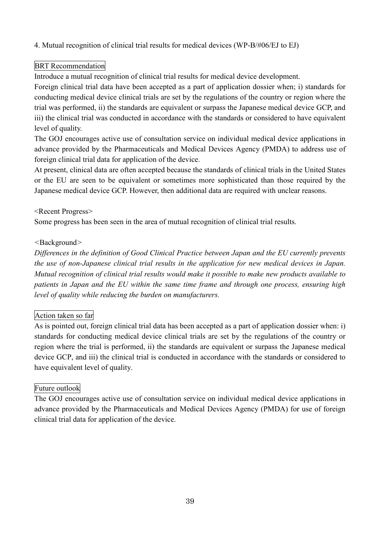4. Mutual recognition of clinical trial results for medical devices (WP-B/#06/EJ to EJ)

# BRT Recommendation

Introduce a mutual recognition of clinical trial results for medical device development.

Foreign clinical trial data have been accepted as a part of application dossier when; i) standards for conducting medical device clinical trials are set by the regulations of the country or region where the trial was performed, ii) the standards are equivalent or surpass the Japanese medical device GCP, and iii) the clinical trial was conducted in accordance with the standards or considered to have equivalent level of quality.

The GOJ encourages active use of consultation service on individual medical device applications in advance provided by the Pharmaceuticals and Medical Devices Agency (PMDA) to address use of foreign clinical trial data for application of the device.

At present, clinical data are often accepted because the standards of clinical trials in the United States or the EU are seen to be equivalent or sometimes more sophisticated than those required by the Japanese medical device GCP. However, then additional data are required with unclear reasons.

## <Recent Progress>

Some progress has been seen in the area of mutual recognition of clinical trial results.

# *<*Background*>*

*Differences in the definition of Good Clinical Practice between Japan and the EU currently prevents the use of non-Japanese clinical trial results in the application for new medical devices in Japan. Mutual recognition of clinical trial results would make it possible to make new products available to patients in Japan and the EU within the same time frame and through one process, ensuring high level of quality while reducing the burden on manufacturers.*

# Action taken so far

As is pointed out, foreign clinical trial data has been accepted as a part of application dossier when: i) standards for conducting medical device clinical trials are set by the regulations of the country or region where the trial is performed, ii) the standards are equivalent or surpass the Japanese medical device GCP, and iii) the clinical trial is conducted in accordance with the standards or considered to have equivalent level of quality.

# Future outlook

The GOJ encourages active use of consultation service on individual medical device applications in advance provided by the Pharmaceuticals and Medical Devices Agency (PMDA) for use of foreign clinical trial data for application of the device.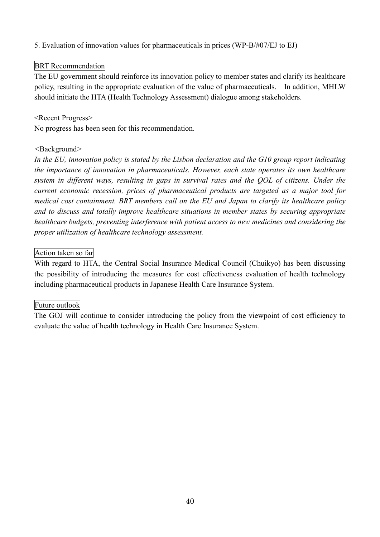5. Evaluation of innovation values for pharmaceuticals in prices (WP-B/#07/EJ to EJ)

# BRT Recommendation

The EU government should reinforce its innovation policy to member states and clarify its healthcare policy, resulting in the appropriate evaluation of the value of pharmaceuticals. In addition, MHLW should initiate the HTA (Health Technology Assessment) dialogue among stakeholders.

## <Recent Progress>

No progress has been seen for this recommendation.

### *<*Background*>*

*In the EU, innovation policy is stated by the Lisbon declaration and the G10 group report indicating the importance of innovation in pharmaceuticals. However, each state operates its own healthcare system in different ways, resulting in gaps in survival rates and the QOL of citizens. Under the current economic recession, prices of pharmaceutical products are targeted as a major tool for medical cost containment. BRT members call on the EU and Japan to clarify its healthcare policy and to discuss and totally improve healthcare situations in member states by securing appropriate healthcare budgets, preventing interference with patient access to new medicines and considering the proper utilization of healthcare technology assessment.*

## Action taken so far

With regard to HTA, the Central Social Insurance Medical Council (Chuikyo) has been discussing the possibility of introducing the measures for cost effectiveness evaluation of health technology including pharmaceutical products in Japanese Health Care Insurance System.

# Future outlook

The GOJ will continue to consider introducing the policy from the viewpoint of cost efficiency to evaluate the value of health technology in Health Care Insurance System.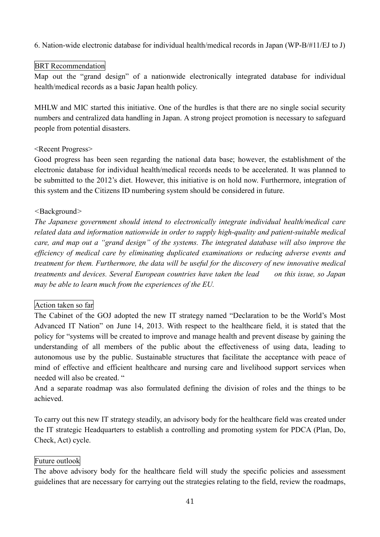6. Nation-wide electronic database for individual health/medical records in Japan (WP-B/#11/EJ to J)

## BRT Recommendation

Map out the "grand design" of a nationwide electronically integrated database for individual health/medical records as a basic Japan health policy.

MHLW and MIC started this initiative. One of the hurdles is that there are no single social security numbers and centralized data handling in Japan. A strong project promotion is necessary to safeguard people from potential disasters.

## <Recent Progress>

Good progress has been seen regarding the national data base; however, the establishment of the electronic database for individual health/medical records needs to be accelerated. It was planned to be submitted to the 2012's diet. However, this initiative is on hold now. Furthermore, integration of this system and the Citizens ID numbering system should be considered in future.

## *<*Background*>*

*The Japanese government should intend to electronically integrate individual health/medical care related data and information nationwide in order to supply high-quality and patient-suitable medical care, and map out a "grand design" of the systems. The integrated database will also improve the efficiency of medical care by eliminating duplicated examinations or reducing adverse events and treatment for them. Furthermore, the data will be useful for the discovery of new innovative medical treatments and devices. Several European countries have taken the lead on this issue, so Japan may be able to learn much from the experiences of the EU.*

# Action taken so far

The Cabinet of the GOJ adopted the new IT strategy named "Declaration to be the World's Most Advanced IT Nation" on June 14, 2013. With respect to the healthcare field, it is stated that the policy for "systems will be created to improve and manage health and prevent disease by gaining the understanding of all members of the public about the effectiveness of using data, leading to autonomous use by the public. Sustainable structures that facilitate the acceptance with peace of mind of effective and efficient healthcare and nursing care and livelihood support services when needed will also be created. "

And a separate roadmap was also formulated defining the division of roles and the things to be achieved.

To carry out this new IT strategy steadily, an advisory body for the healthcare field was created under the IT strategic Headquarters to establish a controlling and promoting system for PDCA (Plan, Do, Check, Act) cycle.

# Future outlook

The above advisory body for the healthcare field will study the specific policies and assessment guidelines that are necessary for carrying out the strategies relating to the field, review the roadmaps,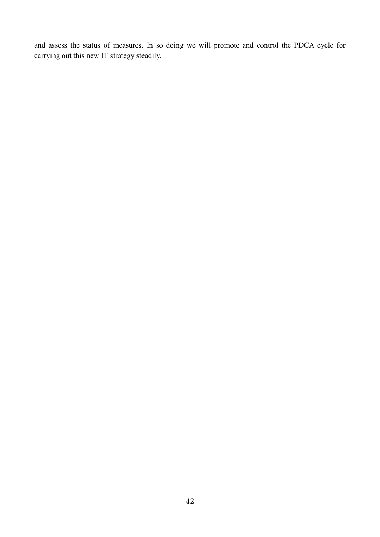and assess the status of measures. In so doing we will promote and control the PDCA cycle for carrying out this new IT strategy steadily.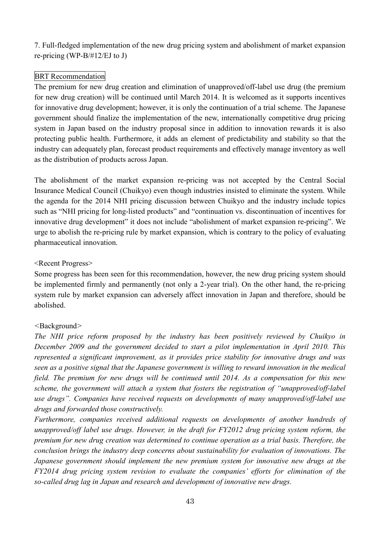7. Full-fledged implementation of the new drug pricing system and abolishment of market expansion re-pricing (WP-B/#12/EJ to J)

# BRT Recommendation

The premium for new drug creation and elimination of unapproved/off-label use drug (the premium for new drug creation) will be continued until March 2014. It is welcomed as it supports incentives for innovative drug development; however, it is only the continuation of a trial scheme. The Japanese government should finalize the implementation of the new, internationally competitive drug pricing system in Japan based on the industry proposal since in addition to innovation rewards it is also protecting public health. Furthermore, it adds an element of predictability and stability so that the industry can adequately plan, forecast product requirements and effectively manage inventory as well as the distribution of products across Japan.

The abolishment of the market expansion re-pricing was not accepted by the Central Social Insurance Medical Council (Chuikyo) even though industries insisted to eliminate the system. While the agenda for the 2014 NHI pricing discussion between Chuikyo and the industry include topics such as "NHI pricing for long-listed products" and "continuation vs. discontinuation of incentives for innovative drug development" it does not include "abolishment of market expansion re-pricing". We urge to abolish the re-pricing rule by market expansion, which is contrary to the policy of evaluating pharmaceutical innovation.

### <Recent Progress>

Some progress has been seen for this recommendation, however, the new drug pricing system should be implemented firmly and permanently (not only a 2-year trial). On the other hand, the re-pricing system rule by market expansion can adversely affect innovation in Japan and therefore, should be abolished.

### *<*Background*>*

*The NHI price reform proposed by the industry has been positively reviewed by Chuikyo in December 2009 and the government decided to start a pilot implementation in April 2010. This represented a significant improvement, as it provides price stability for innovative drugs and was seen as a positive signal that the Japanese government is willing to reward innovation in the medical field. The premium for new drugs will be continued until 2014. As a compensation for this new scheme, the government will attach a system that fosters the registration of "unapproved/off-label use drugs". Companies have received requests on developments of many unapproved/off-label use drugs and forwarded those constructively.*

*Furthermore, companies received additional requests on developments of another hundreds of unapproved/off label use drugs. However, in the draft for FY2012 drug pricing system reform, the premium for new drug creation was determined to continue operation as a trial basis. Therefore, the conclusion brings the industry deep concerns about sustainability for evaluation of innovations. The Japanese government should implement the new premium system for innovative new drugs at the FY2014 drug pricing system revision to evaluate the companies' efforts for elimination of the so-called drug lag in Japan and research and development of innovative new drugs.*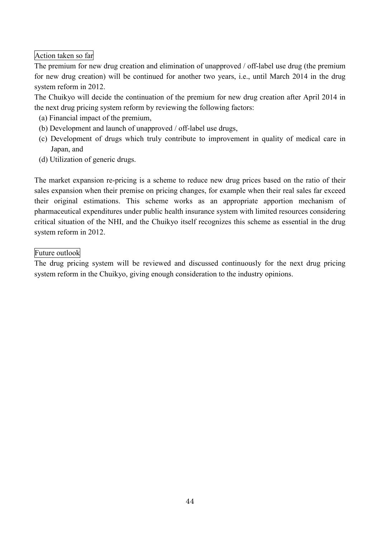# Action taken so far

The premium for new drug creation and elimination of unapproved / off-label use drug (the premium for new drug creation) will be continued for another two years, i.e., until March 2014 in the drug system reform in 2012.

The Chuikyo will decide the continuation of the premium for new drug creation after April 2014 in the next drug pricing system reform by reviewing the following factors:

- (a) Financial impact of the premium,
- (b) Development and launch of unapproved / off-label use drugs,
- (c) Development of drugs which truly contribute to improvement in quality of medical care in Japan, and
- (d) Utilization of generic drugs.

The market expansion re-pricing is a scheme to reduce new drug prices based on the ratio of their sales expansion when their premise on pricing changes, for example when their real sales far exceed their original estimations. This scheme works as an appropriate apportion mechanism of pharmaceutical expenditures under public health insurance system with limited resources considering critical situation of the NHI, and the Chuikyo itself recognizes this scheme as essential in the drug system reform in 2012.

### Future outlook

The drug pricing system will be reviewed and discussed continuously for the next drug pricing system reform in the Chuikyo, giving enough consideration to the industry opinions.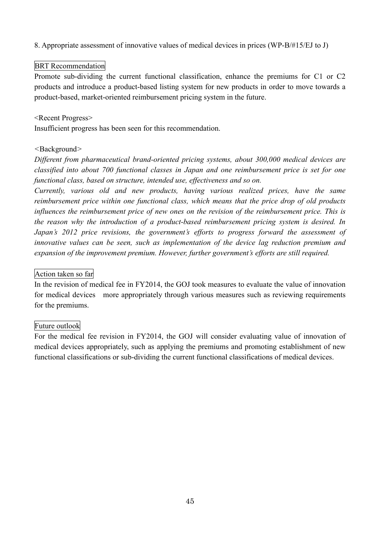8. Appropriate assessment of innovative values of medical devices in prices (WP-B/#15/EJ to J)

## BRT Recommendation

Promote sub-dividing the current functional classification, enhance the premiums for C1 or C2 products and introduce a product-based listing system for new products in order to move towards a product-based, market-oriented reimbursement pricing system in the future.

### <Recent Progress>

Insufficient progress has been seen for this recommendation.

#### *<*Background*>*

*Different from pharmaceutical brand-oriented pricing systems, about 300,000 medical devices are classified into about 700 functional classes in Japan and one reimbursement price is set for one functional class, based on structure, intended use, effectiveness and so on.*

*Currently, various old and new products, having various realized prices, have the same reimbursement price within one functional class, which means that the price drop of old products influences the reimbursement price of new ones on the revision of the reimbursement price. This is the reason why the introduction of a product-based reimbursement pricing system is desired. In Japan's 2012 price revisions, the government's efforts to progress forward the assessment of innovative values can be seen, such as implementation of the device lag reduction premium and expansion of the improvement premium. However, further government's efforts are still required.*

### Action taken so far

In the revision of medical fee in FY2014, the GOJ took measures to evaluate the value of innovation for medical devices more appropriately through various measures such as reviewing requirements for the premiums.

### Future outlook

For the medical fee revision in FY2014, the GOJ will consider evaluating value of innovation of medical devices appropriately, such as applying the premiums and promoting establishment of new functional classifications or sub-dividing the current functional classifications of medical devices.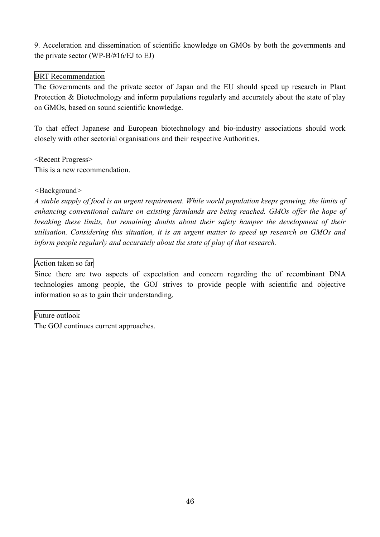9. Acceleration and dissemination of scientific knowledge on GMOs by both the governments and the private sector (WP-B/#16/EJ to EJ)

# BRT Recommendation

The Governments and the private sector of Japan and the EU should speed up research in Plant Protection & Biotechnology and inform populations regularly and accurately about the state of play on GMOs, based on sound scientific knowledge.

To that effect Japanese and European biotechnology and bio-industry associations should work closely with other sectorial organisations and their respective Authorities.

<Recent Progress> This is a new recommendation.

### *<*Background*>*

*A stable supply of food is an urgent requirement. While world population keeps growing, the limits of enhancing conventional culture on existing farmlands are being reached. GMOs offer the hope of breaking these limits, but remaining doubts about their safety hamper the development of their utilisation. Considering this situation, it is an urgent matter to speed up research on GMOs and inform people regularly and accurately about the state of play of that research.*

## Action taken so far

Since there are two aspects of expectation and concern regarding the of recombinant DNA technologies among people, the GOJ strives to provide people with scientific and objective information so as to gain their understanding.

### Future outlook

The GOJ continues current approaches.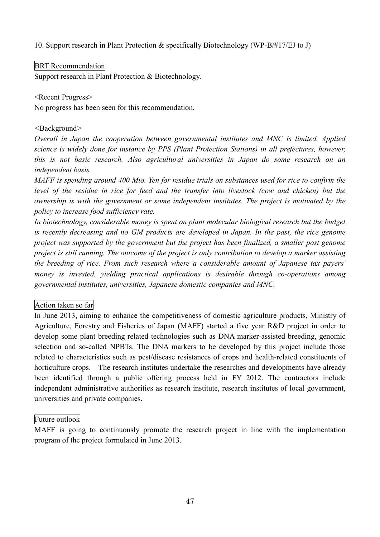10. Support research in Plant Protection & specifically Biotechnology (WP-B/#17/EJ to J)

## BRT Recommendation

Support research in Plant Protection & Biotechnology.

### <Recent Progress>

No progress has been seen for this recommendation.

### *<*Background*>*

*Overall in Japan the cooperation between governmental institutes and MNC is limited. Applied science is widely done for instance by PPS (Plant Protection Stations) in all prefectures, however, this is not basic research. Also agricultural universities in Japan do some research on an independent basis.*

*MAFF is spending around 400 Mio. Yen for residue trials on substances used for rice to confirm the level of the residue in rice for feed and the transfer into livestock (cow and chicken) but the ownership is with the government or some independent institutes. The project is motivated by the policy to increase food sufficiency rate.*

*In biotechnology, considerable money is spent on plant molecular biological research but the budget is recently decreasing and no GM products are developed in Japan. In the past, the rice genome project was supported by the government but the project has been finalized, a smaller post genome project is still running. The outcome of the project is only contribution to develop a marker assisting the breeding of rice. From such research where a considerable amount of Japanese tax payers' money is invested, yielding practical applications is desirable through co-operations among governmental institutes, universities, Japanese domestic companies and MNC.*

### Action taken so far

In June 2013, aiming to enhance the competitiveness of domestic agriculture products, Ministry of Agriculture, Forestry and Fisheries of Japan (MAFF) started a five year R&D project in order to develop some plant breeding related technologies such as DNA marker-assisted breeding, genomic selection and so-called NPBTs. The DNA markers to be developed by this project include those related to characteristics such as pest/disease resistances of crops and health-related constituents of horticulture crops. The research institutes undertake the researches and developments have already been identified through a public offering process held in FY 2012. The contractors include independent administrative authorities as research institute, research institutes of local government, universities and private companies.

### Future outlook

MAFF is going to continuously promote the research project in line with the implementation program of the project formulated in June 2013.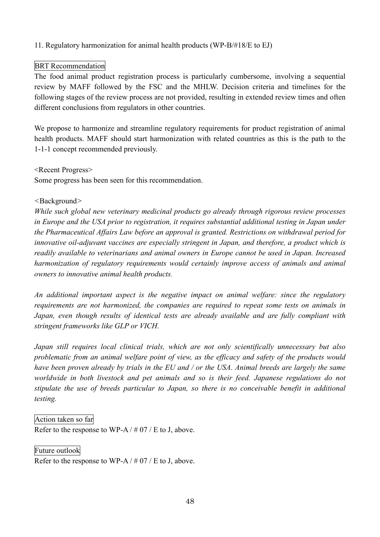## 11. Regulatory harmonization for animal health products (WP-B/#18/E to EJ)

## BRT Recommendation

The food animal product registration process is particularly cumbersome, involving a sequential review by MAFF followed by the FSC and the MHLW. Decision criteria and timelines for the following stages of the review process are not provided, resulting in extended review times and often different conclusions from regulators in other countries.

We propose to harmonize and streamline regulatory requirements for product registration of animal health products. MAFF should start harmonization with related countries as this is the path to the 1-1-1 concept recommended previously.

<Recent Progress> Some progress has been seen for this recommendation.

#### *<*Background*>*

*While such global new veterinary medicinal products go already through rigorous review processes in Europe and the USA prior to registration, it requires substantial additional testing in Japan under the Pharmaceutical Affairs Law before an approval is granted. Restrictions on withdrawal period for innovative oil-adjuvant vaccines are especially stringent in Japan, and therefore, a product which is readily available to veterinarians and animal owners in Europe cannot be used in Japan. Increased harmonization of regulatory requirements would certainly improve access of animals and animal owners to innovative animal health products.*

*An additional important aspect is the negative impact on animal welfare: since the regulatory requirements are not harmonized, the companies are required to repeat some tests on animals in Japan, even though results of identical tests are already available and are fully compliant with stringent frameworks like GLP or VICH.*

*Japan still requires local clinical trials, which are not only scientifically unnecessary but also problematic from an animal welfare point of view, as the efficacy and safety of the products would* have been proven already by trials in the EU and / or the USA. Animal breeds are largely the same *worldwide in both livestock and pet animals and so is their feed. Japanese regulations do not stipulate the use of breeds particular to Japan, so there is no conceivable benefit in additional testing.*

### Action taken so far

Refer to the response to WP-A  $/$  # 07  $/$  E to J, above.

#### Future outlook

Refer to the response to WP-A  $/$  # 07  $/$  E to J, above.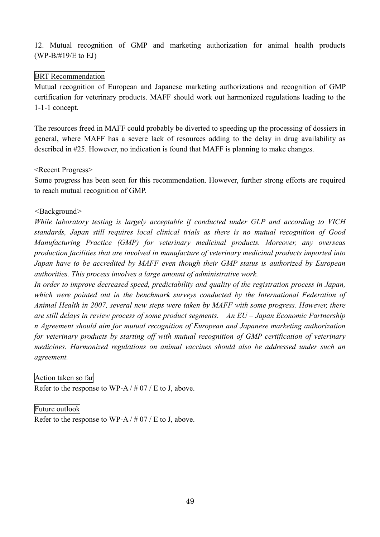12. Mutual recognition of GMP and marketing authorization for animal health products (WP-B/#19/E to EJ)

## BRT Recommendation

Mutual recognition of European and Japanese marketing authorizations and recognition of GMP certification for veterinary products. MAFF should work out harmonized regulations leading to the 1-1-1 concept.

The resources freed in MAFF could probably be diverted to speeding up the processing of dossiers in general, where MAFF has a severe lack of resources adding to the delay in drug availability as described in #25. However, no indication is found that MAFF is planning to make changes.

### <Recent Progress>

Some progress has been seen for this recommendation. However, further strong efforts are required to reach mutual recognition of GMP.

## *<*Background*>*

*While laboratory testing is largely acceptable if conducted under GLP and according to VICH standards, Japan still requires local clinical trials as there is no mutual recognition of Good Manufacturing Practice (GMP) for veterinary medicinal products. Moreover, any overseas production facilities that are involved in manufacture of veterinary medicinal products imported into Japan have to be accredited by MAFF even though their GMP status is authorized by European authorities. This process involves a large amount of administrative work.*

*In order to improve decreased speed, predictability and quality of the registration process in Japan, which were pointed out in the benchmark surveys conducted by the International Federation of Animal Health in 2007, several new steps were taken by MAFF with some progress. However, there are still delays in review process of some product segments. An EU – Japan Economic Partnership n Agreement should aim for mutual recognition of European and Japanese marketing authorization for veterinary products by starting off with mutual recognition of GMP certification of veterinary medicines. Harmonized regulations on animal vaccines should also be addressed under such an agreement.*

### Action taken so far

Refer to the response to WP-A  $/$  # 07  $/$  E to J, above.

### Future outlook

Refer to the response to WP-A  $/$  # 07  $/$  E to J, above.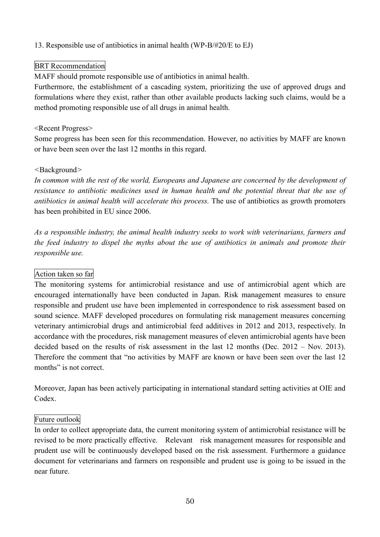## 13. Responsible use of antibiotics in animal health (WP-B/#20/E to EJ)

## BRT Recommendation

MAFF should promote responsible use of antibiotics in animal health.

Furthermore, the establishment of a cascading system, prioritizing the use of approved drugs and formulations where they exist, rather than other available products lacking such claims, would be a method promoting responsible use of all drugs in animal health.

### <Recent Progress>

Some progress has been seen for this recommendation. However, no activities by MAFF are known or have been seen over the last 12 months in this regard.

### *<*Background*>*

*In common with the rest of the world, Europeans and Japanese are concerned by the development of resistance to antibiotic medicines used in human health and the potential threat that the use of antibiotics in animal health will accelerate this process.* The use of antibiotics as growth promoters has been prohibited in EU since 2006.

*As a responsible industry, the animal health industry seeks to work with veterinarians, farmers and the feed industry to dispel the myths about the use of antibiotics in animals and promote their responsible use.*

### Action taken so far

The monitoring systems for antimicrobial resistance and use of antimicrobial agent which are encouraged internationally have been conducted in Japan. Risk management measures to ensure responsible and prudent use have been implemented in correspondence to risk assessment based on sound science. MAFF developed procedures on formulating risk management measures concerning veterinary antimicrobial drugs and antimicrobial feed additives in 2012 and 2013, respectively. In accordance with the procedures, risk management measures of eleven antimicrobial agents have been decided based on the results of risk assessment in the last 12 months (Dec. 2012 – Nov. 2013). Therefore the comment that "no activities by MAFF are known or have been seen over the last 12 months" is not correct.

Moreover, Japan has been actively participating in international standard setting activities at OIE and Codex.

### Future outlook

In order to collect appropriate data, the current monitoring system of antimicrobial resistance will be revised to be more practically effective. Relevant risk management measures for responsible and prudent use will be continuously developed based on the risk assessment. Furthermore a guidance document for veterinarians and farmers on responsible and prudent use is going to be issued in the near future.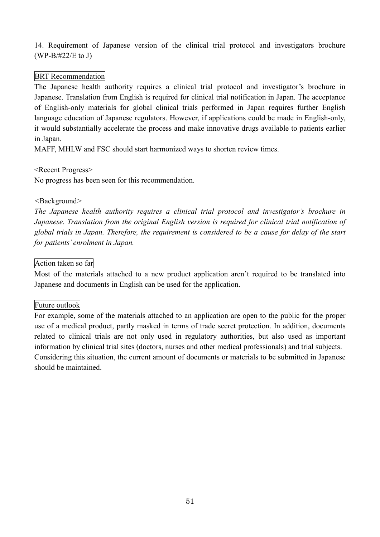14. Requirement of Japanese version of the clinical trial protocol and investigators brochure (WP-B/#22/E to J)

## BRT Recommendation

The Japanese health authority requires a clinical trial protocol and investigator's brochure in Japanese. Translation from English is required for clinical trial notification in Japan. The acceptance of English-only materials for global clinical trials performed in Japan requires further English language education of Japanese regulators. However, if applications could be made in English-only, it would substantially accelerate the process and make innovative drugs available to patients earlier in Japan.

MAFF, MHLW and FSC should start harmonized ways to shorten review times.

<Recent Progress>

No progress has been seen for this recommendation.

### *<*Background*>*

*The Japanese health authority requires a clinical trial protocol and investigator's brochure in Japanese. Translation from the original English version is required for clinical trial notification of* global trials in Japan. Therefore, the requirement is considered to be a cause for delay of the start *for patients' enrolment in Japan.*

## Action taken so far

Most of the materials attached to a new product application aren't required to be translated into Japanese and documents in English can be used for the application.

# Future outlook

For example, some of the materials attached to an application are open to the public for the proper use of a medical product, partly masked in terms of trade secret protection. In addition, documents related to clinical trials are not only used in regulatory authorities, but also used as important information by clinical trial sites (doctors, nurses and other medical professionals) and trial subjects. Considering this situation, the current amount of documents or materials to be submitted in Japanese should be maintained.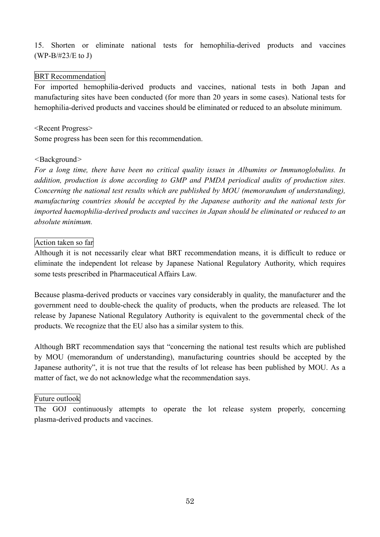15. Shorten or eliminate national tests for hemophilia-derived products and vaccines (WP-B/#23/E to J)

### BRT Recommendation

For imported hemophilia-derived products and vaccines, national tests in both Japan and manufacturing sites have been conducted (for more than 20 years in some cases). National tests for hemophilia-derived products and vaccines should be eliminated or reduced to an absolute minimum.

#### <Recent Progress>

Some progress has been seen for this recommendation.

#### *<*Background*>*

*For a long time, there have been no critical quality issues in Albumins or Immunoglobulins. In addition, production is done according to GMP and PMDA periodical audits of production sites. Concerning the national test results which are published by MOU (memorandum of understanding), manufacturing countries should be accepted by the Japanese authority and the national tests for imported haemophilia-derived products and vaccines in Japan should be eliminated or reduced to an absolute minimum.*

#### Action taken so far

Although it is not necessarily clear what BRT recommendation means, it is difficult to reduce or eliminate the independent lot release by Japanese National Regulatory Authority, which requires some tests prescribed in Pharmaceutical Affairs Law.

Because plasma-derived products or vaccines vary considerably in quality, the manufacturer and the government need to double-check the quality of products, when the products are released. The lot release by Japanese National Regulatory Authority is equivalent to the governmental check of the products. We recognize that the EU also has a similar system to this.

Although BRT recommendation says that "concerning the national test results which are published by MOU (memorandum of understanding), manufacturing countries should be accepted by the Japanese authority", it is not true that the results of lot release has been published by MOU. As a matter of fact, we do not acknowledge what the recommendation says.

#### Future outlook

The GOJ continuously attempts to operate the lot release system properly, concerning plasma-derived products and vaccines.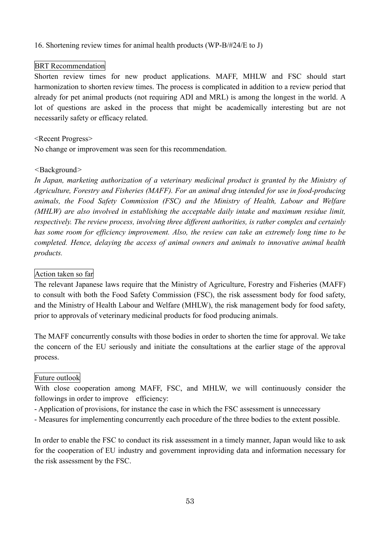16. Shortening review times for animal health products (WP-B/#24/E to J)

### BRT Recommendation

Shorten review times for new product applications. MAFF, MHLW and FSC should start harmonization to shorten review times. The process is complicated in addition to a review period that already for pet animal products (not requiring ADI and MRL) is among the longest in the world. A lot of questions are asked in the process that might be academically interesting but are not necessarily safety or efficacy related.

#### <Recent Progress>

No change or improvement was seen for this recommendation.

#### *<*Background*>*

*In Japan, marketing authorization of a veterinary medicinal product is granted by the Ministry of Agriculture, Forestry and Fisheries (MAFF). For an animal drug intended for use in food-producing animals, the Food Safety Commission (FSC) and the Ministry of Health, Labour and Welfare (MHLW) are also involved in establishing the acceptable daily intake and maximum residue limit, respectively. The review process, involving three different authorities, is rather complex and certainly has some room for efficiency improvement. Also, the review can take an extremely long time to be completed. Hence, delaying the access of animal owners and animals to innovative animal health products.*

### Action taken so far

The relevant Japanese laws require that the Ministry of Agriculture, Forestry and Fisheries (MAFF) to consult with both the Food Safety Commission (FSC), the risk assessment body for food safety, and the Ministry of Health Labour and Welfare (MHLW), the risk management body for food safety, prior to approvals of veterinary medicinal products for food producing animals.

The MAFF concurrently consults with those bodies in order to shorten the time for approval. We take the concern of the EU seriously and initiate the consultations at the earlier stage of the approval process.

#### Future outlook

With close cooperation among MAFF, FSC, and MHLW, we will continuously consider the followings in order to improve efficiency:

- Application of provisions, for instance the case in which the FSC assessment is unnecessary
- Measures for implementing concurrently each procedure of the three bodies to the extent possible.

In order to enable the FSC to conduct its risk assessment in a timely manner, Japan would like to ask for the cooperation of EU industry and government inproviding data and information necessary for the risk assessment by the FSC.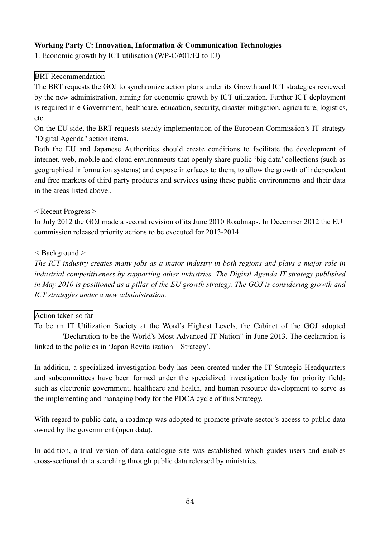## **Working Party C: Innovation, Information & Communication Technologies**

1. Economic growth by ICT utilisation (WP-C/#01/EJ to EJ)

## BRT Recommendation

The BRT requests the GOJ to synchronize action plans under its Growth and ICT strategies reviewed by the new administration, aiming for economic growth by ICT utilization. Further ICT deployment is required in e-Government, healthcare, education, security, disaster mitigation, agriculture, logistics, etc.

On the EU side, the BRT requests steady implementation of the European Commission's IT strategy "Digital Agenda" action items.

Both the EU and Japanese Authorities should create conditions to facilitate the development of internet, web, mobile and cloud environments that openly share public 'big data' collections (such as geographical information systems) and expose interfaces to them, to allow the growth of independent and free markets of third party products and services using these public environments and their data in the areas listed above..

< Recent Progress >

In July 2012 the GOJ made a second revision of its June 2010 Roadmaps. In December 2012 the EU commission released priority actions to be executed for 2013-2014.

*<* Background *>*

The ICT industry creates many jobs as a major industry in both regions and plays a major role in *industrial competitiveness by supporting other industries. The Digital Agenda IT strategy published* in May 2010 is positioned as a pillar of the EU growth strategy. The GOJ is considering growth and *ICT strategies under a new administration.*

### Action taken so far

To be an IT Utilization Society at the Word's Highest Levels, the Cabinet of the GOJ adopted "Declaration to be the World's Most Advanced IT Nation" in June 2013. The declaration is linked to the policies in 'Japan Revitalization Strategy'.

In addition, a specialized investigation body has been created under the IT Strategic Headquarters and subcommittees have been formed under the specialized investigation body for priority fields such as electronic government, healthcare and health, and human resource development to serve as the implementing and managing body for the PDCA cycle of this Strategy.

With regard to public data, a roadmap was adopted to promote private sector's access to public data owned by the government (open data).

In addition, a trial version of data catalogue site was established which guides users and enables cross-sectional data searching through public data released by ministries.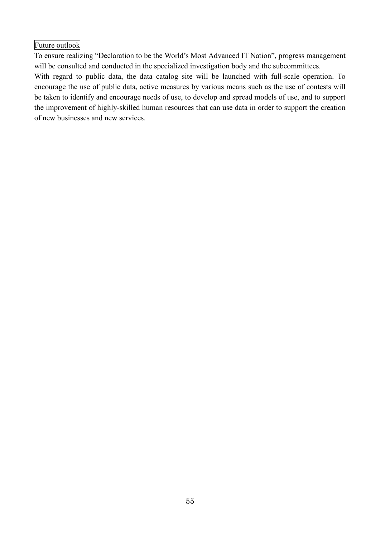Future outlook

To ensure realizing "Declaration to be the World's Most Advanced IT Nation", progress management will be consulted and conducted in the specialized investigation body and the subcommittees.

With regard to public data, the data catalog site will be launched with full-scale operation. To encourage the use of public data, active measures by various means such as the use of contests will be taken to identify and encourage needs of use, to develop and spread models of use, and to support the improvement of highly-skilled human resources that can use data in order to support the creation of new businesses and new services.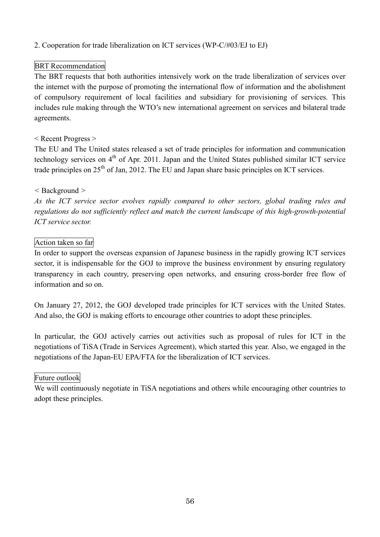## 2. Cooperation for trade liberalization on ICT services (WP-C/#03/EJ to EJ)

## BRT Recommendation

The BRT requests that both authorities intensively work on the trade liberalization of services over the internet with the purpose of promoting the international flow of information and the abolishment of compulsory requirement of local facilities and subsidiary for provisioning of services. This includes rule making through the WTO's new international agreement on services and bilateral trade agreements.

### < Recent Progress >

The EU and The United states released a set of trade principles for information and communication technology services on 4<sup>th</sup> of Apr. 2011. Japan and the United States published similar ICT service trade principles on 25<sup>th</sup> of Jan, 2012. The EU and Japan share basic principles on ICT services.

### *<* Background *>*

*As the ICT service sector evolves rapidly compared to other sectors, global trading rules and regulations do not sufficiently reflect and match the current landscape of this high-growth-potential ICT service sector.*

#### Action taken so far

In order to support the overseas expansion of Japanese business in the rapidly growing ICT services sector, it is indispensable for the GOJ to improve the business environment by ensuring regulatory transparency in each country, preserving open networks, and ensuring cross-border free flow of information and so on.

On January 27, 2012, the GOJ developed trade principles for ICT services with the United States. And also, the GOJ is making efforts to encourage other countries to adopt these principles.

In particular, the GOJ actively carries out activities such as proposal of rules for ICT in the negotiations of TiSA (Trade in Services Agreement), which started this year. Also, we engaged in the negotiations of the Japan-EU EPA/FTA for the liberalization of ICT services.

### Future outlook

We will continuously negotiate in TiSA negotiations and others while encouraging other countries to adopt these principles.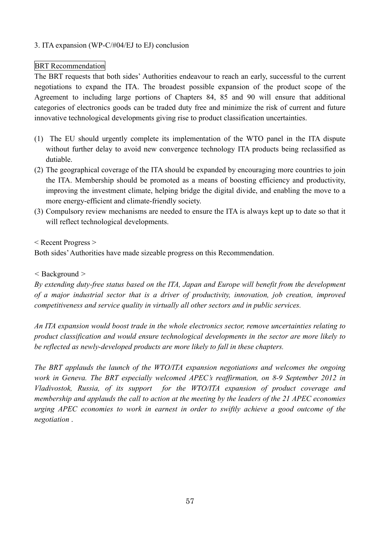## 3. ITA expansion (WP-C/#04/EJ to EJ) conclusion

# BRT Recommendation

The BRT requests that both sides' Authorities endeavour to reach an early, successful to the current negotiations to expand the ITA. The broadest possible expansion of the product scope of the Agreement to including large portions of Chapters 84, 85 and 90 will ensure that additional categories of electronics goods can be traded duty free and minimize the risk of current and future innovative technological developments giving rise to product classification uncertainties.

- (1) The EU should urgently complete its implementation of the WTO panel in the ITA dispute without further delay to avoid new convergence technology ITA products being reclassified as dutiable.
- (2) The geographical coverage of the ITA should be expanded by encouraging more countries to join the ITA. Membership should be promoted as a means of boosting efficiency and productivity, improving the investment climate, helping bridge the digital divide, and enabling the move to a more energy-efficient and climate-friendly society.
- (3) Compulsory review mechanisms are needed to ensure the ITA is always kept up to date so that it will reflect technological developments.

< Recent Progress >

Both sides'Authorities have made sizeable progress on this Recommendation.

### *<* Background *>*

*By extending duty-free status based on the ITA, Japan and Europe will benefit from the development of a major industrial sector that is a driver of productivity, innovation, job creation, improved competitiveness and service quality in virtually all other sectors and in public services.*

*An ITA expansion would boost trade in the whole electronics sector, remove uncertainties relating to product classification and would ensure technological developments in the sector are more likely to be reflected as newly-developed products are more likely to fall in these chapters.*

*The BRT applauds the launch of the WTO/ITA expansion negotiations and welcomes the ongoing work in Geneva. The BRT especially welcomed APEC's reaffirmation, on 8-9 September 2012 in Vladivostok, Russia, of its support for the WTO/ITA expansion of product coverage and membership and applauds the call to action at the meeting by the leaders of the 21 APEC economies urging APEC economies to work in earnest in order to swiftly achieve a good outcome of the negotiation* .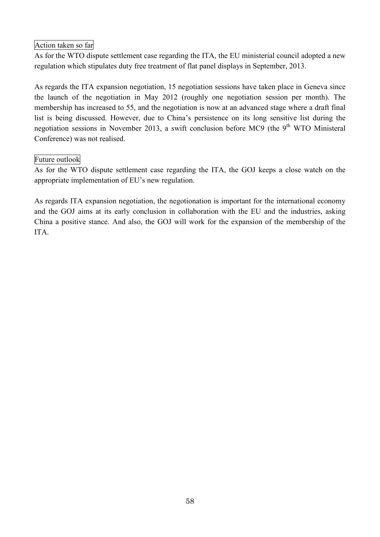# Action taken so far

As for the WTO dispute settlement case regarding the ITA, the EU ministerial council adopted a new regulation which stipulates duty free treatment of flat panel displays in September, 2013.

As regards the ITA expansion negotiation, 15 negotiation sessions have taken place in Geneva since the launch of the negotiation in May 2012 (roughly one negotiation session per month). The membership has increased to 55, and the negotiation is now at an advanced stage where a draft final list is being discussed. However, due to China's persistence on its long sensitive list during the negotiation sessions in November 2013, a swift conclusion before MC9 (the 9<sup>th</sup> WTO Ministeral Conference) was not realised.

## Future outlook

As for the WTO dispute settlement case regarding the ITA, the GOJ keeps a close watch on the appropriate implementation of EU's new regulation.

As regards ITA expansion negotiation, the negotionation is important for the international economy and the GOJ aims at its early conclusion in collaboration with the EU and the industries, asking China a positive stance. And also, the GOJ will work for the expansion of the membership of the ITA.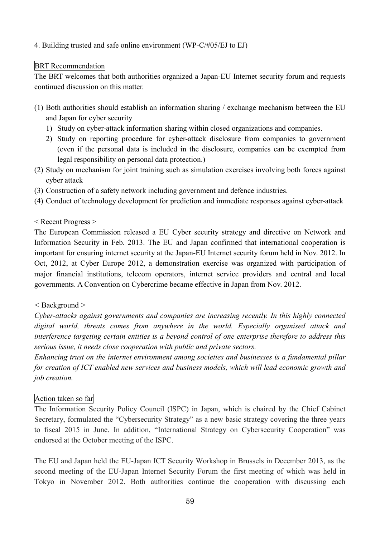## 4. Building trusted and safe online environment (WP-C/#05/EJ to EJ)

## BRT Recommendation

The BRT welcomes that both authorities organized a Japan-EU Internet security forum and requests continued discussion on this matter.

- (1) Both authorities should establish an information sharing / exchange mechanism between the EU and Japan for cyber security
	- 1) Study on cyber-attack information sharing within closed organizations and companies.
	- 2) Study on reporting procedure for cyber-attack disclosure from companies to government (even if the personal data is included in the disclosure, companies can be exempted from legal responsibility on personal data protection.)
- (2) Study on mechanism for joint training such as simulation exercises involving both forces against cyber attack
- (3) Construction of a safety network including government and defence industries.
- (4) Conduct of technology development for prediction and immediate responses against cyber-attack

### < Recent Progress >

The European Commission released a EU Cyber security strategy and directive on Network and Information Security in Feb. 2013. The EU and Japan confirmed that international cooperation is important for ensuring internet security at the Japan-EU Internet security forum held in Nov. 2012. In Oct, 2012, at Cyber Europe 2012, a demonstration exercise was organized with participation of major financial institutions, telecom operators, internet service providers and central and local governments. A Convention on Cybercrime became effective in Japan from Nov. 2012.

### *<* Background *>*

*Cyber-attacks against governments and companies are increasing recently. In this highly connected digital world, threats comes from anywhere in the world. Especially organised attack and interference targeting certain entities is a beyond control of one enterprise therefore to address this serious issue, it needs close cooperation with public and private sectors.*

*Enhancing trust on the internet environment among societies and businesses is a fundamental pillar for creation of ICT enabled new services and business models, which will lead economic growth and job creation.*

# Action taken so far

The Information Security Policy Council (ISPC) in Japan, which is chaired by the Chief Cabinet Secretary, formulated the "Cybersecurity Strategy" as a new basic strategy covering the three years to fiscal 2015 in June. In addition, "International Strategy on Cybersecurity Cooperation" was endorsed at the October meeting of the ISPC.

The EU and Japan held the EU-Japan ICT Security Workshop in Brussels in December 2013, as the second meeting of the EU-Japan Internet Security Forum the first meeting of which was held in Tokyo in November 2012. Both authorities continue the cooperation with discussing each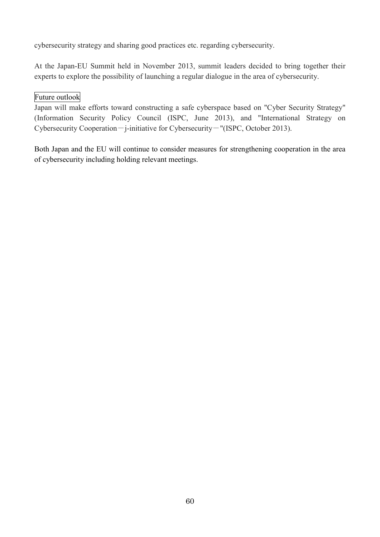cybersecurity strategy and sharing good practices etc. regarding cybersecurity.

At the Japan-EU Summit held in November 2013, summit leaders decided to bring together their experts to explore the possibility of launching a regular dialogue in the area of cybersecurity.

# Future outlook

Japan will make efforts toward constructing a safe cyberspace based on "Cyber Security Strategy" (Information Security Policy Council (ISPC, June 2013), and "International Strategy on Cybersecurity Cooperation-j-initiative for Cybersecurity-"(ISPC, October 2013).

Both Japan and the EU will continue to consider measures for strengthening cooperation in the area of cybersecurity including holding relevant meetings.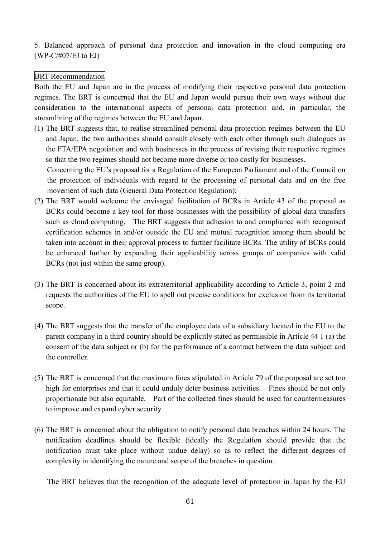5. Balanced approach of personal data protection and innovation in the cloud computing era (WP-C/#07/EJ to EJ)

### BRT Recommendation

Both the EU and Japan are in the process of modifying their respective personal data protection regimes. The BRT is concerned that the EU and Japan would pursue their own ways without due consideration to the international aspects of personal data protection and, in particular, the streamlining of the regimes between the EU and Japan.

(1) The BRT suggests that, to realise streamlined personal data protection regimes between the EU and Japan, the two authorities should consult closely with each other through such dialogues as the FTA/EPA negotiation and with businesses in the process of revising their respective regimes so that the two regimes should not become more diverse or too costly for businesses.

Concerning the EU's proposal for a Regulation of the European Parliament and of the Council on the protection of individuals with regard to the processing of personal data and on the free movement of such data (General Data Protection Regulation);

- (2) The BRT would welcome the envisaged facilitation of BCRs in Article 43 of the proposal as BCRs could become a key tool for those businesses with the possibility of global data transfers such as cloud computing. The BRT suggests that adhesion to and compliance with recognised certification schemes in and/or outside the EU and mutual recognition among them should be taken into account in their approval process to further facilitate BCRs. The utility of BCRs could be enhanced further by expanding their applicability across groups of companies with valid BCRs (not just within the same group).
- (3) The BRT is concerned about its extraterritorial applicability according to Article 3, point 2 and requests the authorities of the EU to spell out precise conditions for exclusion from its territorial scope.
- (4) The BRT suggests that the transfer of the employee data of a subsidiary located in the EU to the parent company in a third country should be explicitly stated as permissible in Article 44 1 (a) the consent of the data subject or (b) for the performance of a contract between the data subject and the controller.
- (5) The BRT is concerned that the maximum fines stipulated in Article 79 of the proposal are set too high for enterprises and that it could unduly deter business activities. Fines should be not only proportionate but also equitable. Part of the collected fines should be used for countermeasures to improve and expand cyber security.
- (6) The BRT is concerned about the obligation to notify personal data breaches within 24 hours. The notification deadlines should be flexible (ideally the Regulation should provide that the notification must take place without undue delay) so as to reflect the different degrees of complexity in identifying the nature and scope of the breaches in question.

The BRT believes that the recognition of the adequate level of protection in Japan by the EU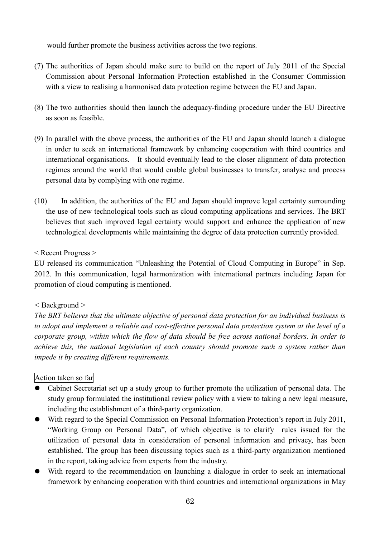would further promote the business activities across the two regions.

- (7) The authorities of Japan should make sure to build on the report of July 2011 of the Special Commission about Personal Information Protection established in the Consumer Commission with a view to realising a harmonised data protection regime between the EU and Japan.
- (8) The two authorities should then launch the adequacy-finding procedure under the EU Directive as soon as feasible.
- (9) In parallel with the above process, the authorities of the EU and Japan should launch a dialogue in order to seek an international framework by enhancing cooperation with third countries and international organisations. It should eventually lead to the closer alignment of data protection regimes around the world that would enable global businesses to transfer, analyse and process personal data by complying with one regime.
- (10) In addition, the authorities of the EU and Japan should improve legal certainty surrounding the use of new technological tools such as cloud computing applications and services. The BRT believes that such improved legal certainty would support and enhance the application of new technological developments while maintaining the degree of data protection currently provided.

< Recent Progress >

EU released its communication "Unleashing the Potential of Cloud Computing in Europe" in Sep. 2012. In this communication, legal harmonization with international partners including Japan for promotion of cloud computing is mentioned.

# *<* Background *>*

*The BRT believes that the ultimate objective of personal data protection for an individual business is to adopt and implement a reliable and cost-effective personal data protection system at the level of a corporate group, within which the flow of data should be free across national borders. In order to achieve this, the national legislation of each country should promote such a system rather than impede it by creating different requirements.*

# Action taken so far

- Cabinet Secretariat set up a study group to further promote the utilization of personal data. The study group formulated the institutional review policy with a view to taking a new legal measure, including the establishment of a third-party organization.
- With regard to the Special Commission on Personal Information Protection's report in July 2011, "Working Group on Personal Data", of which objective is to clarify rules issued for the utilization of personal data in consideration of personal information and privacy, has been established. The group has been discussing topics such as a third-party organization mentioned in the report, taking advice from experts from the industry.
- With regard to the recommendation on launching a dialogue in order to seek an international framework by enhancing cooperation with third countries and international organizations in May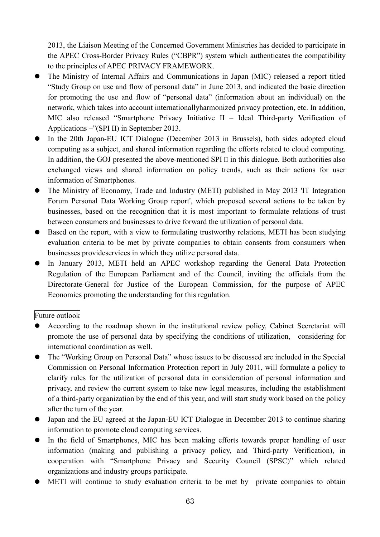2013, the Liaison Meeting of the Concerned Government Ministries has decided to participate in the APEC Cross-Border Privacy Rules ("CBPR") system which authenticates the compatibility to the principles of APEC PRIVACY FRAMEWORK.

- The Ministry of Internal Affairs and Communications in Japan (MIC) released a report titled "Study Group on use and flow of personal data" in June 2013, and indicated the basic direction for promoting the use and flow of "personal data" (information about an individual) on the network, which takes into account internationallyharmonized privacy protection, etc. In addition, MIC also released "Smartphone Privacy Initiative II – Ideal Third-party Verification of Applications –"(SPI II) in September 2013.
- In the 20th Japan-EU ICT Dialogue (December 2013 in Brussels), both sides adopted cloud computing as a subject, and shared information regarding the efforts related to cloud computing. In addition, the GOJ presented the above-mentioned SPI II in this dialogue. Both authorities also exchanged views and shared information on policy trends, such as their actions for user information of Smartphones.
- The Ministry of Economy, Trade and Industry (METI) published in May 2013 'IT Integration Forum Personal Data Working Group report', which proposed several actions to be taken by businesses, based on the recognition that it is most important to formulate relations of trust between consumers and businesses to drive forward the utilization of personal data.
- Based on the report, with a view to formulating trustworthy relations, METI has been studying evaluation criteria to be met by private companies to obtain consents from consumers when businesses provideservices in which they utilize personal data.
- In January 2013, METI held an APEC workshop regarding the General Data Protection Regulation of the European Parliament and of the Council, inviting the officials from the Directorate-General for Justice of the European Commission, for the purpose of APEC Economies promoting the understanding for this regulation.

# Future outlook

- According to the roadmap shown in the institutional review policy, Cabinet Secretariat will promote the use of personal data by specifying the conditions of utilization, considering for international coordination as well.
- The "Working Group on Personal Data" whose issues to be discussed are included in the Special Commission on Personal Information Protection report in July 2011, will formulate a policy to clarify rules for the utilization of personal data in consideration of personal information and privacy, and review the current system to take new legal measures, including the establishment of a third-party organization by the end of this year, and will start study work based on the policy after the turn of the year.
- Japan and the EU agreed at the Japan-EU ICT Dialogue in December 2013 to continue sharing information to promote cloud computing services.
- In the field of Smartphones, MIC has been making efforts towards proper handling of user information (making and publishing a privacy policy, and Third-party Verification), in cooperation with "Smartphone Privacy and Security Council (SPSC)" which related organizations and industry groups participate.
- METI will continue to study evaluation criteria to be met by private companies to obtain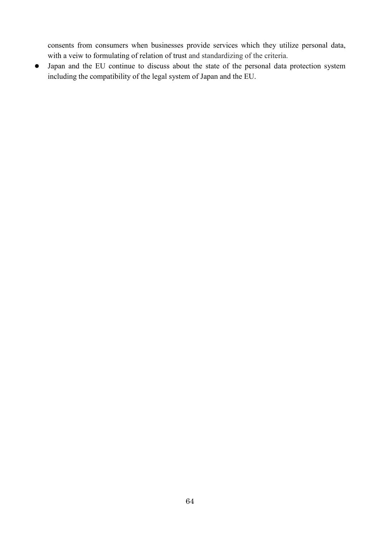consents from consumers when businesses provide services which they utilize personal data, with a veiw to formulating of relation of trust and standardizing of the criteria.

Japan and the EU continue to discuss about the state of the personal data protection system including the compatibility of the legal system of Japan and the EU.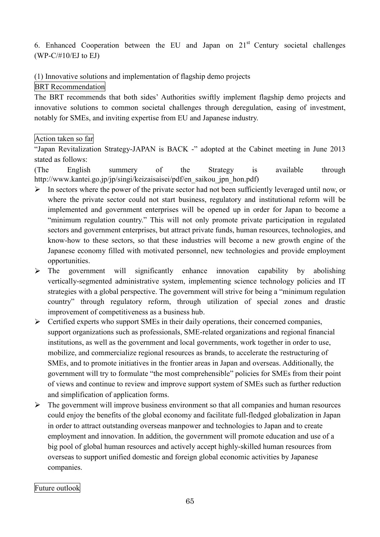6. Enhanced Cooperation between the EU and Japan on  $21<sup>st</sup>$  Century societal challenges  $(WP-C/\#10/EJ$  to EJ)

(1) Innovative solutions and implementation of flagship demo projects

## BRT Recommendation

The BRT recommends that both sides' Authorities swiftly implement flagship demo projects and innovative solutions to common societal challenges through deregulation, easing of investment, notably for SMEs, and inviting expertise from EU and Japanese industry.

# Action taken so far

"Japan Revitalization Strategy-JAPAN is BACK -" adopted at the Cabinet meeting in June 2013 stated as follows:

(The English summery of the Strategy is available through http://www.kantei.go.jp/jp/singi/keizaisaisei/pdf/en\_saikou\_jpn\_hon.pdf)

- $\triangleright$  In sectors where the power of the private sector had not been sufficiently leveraged until now, or where the private sector could not start business, regulatory and institutional reform will be implemented and government enterprises will be opened up in order for Japan to become a "minimum regulation country." This will not only promote private participation in regulated sectors and government enterprises, but attract private funds, human resources, technologies, and know-how to these sectors, so that these industries will become a new growth engine of the Japanese economy filled with motivated personnel, new technologies and provide employment opportunities.
- $\triangleright$  The government will significantly enhance innovation capability by abolishing vertically-segmented administrative system, implementing science technology policies and IT strategies with a global perspective. The government will strive for being a "minimum regulation country" through regulatory reform, through utilization of special zones and drastic improvement of competitiveness as a business hub.
- $\triangleright$  Certified experts who support SMEs in their daily operations, their concerned companies, support organizations such as professionals, SME-related organizations and regional financial institutions, as well as the government and local governments, work together in order to use, mobilize, and commercialize regional resources as brands, to accelerate the restructuring of SMEs, and to promote initiatives in the frontier areas in Japan and overseas. Additionally, the government will try to formulate "the most comprehensible" policies for SMEs from their point of views and continue to review and improve support system of SMEs such as further reduction and simplification of application forms.
- $\triangleright$  The government will improve business environment so that all companies and human resources could enjoy the benefits of the global economy and facilitate full-fledged globalization in Japan in order to attract outstanding overseas manpower and technologies to Japan and to create employment and innovation. In addition, the government will promote education and use of a big pool of global human resources and actively accept highly-skilled human resources from overseas to support unified domestic and foreign global economic activities by Japanese companies.

Future outlook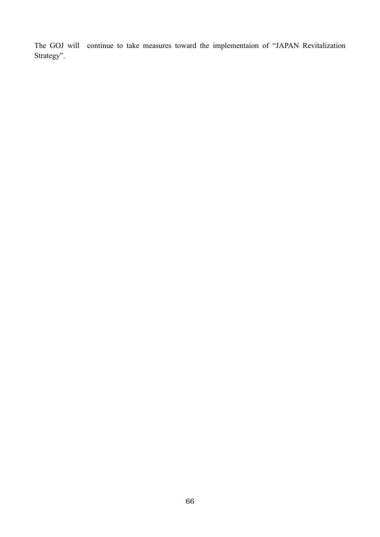The GOJ will continue to take measures toward the implementaion of "JAPAN Revitalization Strategy".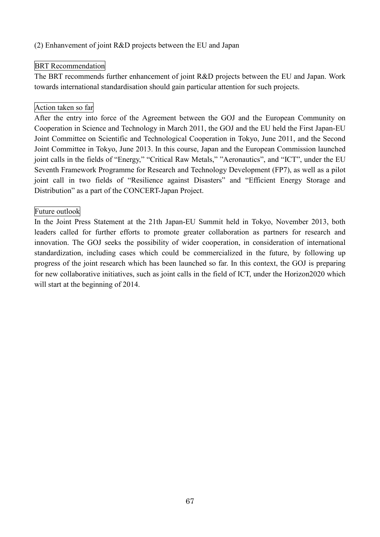## (2) Enhanvement of joint R&D projects between the EU and Japan

## BRT Recommendation

The BRT recommends further enhancement of joint R&D projects between the EU and Japan. Work towards international standardisation should gain particular attention for such projects.

## Action taken so far

After the entry into force of the Agreement between the GOJ and the European Community on Cooperation in Science and Technology in March 2011, the GOJ and the EU held the First Japan-EU Joint Committee on Scientific and Technological Cooperation in Tokyo, June 2011, and the Second Joint Committee in Tokyo, June 2013. In this course, Japan and the European Commission launched joint calls in the fields of "Energy," "Critical Raw Metals," "Aeronautics", and "ICT", under the EU Seventh Framework Programme for Research and Technology Development (FP7), as well as a pilot joint call in two fields of "Resilience against Disasters" and "Efficient Energy Storage and Distribution" as a part of the CONCERT-Japan Project.

## Future outlook

In the Joint Press Statement at the 21th Japan-EU Summit held in Tokyo, November 2013, both leaders called for further efforts to promote greater collaboration as partners for research and innovation. The GOJ seeks the possibility of wider cooperation, in consideration of international standardization, including cases which could be commercialized in the future, by following up progress of the joint research which has been launched so far. In this context, the GOJ is preparing for new collaborative initiatives, such as joint calls in the field of ICT, under the Horizon2020 which will start at the beginning of 2014.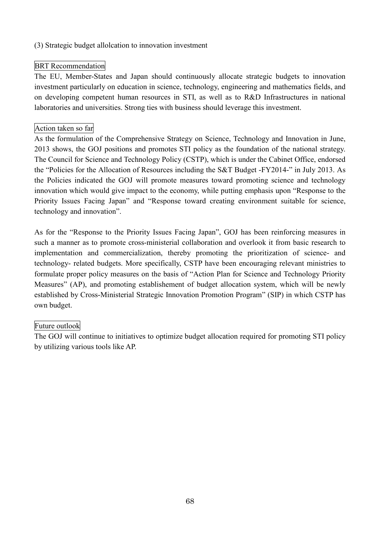## (3) Strategic budget allolcation to innovation investment

## BRT Recommendation

The EU, Member-States and Japan should continuously allocate strategic budgets to innovation investment particularly on education in science, technology, engineering and mathematics fields, and on developing competent human resources in STI, as well as to R&D Infrastructures in national laboratories and universities. Strong ties with business should leverage this investment.

## Action taken so far

As the formulation of the Comprehensive Strategy on Science, Technology and Innovation in June, 2013 shows, the GOJ positions and promotes STI policy as the foundation of the national strategy. The Council for Science and Technology Policy (CSTP), which is under the Cabinet Office, endorsed the "Policies for the Allocation of Resources including the S&T Budget -FY2014-" in July 2013. As the Policies indicated the GOJ will promote measures toward promoting science and technology innovation which would give impact to the economy, while putting emphasis upon "Response to the Priority Issues Facing Japan" and "Response toward creating environment suitable for science, technology and innovation".

As for the "Response to the Priority Issues Facing Japan", GOJ has been reinforcing measures in such a manner as to promote cross-ministerial collaboration and overlook it from basic research to implementation and commercialization, thereby promoting the prioritization of science- and technology- related budgets. More specifically, CSTP have been encouraging relevant ministries to formulate proper policy measures on the basis of "Action Plan for Science and Technology Priority Measures" (AP), and promoting establishement of budget allocation system, which will be newly established by Cross-Ministerial Strategic Innovation Promotion Program" (SIP) in which CSTP has own budget.

### Future outlook

The GOJ will continue to initiatives to optimize budget allocation required for promoting STI policy by utilizing various tools like AP.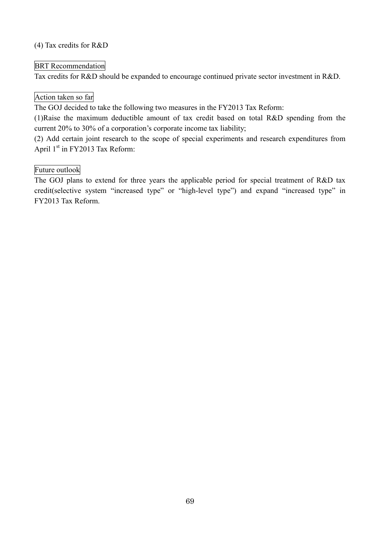## (4) Tax credits for R&D

## BRT Recommendation

Tax credits for R&D should be expanded to encourage continued private sector investment in R&D.

## Action taken so far

The GOJ decided to take the following two measures in the FY2013 Tax Reform:

(1)Raise the maximum deductible amount of tax credit based on total R&D spending from the current 20% to 30% of a corporation's corporate income tax liability;

(2) Add certain joint research to the scope of special experiments and research expenditures from April 1<sup>st</sup> in FY2013 Tax Reform:

## Future outlook

The GOJ plans to extend for three years the applicable period for special treatment of R&D tax credit(selective system "increased type" or "high-level type") and expand "increased type" in FY2013 Tax Reform.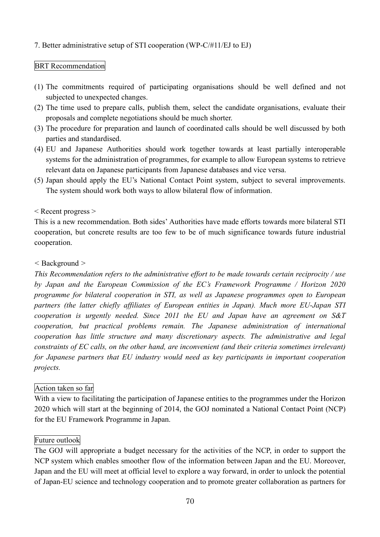## 7. Better administrative setup of STI cooperation (WP-C/#11/EJ to EJ)

## BRT Recommendation

- (1) The commitments required of participating organisations should be well defined and not subjected to unexpected changes.
- (2) The time used to prepare calls, publish them, select the candidate organisations, evaluate their proposals and complete negotiations should be much shorter.
- (3) The procedure for preparation and launch of coordinated calls should be well discussed by both parties and standardised.
- (4) EU and Japanese Authorities should work together towards at least partially interoperable systems for the administration of programmes, for example to allow European systems to retrieve relevant data on Japanese participants from Japanese databases and vice versa.
- (5) Japan should apply the EU's National Contact Point system, subject to several improvements. The system should work both ways to allow bilateral flow of information.

### < Recent progress >

This is a new recommendation. Both sides' Authorities have made efforts towards more bilateral STI cooperation, but concrete results are too few to be of much significance towards future industrial cooperation.

#### *<* Background *>*

*This Recommendation refers to the administrative effort to be made towards certain reciprocity / use by Japan and the European Commission of the EC's Framework Programme / Horizon 2020 programme for bilateral cooperation in STI, as well as Japanese programmes open to European partners (the latter chiefly affiliates of European entities in Japan). Much more EU-Japan STI cooperation is urgently needed. Since 2011 the EU and Japan have an agreement on S&T cooperation, but practical problems remain. The Japanese administration of international cooperation has little structure and many discretionary aspects. The administrative and legal constraints of EC calls, on the other hand, are inconvenient (and their criteria sometimes irrelevant) for Japanese partners that EU industry would need as key participants in important cooperation projects.*

### Action taken so far

With a view to facilitating the participation of Japanese entities to the programmes under the Horizon 2020 which will start at the beginning of 2014, the GOJ nominated a National Contact Point (NCP) for the EU Framework Programme in Japan.

### Future outlook

The GOJ will appropriate a budget necessary for the activities of the NCP, in order to support the NCP system which enables smoother flow of the information between Japan and the EU. Moreover, Japan and the EU will meet at official level to explore a way forward, in order to unlock the potential of Japan-EU science and technology cooperation and to promote greater collaboration as partners for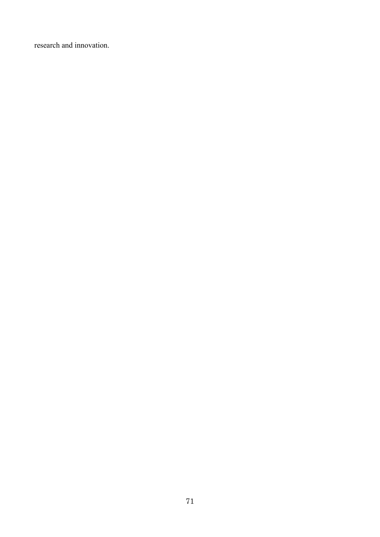research and innovation.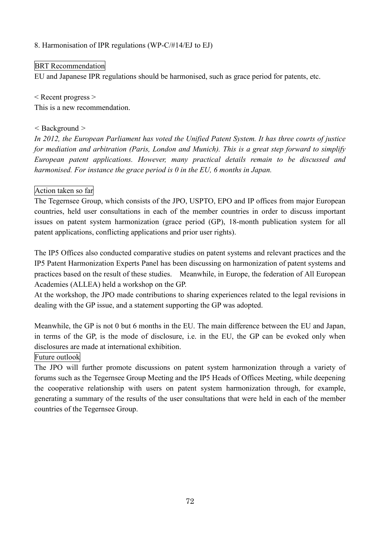### 8. Harmonisation of IPR regulations (WP-C/#14/EJ to EJ)

## BRT Recommendation

EU and Japanese IPR regulations should be harmonised, such as grace period for patents, etc.

< Recent progress > This is a new recommendation.

### *<* Background *>*

*In 2012, the European Parliament has voted the Unified Patent System. It has three courts of justice for mediation and arbitration (Paris, London and Munich). This is a great step forward to simplify European patent applications. However, many practical details remain to be discussed and harmonised. For instance the grace period is 0 in the EU, 6 months in Japan.*

## Action taken so far

The Tegernsee Group, which consists of the JPO, USPTO, EPO and IP offices from major European countries, held user consultations in each of the member countries in order to discuss important issues on patent system harmonization (grace period (GP), 18-month publication system for all patent applications, conflicting applications and prior user rights).

The IP5 Offices also conducted comparative studies on patent systems and relevant practices and the IP5 Patent Harmonization Experts Panel has been discussing on harmonization of patent systems and practices based on the result of these studies. Meanwhile, in Europe, the federation of All European Academies (ALLEA) held a workshop on the GP.

At the workshop, the JPO made contributions to sharing experiences related to the legal revisions in dealing with the GP issue, and a statement supporting the GP was adopted.

Meanwhile, the GP is not 0 but 6 months in the EU. The main difference between the EU and Japan, in terms of the GP, is the mode of disclosure, i.e. in the EU, the GP can be evoked only when disclosures are made at international exhibition.

### Future outlook

The JPO will further promote discussions on patent system harmonization through a variety of forums such as the Tegernsee Group Meeting and the IP5 Heads of Offices Meeting, while deepening the cooperative relationship with users on patent system harmonization through, for example, generating a summary of the results of the user consultations that were held in each of the member countries of the Tegernsee Group.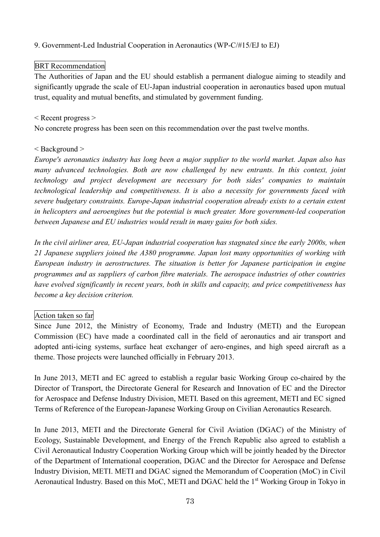### 9. Government-Led Industrial Cooperation in Aeronautics (WP-C/#15/EJ to EJ)

### BRT Recommendation

The Authorities of Japan and the EU should establish a permanent dialogue aiming to steadily and significantly upgrade the scale of EU-Japan industrial cooperation in aeronautics based upon mutual trust, equality and mutual benefits, and stimulated by government funding.

#### < Recent progress >

No concrete progress has been seen on this recommendation over the past twelve months.

### < Background >

*Europe's aeronautics industry has long been a major supplier to the world market. Japan also has many advanced technologies. Both are now challenged by new entrants. In this context, joint technology and project development are necessary for both sides' companies to maintain technological leadership and competitiveness. It is also a necessity for governments faced with severe budgetary constraints. Europe-Japan industrial cooperation already exists to a certain extent in helicopters and aeroengines but the potential is much greater. More government-led cooperation between Japanese and EU industries would result in many gains for both sides.*

*In the civil airliner area, EU-Japan industrial cooperation has stagnated since the early 2000s, when 21 Japanese suppliers joined the A380 programme. Japan lost many opportunities of working with European industry in aerostructures. The situation is better for Japanese participation in engine programmes and as suppliers of carbon fibre materials. The aerospace industries of other countries have evolved significantly in recent years, both in skills and capacity, and price competitiveness has become a key decision criterion.*

### Action taken so far

Since June 2012, the Ministry of Economy, Trade and Industry (METI) and the European Commission (EC) have made a coordinated call in the field of aeronautics and air transport and adopted anti-icing systems, surface heat exchanger of aero-engines, and high speed aircraft as a theme. Those projects were launched officially in February 2013.

In June 2013, METI and EC agreed to establish a regular basic Working Group co-chaired by the Director of Transport, the Directorate General for Research and Innovation of EC and the Director for Aerospace and Defense Industry Division, METI. Based on this agreement, METI and EC signed Terms of Reference of the European-Japanese Working Group on Civilian Aeronautics Research.

In June 2013, METI and the Directorate General for Civil Aviation (DGAC) of the Ministry of Ecology, Sustainable Development, and Energy of the French Republic also agreed to establish a Civil Aeronautical Industry Cooperation Working Group which will be jointly headed by the Director of the Department of International cooperation, DGAC and the Director for Aerospace and Defense Industry Division, METI. METI and DGAC signed the Memorandum of Cooperation (MoC) in Civil Aeronautical Industry. Based on this MoC, METI and DGAC held the 1<sup>st</sup> Working Group in Tokyo in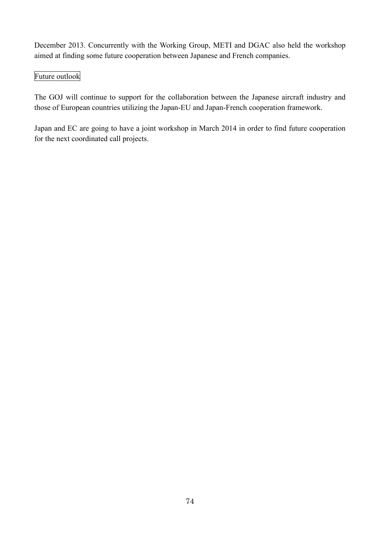December 2013. Concurrently with the Working Group, METI and DGAC also held the workshop aimed at finding some future cooperation between Japanese and French companies.

# Future outlook

The GOJ will continue to support for the collaboration between the Japanese aircraft industry and those of European countries utilizing the Japan-EU and Japan-French cooperation framework.

Japan and EC are going to have a joint workshop in March 2014 in order to find future cooperation for the next coordinated call projects.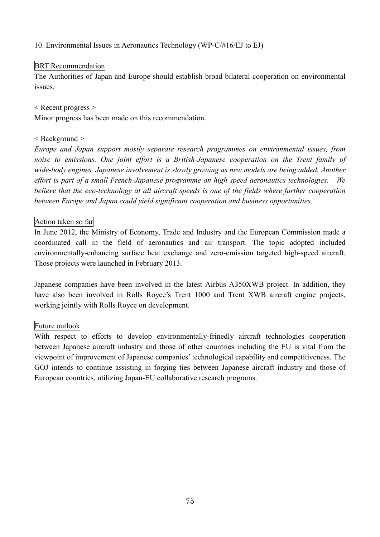10. Environmental Issues in Aeronautics Technology (WP-C/#16/EJ to EJ)

# BRT Recommendation

The Authorities of Japan and Europe should establish broad bilateral cooperation on environmental issues.

< Recent progress >

Minor progress has been made on this recommendation.

# < Background >

*Europe and Japan support mostly separate research programmes on environmental issues, from noise to emissions. One joint effort is a British-Japanese cooperation on the Trent family of wide-body engines. Japanese involvement is slowly growing as new models are being added. Another effort is part of a small French-Japanese programme on high speed aeronautics technologies. We believe that the eco-technology at all aircraft speeds is one of the fields where further cooperation between Europe and Japan could yield significant cooperation and business opportunities.*

# Action taken so far

In June 2012, the Ministry of Economy, Trade and Industry and the European Commission made a coordinated call in the field of aeronautics and air transport. The topic adopted included environmentally-enhancing surface heat exchange and zero-emission targeted high-speed aircraft. Those projects were launched in February 2013.

Japanese companies have been involved in the latest Airbus A350XWB project. In addition, they have also been involved in Rolls Royce's Trent 1000 and Trent XWB aircraft engine projects, working jointly with Rolls Royce on development.

# Future outlook

With respect to efforts to develop environmentally-frinedly aircraft technologies cooperation between Japanese aircraft industry and those of other countries including the EU is vital from the viewpoint of improvement of Japanese companies' technological capability and competitiveness. The GOJ intends to continue assisting in forging ties between Japanese aircraft industry and those of European countries, utilizing Japan-EU collaborative research programs.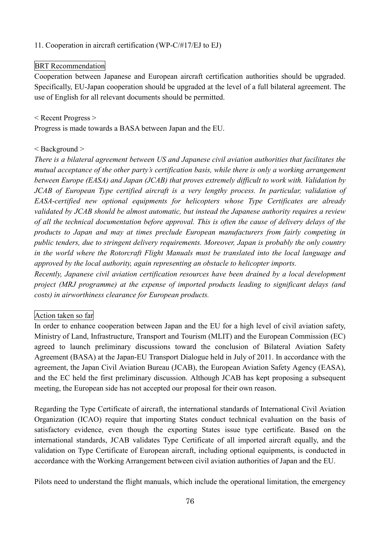# 11. Cooperation in aircraft certification (WP-C/#17/EJ to EJ)

# BRT Recommendation

Cooperation between Japanese and European aircraft certification authorities should be upgraded. Specifically, EU-Japan cooperation should be upgraded at the level of a full bilateral agreement. The use of English for all relevant documents should be permitted.

< Recent Progress >

Progress is made towards a BASA between Japan and the EU.

### < Background >

*There is a bilateral agreement between US and Japanese civil aviation authorities that facilitates the mutual acceptance of the other party's certification basis, while there is only a working arrangement between Europe (EASA) and Japan (JCAB) that proves extremely difficult to work with. Validation by JCAB of European Type certified aircraft is a very lengthy process. In particular, validation of EASA-certified new optional equipments for helicopters whose Type Certificates are already validated by JCAB should be almost automatic, but instead the Japanese authority requires a review of all the technical documentation before approval. This is often the cause of delivery delays of the products to Japan and may at times preclude European manufacturers from fairly competing in public tenders, due to stringent delivery requirements. Moreover, Japan is probably the only country in the world where the Rotorcraft Flight Manuals must be translated into the local language and approved by the local authority, again representing an obstacle to helicopter imports.*

*Recently, Japanese civil aviation certification resources have been drained by a local development project (MRJ programme) at the expense of imported products leading to significant delays (and costs) in airworthiness clearance for European products.*

### Action taken so far

In order to enhance cooperation between Japan and the EU for a high level of civil aviation safety, Ministry of Land, Infrastructure, Transport and Tourism (MLIT) and the European Commission (EC) agreed to launch preliminary discussions toward the conclusion of Bilateral Aviation Safety Agreement (BASA) at the Japan-EU Transport Dialogue held in July of 2011. In accordance with the agreement, the Japan Civil Aviation Bureau (JCAB), the European Aviation Safety Agency (EASA), and the EC held the first preliminary discussion. Although JCAB has kept proposing a subsequent meeting, the European side has not accepted our proposal for their own reason.

Regarding the Type Certificate of aircraft, the international standards of International Civil Aviation Organization (ICAO) require that importing States conduct technical evaluation on the basis of satisfactory evidence, even though the exporting States issue type certificate. Based on the international standards, JCAB validates Type Certificate of all imported aircraft equally, and the validation on Type Certificate of European aircraft, including optional equipments, is conducted in accordance with the Working Arrangement between civil aviation authorities of Japan and the EU.

Pilots need to understand the flight manuals, which include the operational limitation, the emergency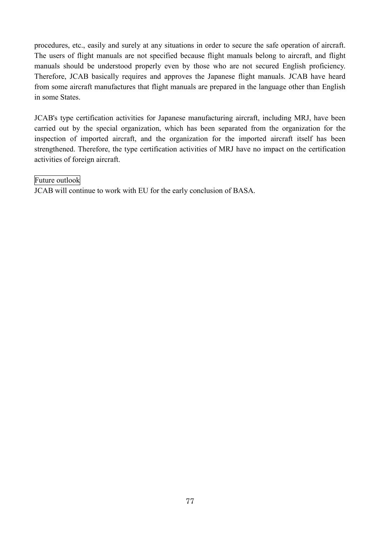procedures, etc., easily and surely at any situations in order to secure the safe operation of aircraft. The users of flight manuals are not specified because flight manuals belong to aircraft, and flight manuals should be understood properly even by those who are not secured English proficiency. Therefore, JCAB basically requires and approves the Japanese flight manuals. JCAB have heard from some aircraft manufactures that flight manuals are prepared in the language other than English in some States.

JCAB's type certification activities for Japanese manufacturing aircraft, including MRJ, have been carried out by the special organization, which has been separated from the organization for the inspection of imported aircraft, and the organization for the imported aircraft itself has been strengthened. Therefore, the type certification activities of MRJ have no impact on the certification activities of foreign aircraft.

#### Future outlook

JCAB will continue to work with EU for the early conclusion of BASA.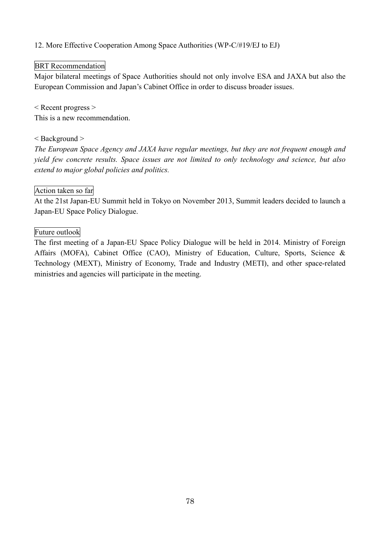12. More Effective Cooperation Among Space Authorities (WP-C/#19/EJ to EJ)

# BRT Recommendation

Major bilateral meetings of Space Authorities should not only involve ESA and JAXA but also the European Commission and Japan's Cabinet Office in order to discuss broader issues.

< Recent progress > This is a new recommendation.

### < Background >

*The European Space Agency and JAXA have regular meetings, but they are not frequent enough and yield few concrete results. Space issues are not limited to only technology and science, but also extend to major global policies and politics.*

# Action taken so far

At the 21st Japan-EU Summit held in Tokyo on November 2013, Summit leaders decided to launch a Japan-EU Space Policy Dialogue.

### Future outlook

The first meeting of a Japan-EU Space Policy Dialogue will be held in 2014. Ministry of Foreign Affairs (MOFA), Cabinet Office (CAO), Ministry of Education, Culture, Sports, Science & Technology (MEXT), Ministry of Economy, Trade and Industry (METI), and other space-related ministries and agencies will participate in the meeting.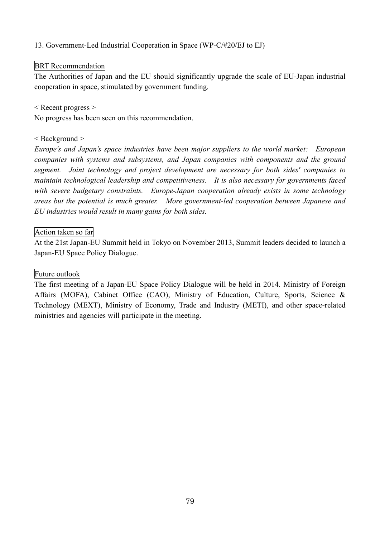13. Government-Led Industrial Cooperation in Space (WP-C/#20/EJ to EJ)

# BRT Recommendation

The Authorities of Japan and the EU should significantly upgrade the scale of EU-Japan industrial cooperation in space, stimulated by government funding.

< Recent progress >

No progress has been seen on this recommendation.

### < Background >

*Europe's and Japan's space industries have been major suppliers to the world market: European companies with systems and subsystems, and Japan companies with components and the ground segment. Joint technology and project development are necessary for both sides' companies to maintain technological leadership and competitiveness. It is also necessary for governments faced with severe budgetary constraints. Europe-Japan cooperation already exists in some technology areas but the potential is much greater. More government-led cooperation between Japanese and EU industries would result in many gains for both sides.*

### Action taken so far

At the 21st Japan-EU Summit held in Tokyo on November 2013, Summit leaders decided to launch a Japan-EU Space Policy Dialogue.

### Future outlook

The first meeting of a Japan-EU Space Policy Dialogue will be held in 2014. Ministry of Foreign Affairs (MOFA), Cabinet Office (CAO), Ministry of Education, Culture, Sports, Science & Technology (MEXT), Ministry of Economy, Trade and Industry (METI), and other space-related ministries and agencies will participate in the meeting.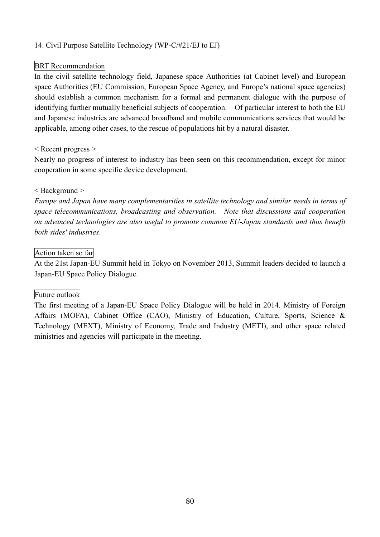# 14. Civil Purpose Satellite Technology (WP-C/#21/EJ to EJ)

### BRT Recommendation

In the civil satellite technology field, Japanese space Authorities (at Cabinet level) and European space Authorities (EU Commission, European Space Agency, and Europe's national space agencies) should establish a common mechanism for a formal and permanent dialogue with the purpose of identifying further mutually beneficial subjects of cooperation. Of particular interest to both the EU and Japanese industries are advanced broadband and mobile communications services that would be applicable, among other cases, to the rescue of populations hit by a natural disaster.

#### < Recent progress >

Nearly no progress of interest to industry has been seen on this recommendation, except for minor cooperation in some specific device development.

#### < Background >

*Europe and Japan have many complementarities in satellite technology and similar needs in terms of space telecommunications, broadcasting and observation. Note that discussions and cooperation on advanced technologies are also useful to promote common EU-Japan standards and thus benefit both sides' industries*.

#### Action taken so far

At the 21st Japan-EU Summit held in Tokyo on November 2013, Summit leaders decided to launch a Japan-EU Space Policy Dialogue.

### Future outlook

The first meeting of a Japan-EU Space Policy Dialogue will be held in 2014. Ministry of Foreign Affairs (MOFA), Cabinet Office (CAO), Ministry of Education, Culture, Sports, Science & Technology (MEXT), Ministry of Economy, Trade and Industry (METI), and other space related ministries and agencies will participate in the meeting.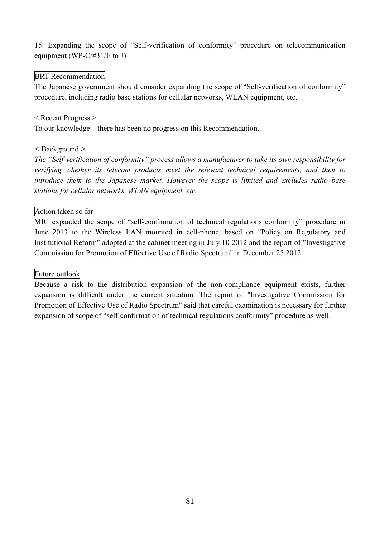15. Expanding the scope of "Self-verification of conformity" procedure on telecommunication equipment (WP-C/#31/E to J)

#### BRT Recommendation

The Japanese government should consider expanding the scope of "Self-verification of conformity" procedure, including radio base stations for cellular networks, WLAN equipment, etc.

#### < Recent Progress >

To our knowledge there has been no progress on this Recommendation.

### *<* Background *>*

*The "Self-verification of conformity" process allows a manufacturer to take its own responsibility for verifying whether its telecom products meet the relevant technical requirements, and then to introduce them to the Japanese market. However the scope is limited and excludes radio base stations for cellular networks, WLAN equipment, etc.*

# Action taken so far

MIC expanded the scope of "self-confirmation of technical regulations conformity" procedure in June 2013 to the Wireless LAN mounted in cell-phone, based on "Policy on Regulatory and Institutional Reform" adopted at the cabinet meeting in July 10 2012 and the report of "Investigative Commission for Promotion of Effective Use of Radio Spectrum" in December 25 2012.

### Future outlook

Because a risk to the distribution expansion of the non-compliance equipment exists, further expansion is difficult under the current situation. The report of "Investigative Commission for Promotion of Effective Use of Radio Spectrum" said that careful examination is necessary for further expansion of scope of "self-confirmation of technical regulations conformity" procedure as well.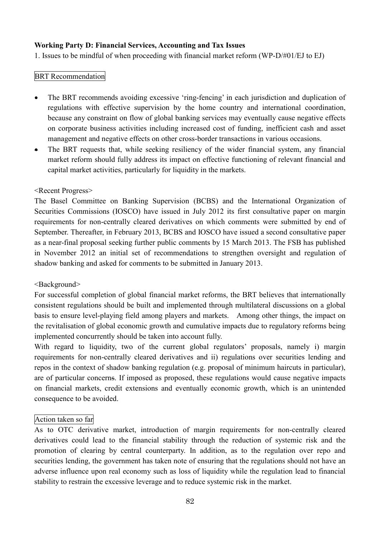### **Working Party D: Financial Services, Accounting and Tax Issues**

1. Issues to be mindful of when proceeding with financial market reform (WP-D/#01/EJ to EJ)

### BRT Recommendation

- The BRT recommends avoiding excessive 'ring-fencing' in each jurisdiction and duplication of regulations with effective supervision by the home country and international coordination, because any constraint on flow of global banking services may eventually cause negative effects on corporate business activities including increased cost of funding, inefficient cash and asset management and negative effects on other cross-border transactions in various occasions.
- The BRT requests that, while seeking resiliency of the wider financial system, any financial market reform should fully address its impact on effective functioning of relevant financial and capital market activities, particularly for liquidity in the markets.

### <Recent Progress>

The Basel Committee on Banking Supervision (BCBS) and the International Organization of Securities Commissions (IOSCO) have issued in July 2012 its first consultative paper on margin requirements for non-centrally cleared derivatives on which comments were submitted by end of September. Thereafter, in February 2013, BCBS and IOSCO have issued a second consultative paper as a near-final proposal seeking further public comments by 15 March 2013. The FSB has published in November 2012 an initial set of recommendations to strengthen oversight and regulation of shadow banking and asked for comments to be submitted in January 2013.

### <Background>

For successful completion of global financial market reforms, the BRT believes that internationally consistent regulations should be built and implemented through multilateral discussions on a global basis to ensure level-playing field among players and markets. Among other things, the impact on the revitalisation of global economic growth and cumulative impacts due to regulatory reforms being implemented concurrently should be taken into account fully.

With regard to liquidity, two of the current global regulators' proposals, namely i) margin requirements for non-centrally cleared derivatives and ii) regulations over securities lending and repos in the context of shadow banking regulation (e.g. proposal of minimum haircuts in particular), are of particular concerns. If imposed as proposed, these regulations would cause negative impacts on financial markets, credit extensions and eventually economic growth, which is an unintended consequence to be avoided.

### Action taken so far

As to OTC derivative market, introduction of margin requirements for non-centrally cleared derivatives could lead to the financial stability through the reduction of systemic risk and the promotion of clearing by central counterparty. In addition, as to the regulation over repo and securities lending, the government has taken note of ensuring that the regulations should not have an adverse influence upon real economy such as loss of liquidity while the regulation lead to financial stability to restrain the excessive leverage and to reduce systemic risk in the market.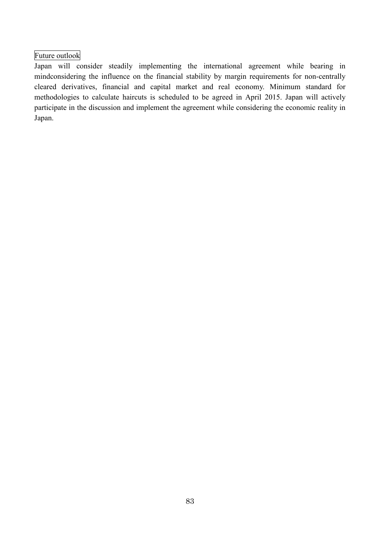# Future outlook

Japan will consider steadily implementing the international agreement while bearing in mindconsidering the influence on the financial stability by margin requirements for non-centrally cleared derivatives, financial and capital market and real economy. Minimum standard for methodologies to calculate haircuts is scheduled to be agreed in April 2015. Japan will actively participate in the discussion and implement the agreement while considering the economic reality in Japan.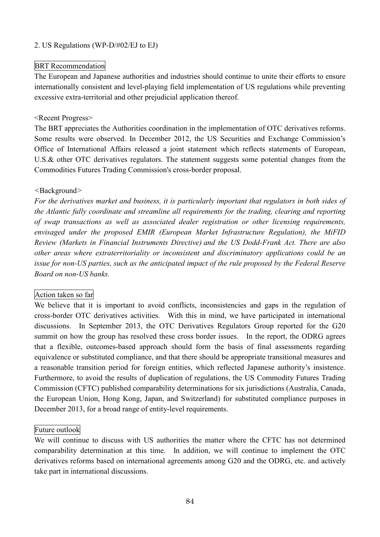### 2. US Regulations (WP-D/#02/EJ to EJ)

#### BRT Recommendation

The European and Japanese authorities and industries should continue to unite their efforts to ensure internationally consistent and level-playing field implementation of US regulations while preventing excessive extra-territorial and other prejudicial application thereof.

#### <Recent Progress>

The BRT appreciates the Authorities coordination in the implementation of OTC derivatives reforms. Some results were observed. In December 2012, the US Securities and Exchange Commission's Office of International Affairs released a joint statement which reflects statements of European, U.S.& other OTC derivatives regulators. The statement suggests some potential changes from the Commodities Futures Trading Commission's cross-border proposal.

#### *<*Background*>*

*For the derivatives market and business, it is particularly important that regulators in both sides of the Atlantic fully coordinate and streamline all requirements for the trading, clearing and reporting of swap transactions as well as associated dealer registration or other licensing requirements, envisaged under the proposed EMIR (European Market Infrastructure Regulation), the MiFID Review (Markets in Financial Instruments Directive) and the US Dodd-Frank Act. There are also other areas where extraterritoriality or inconsistent and discriminatory applications could be an issue for non-US parties, such as the anticipated impact of the rule proposed by the Federal Reserve Board on non-US banks.*

### Action taken so far

We believe that it is important to avoid conflicts, inconsistencies and gaps in the regulation of cross-border OTC derivatives activities. With this in mind, we have participated in international discussions. In September 2013, the OTC Derivatives Regulators Group reported for the G20 summit on how the group has resolved these cross border issues. In the report, the ODRG agrees that a flexible, outcomes-based approach should form the basis of final assessments regarding equivalence or substituted compliance, and that there should be appropriate transitional measures and a reasonable transition period for foreign entities, which reflected Japanese authority's insistence. Furthermore, to avoid the results of duplication of regulations, the US Commodity Futures Trading Commission (CFTC) published comparability determinations for six jurisdictions (Australia, Canada, the European Union, Hong Kong, Japan, and Switzerland) for substituted compliance purposes in December 2013, for a broad range of entity-level requirements.

### Future outlook

We will continue to discuss with US authorities the matter where the CFTC has not determined comparability determination at this time. In addition, we will continue to implement the OTC derivatives reforms based on international agreements among G20 and the ODRG, etc. and actively take part in international discussions.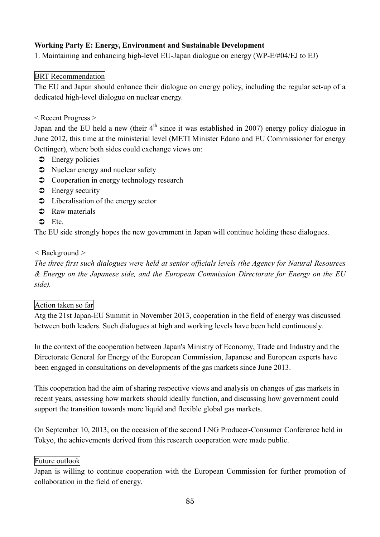# **Working Party E: Energy, Environment and Sustainable Development**

1. Maintaining and enhancing high-level EU-Japan dialogue on energy (WP-E/#04/EJ to EJ)

# BRT Recommendation

The EU and Japan should enhance their dialogue on energy policy, including the regular set-up of a dedicated high-level dialogue on nuclear energy.

### < Recent Progress >

Japan and the EU held a new (their  $4<sup>th</sup>$  since it was established in 2007) energy policy dialogue in June 2012, this time at the ministerial level (METI Minister Edano and EU Commissioner for energy Oettinger), where both sides could exchange views on:

- $\bullet$  Energy policies
- Nuclear energy and nuclear safety
- $\supset$  Cooperation in energy technology research
- $\bullet$  Energy security
- $\bullet$  Liberalisation of the energy sector
- **C** Raw materials
- $\bullet$  Etc.

The EU side strongly hopes the new government in Japan will continue holding these dialogues.

### *<* Background *>*

*The three first such dialogues were held at senior officials levels (the Agency for Natural Resources & Energy on the Japanese side, and the European Commission Directorate for Energy on the EU side).*

### Action taken so far

Atg the 21st Japan-EU Summit in November 2013, cooperation in the field of energy was discussed between both leaders. Such dialogues at high and working levels have been held continuously.

In the context of the cooperation between Japan's Ministry of Economy, Trade and Industry and the Directorate General for Energy of the European Commission, Japanese and European experts have been engaged in consultations on developments of the gas markets since June 2013.

This cooperation had the aim of sharing respective views and analysis on changes of gas markets in recent years, assessing how markets should ideally function, and discussing how government could support the transition towards more liquid and flexible global gas markets.

On September 10, 2013, on the occasion of the second LNG Producer-Consumer Conference held in Tokyo, the achievements derived from this research cooperation were made public.

### Future outlook

Japan is willing to continue cooperation with the European Commission for further promotion of collaboration in the field of energy.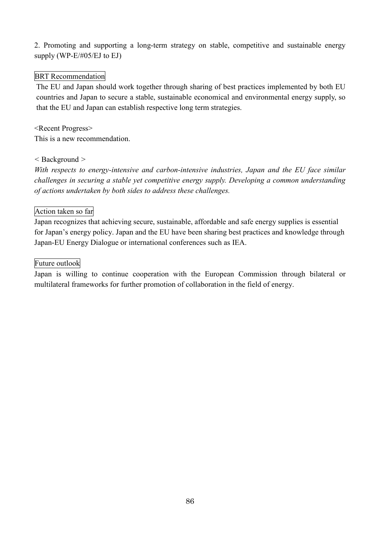2. Promoting and supporting a long-term strategy on stable, competitive and sustainable energy supply (WP-E/#05/EJ to EJ)

# BRT Recommendation

The EU and Japan should work together through sharing of best practices implemented by both EU countries and Japan to secure a stable, sustainable economical and environmental energy supply, so that the EU and Japan can establish respective long term strategies.

<Recent Progress> This is a new recommendation.

### *<* Background *>*

*With respects to energy-intensive and carbon-intensive industries, Japan and the EU face similar challenges in securing a stable yet competitive energy supply. Developing a common understanding of actions undertaken by both sides to address these challenges.*

### Action taken so far

Japan recognizes that achieving secure, sustainable, affordable and safe energy supplies is essential for Japan's energy policy. Japan and the EU have been sharing best practices and knowledge through Japan-EU Energy Dialogue or international conferences such as IEA.

#### Future outlook

Japan is willing to continue cooperation with the European Commission through bilateral or multilateral frameworks for further promotion of collaboration in the field of energy.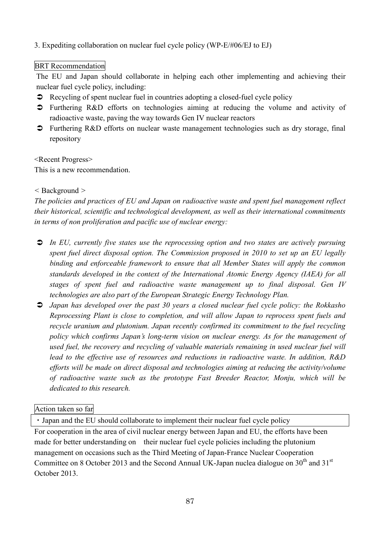# 3. Expediting collaboration on nuclear fuel cycle policy (WP-E/#06/EJ to EJ)

### BRT Recommendation

The EU and Japan should collaborate in helping each other implementing and achieving their nuclear fuel cycle policy, including:

- $\bullet$  Recycling of spent nuclear fuel in countries adopting a closed-fuel cycle policy
- Furthering R&D efforts on technologies aiming at reducing the volume and activity of radioactive waste, paving the way towards Gen IV nuclear reactors
- Furthering R&D efforts on nuclear waste management technologies such as dry storage, final repository

<Recent Progress>

This is a new recommendation.

### *<* Background *>*

*The policies and practices of EU and Japan on radioactive waste and spent fuel management reflect their historical, scientific and technological development, as well as their international commitments in terms of non proliferation and pacific use of nuclear energy:*

- *In EU, currently five states use the reprocessing option and two states are actively pursuing spent fuel direct disposal option. The Commission proposed in 2010 to set up an EU legally binding and enforceable framework to ensure that all Member States will apply the common standards developed in the context of the International Atomic Energy Agency (IAEA) for all stages of spent fuel and radioactive waste management up to final disposal. Gen IV technologies are also part of the European Strategic Energy Technology Plan.*
- *Japan has developed over the past 30 years a closed nuclear fuel cycle policy: the Rokkasho Reprocessing Plant is close to completion, and will allow Japan to reprocess spent fuels and recycle uranium and plutonium. Japan recently confirmed its commitment to the fuel recycling policy which confirms Japan's long-term vision on nuclear energy. As for the management of used fuel, the recovery and recycling of valuable materials remaining in used nuclear fuel will lead to the effective use of resources and reductions in radioactive waste. In addition, R&D efforts will be made on direct disposal and technologies aiming at reducing the activity/volume of radioactive waste such as the prototype Fast Breeder Reactor, Monju, which will be dedicated to this research.*

### Action taken so far

・Japan and the EU should collaborate to implement their nuclear fuel cycle policy

For cooperation in the area of civil nuclear energy between Japan and EU, the efforts have been made for better understanding on their nuclear fuel cycle policies including the plutonium management on occasions such as the Third Meeting of Japan-France Nuclear Cooperation Committee on 8 October 2013 and the Second Annual UK-Japan nuclea dialogue on  $30<sup>th</sup>$  and  $31<sup>st</sup>$ October 2013.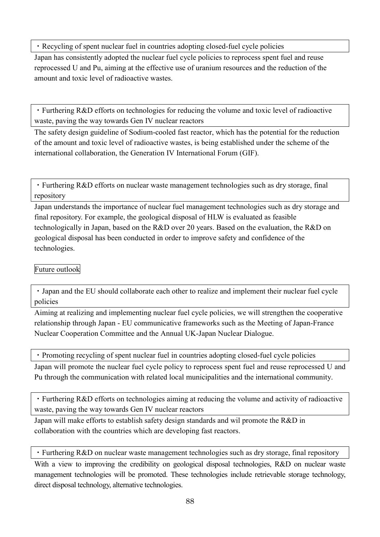・Recycling of spent nuclear fuel in countries adopting closed-fuel cycle policies

Japan has consistently adopted the nuclear fuel cycle policies to reprocess spent fuel and reuse reprocessed U and Pu, aiming at the effective use of uranium resources and the reduction of the amount and toxic level of radioactive wastes.

・Furthering R&D efforts on technologies for reducing the volume and toxic level of radioactive waste, paving the way towards Gen IV nuclear reactors

The safety design guideline of Sodium-cooled fast reactor, which has the potential for the reduction of the amount and toxic level of radioactive wastes, is being established under the scheme of the international collaboration, the Generation IV International Forum (GIF).

・Furthering R&D efforts on nuclear waste management technologies such as dry storage, final repository

Japan understands the importance of nuclear fuel management technologies such as dry storage and final repository. For example, the geological disposal of HLW is evaluated as feasible technologically in Japan, based on the R&D over 20 years. Based on the evaluation, the R&D on geological disposal has been conducted in order to improve safety and confidence of the technologies.

# Future outlook

・Japan and the EU should collaborate each other to realize and implement their nuclear fuel cycle policies

Aiming at realizing and implementing nuclear fuel cycle policies, we will strengthen the cooperative relationship through Japan - EU communicative frameworks such as the Meeting of Japan-France Nuclear Cooperation Committee and the Annual UK-Japan Nuclear Dialogue.

・Promoting recycling of spent nuclear fuel in countries adopting closed-fuel cycle policies

Japan will promote the nuclear fuel cycle policy to reprocess spent fuel and reuse reprocessed U and Pu through the communication with related local municipalities and the international community.

・Furthering R&D efforts on technologies aiming at reducing the volume and activity of radioactive waste, paving the way towards Gen IV nuclear reactors

Japan will make efforts to establish safety design standards and wil promote the R&D in collaboration with the countries which are developing fast reactors.

・Furthering R&D on nuclear waste management technologies such as dry storage, final repository

With a view to improving the credibility on geological disposal technologies, R&D on nuclear waste management technologies will be promoted. These technologies include retrievable storage technology, direct disposal technology, alternative technologies.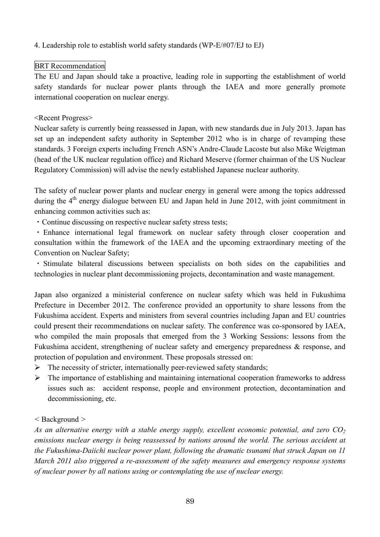# 4. Leadership role to establish world safety standards (WP-E/#07/EJ to EJ)

### BRT Recommendation

The EU and Japan should take a proactive, leading role in supporting the establishment of world safety standards for nuclear power plants through the IAEA and more generally promote international cooperation on nuclear energy.

### <Recent Progress>

Nuclear safety is currently being reassessed in Japan, with new standards due in July 2013. Japan has set up an independent safety authority in September 2012 who is in charge of revamping these standards. 3 Foreign experts including French ASN's Andre-Claude Lacoste but also Mike Weigtman (head of the UK nuclear regulation office) and Richard Meserve (former chairman of the US Nuclear Regulatory Commission) will advise the newly established Japanese nuclear authority.

The safety of nuclear power plants and nuclear energy in general were among the topics addressed during the  $4<sup>th</sup>$  energy dialogue between EU and Japan held in June 2012, with joint commitment in enhancing common activities such as:

・Continue discussing on respective nuclear safety stress tests;

・Enhance international legal framework on nuclear safety through closer cooperation and consultation within the framework of the IAEA and the upcoming extraordinary meeting of the Convention on Nuclear Safety;

・ Stimulate bilateral discussions between specialists on both sides on the capabilities and technologies in nuclear plant decommissioning projects, decontamination and waste management.

Japan also organized a ministerial conference on nuclear safety which was held in Fukushima Prefecture in December 2012. The conference provided an opportunity to share lessons from the Fukushima accident. Experts and ministers from several countries including Japan and EU countries could present their recommendations on nuclear safety. The conference was co-sponsored by IAEA, who compiled the main proposals that emerged from the 3 Working Sessions: lessons from the Fukushima accident, strengthening of nuclear safety and emergency preparedness & response, and protection of population and environment. These proposals stressed on:

- $\triangleright$  The necessity of stricter, internationally peer-reviewed safety standards;
- $\triangleright$  The importance of establishing and maintaining international cooperation frameworks to address issues such as: accident response, people and environment protection, decontamination and decommissioning, etc.

### *<* Background *>*

*As an alternative energy with a stable energy supply, excellent economic potential, and zero CO<sup>2</sup> emissions nuclear energy is being reassessed by nations around the world. The serious accident at the Fukushima-Daiichi nuclear power plant, following the dramatic tsunami that struck Japan on 11 March 2011 also triggered a re-assessment of the safety measures and emergency response systems of nuclear power by all nations using or contemplating the use of nuclear energy.*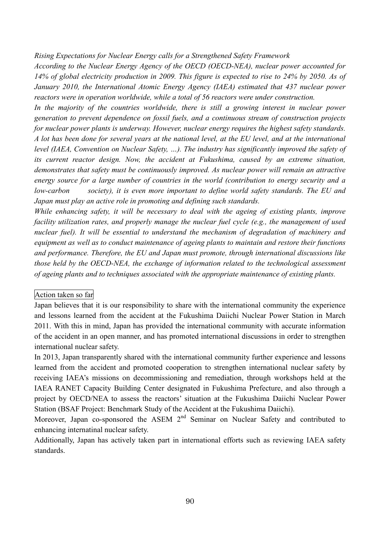#### *Rising Expectations for Nuclear Energy calls for a Strengthened Safety Framework*

*According to the Nuclear Energy Agency of the OECD (OECD-NEA), nuclear power accounted for* 14% of global electricity production in 2009. This figure is expected to rise to 24% by 2050. As of *January 2010, the International Atomic Energy Agency (IAEA) estimated that 437 nuclear power reactors were in operation worldwide, while a total of 56 reactors were under construction.*

*In the majority of the countries worldwide, there is still a growing interest in nuclear power generation to prevent dependence on fossil fuels, and a continuous stream of construction projects for nuclear power plants is underway. However, nuclear energy requires the highest safety standards.* A lot has been done for several years at the national level, at the EU level, and at the international *level (IAEA, Convention on Nuclear Safety, …). The industry has significantly improved the safety of its current reactor design. Now, the accident at Fukushima, caused by an extreme situation, demonstrates that safety must be continuously improved. As nuclear power will remain an attractive energy source for a large number of countries in the world (contribution to energy security and a low-carbon society), it is even more important to define world safety standards. The EU and Japan must play an active role in promoting and defining such standards.*

*While enhancing safety, it will be necessary to deal with the ageing of existing plants, improve facility utilization rates, and properly manage the nuclear fuel cycle (e.g., the management of used nuclear fuel). It will be essential to understand the mechanism of degradation of machinery and equipment as well as to conduct maintenance of ageing plants to maintain and restore their functions and performance. Therefore, the EU and Japan must promote, through international discussions like those held by the OECD-NEA, the exchange of information related to the technological assessment of ageing plants and to techniques associated with the appropriate maintenance of existing plants.*

#### Action taken so far

In 2013, Japan transparently shared with the international community further experience and lessons learned from the accident and promoted cooperation to strengthen international nuclear safety by receiving IAEA's missions on decommissioning and remediation, through workshops held at the IAEA RANET Capacity Building Center designated in Fukushima Prefecture, and also through a project by OECD/NEA to assess the reactors' situation at the Fukushima Daiichi Nuclear Power Station (BSAF Project: Benchmark Study of the Accident at the Fukushima Daiichi).

Moreover, Japan co-sponsored the ASEM 2<sup>nd</sup> Seminar on Nuclear Safety and contributed to enhancing internatinal nuclear safety.

Additionally, Japan has actively taken part in international efforts such as reviewing IAEA safety standards.

Japan believes that it is our responsibility to share with the international community the experience and lessons learned from the accident at the Fukushima Daiichi Nuclear Power Station in March 2011. With this in mind, Japan has provided the international community with accurate information of the accident in an open manner, and has promoted international discussions in order to strengthen international nuclear safety.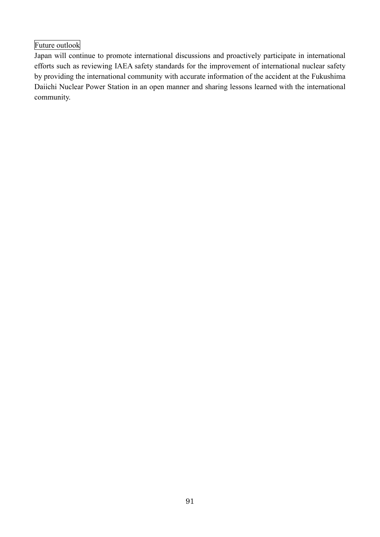# Future outlook

Japan will continue to promote international discussions and proactively participate in international efforts such as reviewing IAEA safety standards for the improvement of international nuclear safety by providing the international community with accurate information of the accident at the Fukushima Daiichi Nuclear Power Station in an open manner and sharing lessons learned with the international community.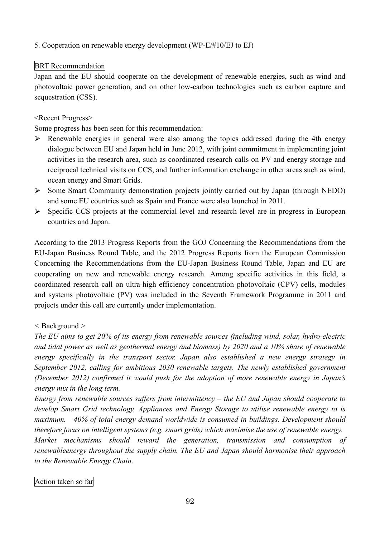# 5. Cooperation on renewable energy development (WP-E/#10/EJ to EJ)

## BRT Recommendation

Japan and the EU should cooperate on the development of renewable energies, such as wind and photovoltaic power generation, and on other low-carbon technologies such as carbon capture and sequestration (CSS).

### <Recent Progress>

Some progress has been seen for this recommendation:

- $\triangleright$  Renewable energies in general were also among the topics addressed during the 4th energy dialogue between EU and Japan held in June 2012, with joint commitment in implementing joint activities in the research area, such as coordinated research calls on PV and energy storage and reciprocal technical visits on CCS, and further information exchange in other areas such as wind, ocean energy and Smart Grids.
- Some Smart Community demonstration projects jointly carried out by Japan (through NEDO) and some EU countries such as Spain and France were also launched in 2011.
- $\triangleright$  Specific CCS projects at the commercial level and research level are in progress in European countries and Japan.

According to the 2013 Progress Reports from the GOJ Concerning the Recommendations from the EU-Japan Business Round Table, and the 2012 Progress Reports from the European Commission Concerning the Recommendations from the EU-Japan Business Round Table, Japan and EU are cooperating on new and renewable energy research. Among specific activities in this field, a coordinated research call on ultra-high efficiency concentration photovoltaic (CPV) cells, modules and systems photovoltaic (PV) was included in the Seventh Framework Programme in 2011 and projects under this call are currently under implementation.

### *<* Background *>*

*The EU aims to get 20% of its energy from renewable sources (including wind, solar, hydro-electric and tidal power as well as geothermal energy and biomass) by 2020 and a 10% share of renewable energy specifically in the transport sector. Japan also established a new energy strategy in September 2012, calling for ambitious 2030 renewable targets. The newly established government (December 2012) confirmed it would push for the adoption of more renewable energy in Japan's energy mix in the long term.*

*Energy from renewable sources suffers from intermittency – the EU and Japan should cooperate to develop Smart Grid technology, Appliances and Energy Storage to utilise renewable energy to is maximum. 40% of total energy demand worldwide is consumed in buildings. Development should therefore focus on intelligent systems (e.g. smart grids) which maximise the use of renewable energy.*

*Market mechanisms should reward the generation, transmission and consumption of renewableenergy throughout the supply chain. The EU and Japan should harmonise their approach to the Renewable Energy Chain.*

### Action taken so far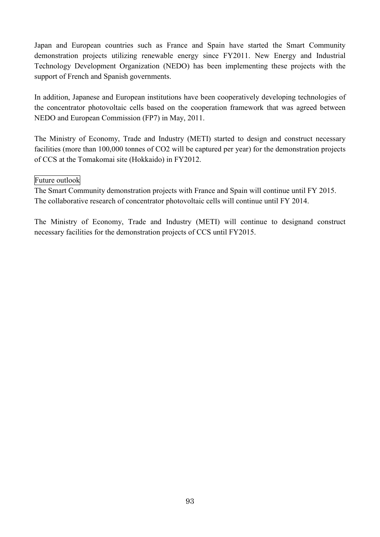Japan and European countries such as France and Spain have started the Smart Community demonstration projects utilizing renewable energy since FY2011. New Energy and Industrial Technology Development Organization (NEDO) has been implementing these projects with the support of French and Spanish governments.

In addition, Japanese and European institutions have been cooperatively developing technologies of the concentrator photovoltaic cells based on the cooperation framework that was agreed between NEDO and European Commission (FP7) in May, 2011.

The Ministry of Economy, Trade and Industry (METI) started to design and construct necessary facilities (more than 100,000 tonnes of CO2 will be captured per year) for the demonstration projects of CCS at the Tomakomai site (Hokkaido) in FY2012.

# Future outlook

The Smart Community demonstration projects with France and Spain will continue until FY 2015. The collaborative research of concentrator photovoltaic cells will continue until FY 2014.

The Ministry of Economy, Trade and Industry (METI) will continue to designand construct necessary facilities for the demonstration projects of CCS until FY2015.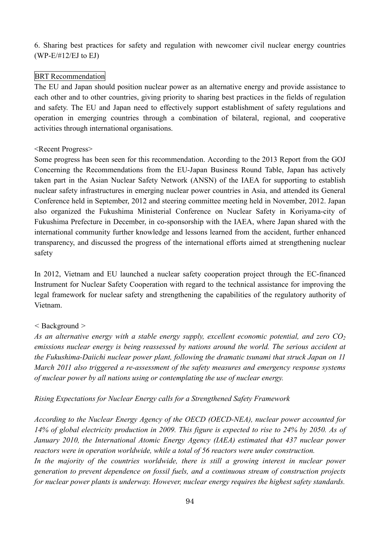6. Sharing best practices for safety and regulation with newcomer civil nuclear energy countries (WP-E/#12/EJ to EJ)

# BRT Recommendation

The EU and Japan should position nuclear power as an alternative energy and provide assistance to each other and to other countries, giving priority to sharing best practices in the fields of regulation and safety. The EU and Japan need to effectively support establishment of safety regulations and operation in emerging countries through a combination of bilateral, regional, and cooperative activities through international organisations.

### <Recent Progress>

Some progress has been seen for this recommendation. According to the 2013 Report from the GOJ Concerning the Recommendations from the EU-Japan Business Round Table, Japan has actively taken part in the Asian Nuclear Safety Network (ANSN) of the IAEA for supporting to establish nuclear safety infrastructures in emerging nuclear power countries in Asia, and attended its General Conference held in September, 2012 and steering committee meeting held in November, 2012. Japan also organized the Fukushima Ministerial Conference on Nuclear Safety in Koriyama-city of Fukushima Prefecture in December, in co-sponsorship with the IAEA, where Japan shared with the international community further knowledge and lessons learned from the accident, further enhanced transparency, and discussed the progress of the international efforts aimed at strengthening nuclear safety

In 2012, Vietnam and EU launched a nuclear safety cooperation project through the EC-financed Instrument for Nuclear Safety Cooperation with regard to the technical assistance for improving the legal framework for nuclear safety and strengthening the capabilities of the regulatory authority of Vietnam.

### *<* Background *>*

*As an alternative energy with a stable energy supply, excellent economic potential, and zero CO<sup>2</sup> emissions nuclear energy is being reassessed by nations around the world. The serious accident at the Fukushima-Daiichi nuclear power plant, following the dramatic tsunami that struck Japan on 11 March 2011 also triggered a re-assessment of the safety measures and emergency response systems of nuclear power by all nations using or contemplating the use of nuclear energy.*

### *Rising Expectations for Nuclear Energy calls for a Strengthened Safety Framework*

*According to the Nuclear Energy Agency of the OECD (OECD-NEA), nuclear power accounted for* 14% of global electricity production in 2009. This figure is expected to rise to 24% by 2050. As of *January 2010, the International Atomic Energy Agency (IAEA) estimated that 437 nuclear power reactors were in operation worldwide, while a total of 56 reactors were under construction.*

*In the majority of the countries worldwide, there is still a growing interest in nuclear power generation to prevent dependence on fossil fuels, and a continuous stream of construction projects for nuclear power plants is underway. However, nuclear energy requires the highest safety standards.*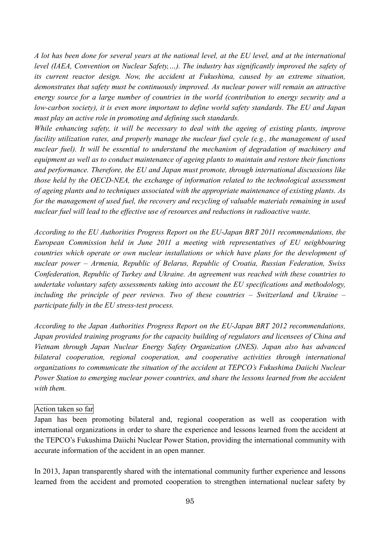A lot has been done for several years at the national level, at the EU level, and at the international *level (IAEA, Convention on Nuclear Safety,…). The industry has significantly improved the safety of its current reactor design. Now, the accident at Fukushima, caused by an extreme situation, demonstrates that safety must be continuously improved. As nuclear power will remain an attractive energy source for a large number of countries in the world (contribution to energy security and a low-carbon society), it is even more important to define world safety standards. The EU and Japan must play an active role in promoting and defining such standards.*

*While enhancing safety, it will be necessary to deal with the ageing of existing plants, improve facility utilization rates, and properly manage the nuclear fuel cycle (e.g., the management of used nuclear fuel). It will be essential to understand the mechanism of degradation of machinery and equipment as well as to conduct maintenance of ageing plants to maintain and restore their functions and performance. Therefore, the EU and Japan must promote, through international discussions like those held by the OECD-NEA, the exchange of information related to the technological assessment of ageing plants and to techniques associated with the appropriate maintenance of existing plants. As for the management of used fuel, the recovery and recycling of valuable materials remaining in used nuclear fuel will lead to the effective use of resources and reductions in radioactive waste.*

*According to the EU Authorities Progress Report on the EU-Japan BRT 2011 recommendations, the European Commission held in June 2011 a meeting with representatives of EU neighbouring countries which operate or own nuclear installations or which have plans for the development of nuclear power – Armenia, Republic of Belarus, Republic of Croatia, Russian Federation, Swiss Confederation, Republic of Turkey and Ukraine. An agreement was reached with these countries to undertake voluntary safety assessments taking into account the EU specifications and methodology, including the principle of peer reviews. Two of these countries – Switzerland and Ukraine – participate fully in the EU stress-test process.*

*According to the Japan Authorities Progress Report on the EU-Japan BRT 2012 recommendations, Japan provided training programs for the capacity building of regulators and licensees of China and Vietnam through Japan Nuclear Energy Safety Organization (JNES). Japan also has advanced bilateral cooperation, regional cooperation, and cooperative activities through international organizations to communicate the situation of the accident at TEPCO's Fukushima Daiichi Nuclear Power Station to emerging nuclear power countries, and share the lessons learned from the accident with them.*

### Action taken so far

Japan has been promoting bilateral and, regional cooperation as well as cooperation with international organizations in order to share the experience and lessons learned from the accident at the TEPCO's Fukushima Daiichi Nuclear Power Station, providing the international community with accurate information of the accident in an open manner.

In 2013, Japan transparently shared with the international community further experience and lessons learned from the accident and promoted cooperation to strengthen international nuclear safety by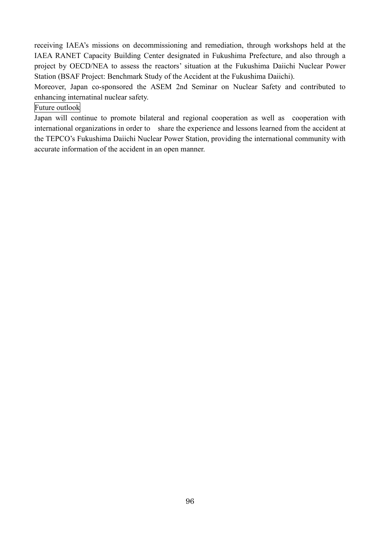receiving IAEA's missions on decommissioning and remediation, through workshops held at the IAEA RANET Capacity Building Center designated in Fukushima Prefecture, and also through a project by OECD/NEA to assess the reactors' situation at the Fukushima Daiichi Nuclear Power Station (BSAF Project: Benchmark Study of the Accident at the Fukushima Daiichi).

Moreover, Japan co-sponsored the ASEM 2nd Seminar on Nuclear Safety and contributed to enhancing internatinal nuclear safety.

Future outlook

Japan will continue to promote bilateral and regional cooperation as well as cooperation with international organizations in order to share the experience and lessons learned from the accident at the TEPCO's Fukushima Daiichi Nuclear Power Station, providing the international community with accurate information of the accident in an open manner.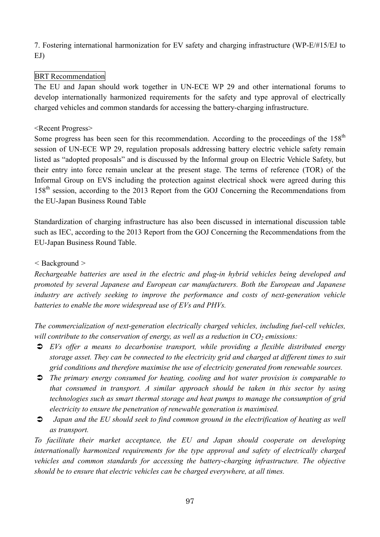7. Fostering international harmonization for EV safety and charging infrastructure (WP-E/#15/EJ to EJ)

# BRT Recommendation

The EU and Japan should work together in UN-ECE WP 29 and other international forums to develop internationally harmonized requirements for the safety and type approval of electrically charged vehicles and common standards for accessing the battery-charging infrastructure.

### <Recent Progress>

Some progress has been seen for this recommendation. According to the proceedings of the  $158<sup>th</sup>$ session of UN-ECE WP 29, regulation proposals addressing battery electric vehicle safety remain listed as "adopted proposals" and is discussed by the Informal group on Electric Vehicle Safety, but their entry into force remain unclear at the present stage. The terms of reference (TOR) of the Informal Group on EVS including the protection against electrical shock were agreed during this 158<sup>th</sup> session, according to the 2013 Report from the GOJ Concerning the Recommendations from the EU-Japan Business Round Table

Standardization of charging infrastructure has also been discussed in international discussion table such as IEC, according to the 2013 Report from the GOJ Concerning the Recommendations from the EU-Japan Business Round Table.

### *<* Background *>*

*Rechargeable batteries are used in the electric and plug-in hybrid vehicles being developed and promoted by several Japanese and European car manufacturers. Both the European and Japanese industry are actively seeking to improve the performance and costs of next-generation vehicle batteries to enable the more widespread use of EVs and PHVs.*

*The commercialization of next-generation electrically charged vehicles, including fuel-cell vehicles, will contribute to the conservation of energy, as well as a reduction in CO<sup>2</sup> emissions:*

- *EVs offer a means to decarbonise transport, while providing a flexible distributed energy storage asset. They can be connected to the electricity grid and charged at different times to suit grid conditions and therefore maximise the use of electricity generated from renewable sources.*
- *The primary energy consumed for heating, cooling and hot water provision is comparable to that consumed in transport. A similar approach should be taken in this sector by using technologies such as smart thermal storage and heat pumps to manage the consumption of grid electricity to ensure the penetration of renewable generation is maximised.*
- *Japan and the EU should seek to find common ground in the electrification of heating as well*  $\bullet$ *as transport.*

*To facilitate their market acceptance, the EU and Japan should cooperate on developing internationally harmonized requirements for the type approval and safety of electrically charged vehicles and common standards for accessing the battery-charging infrastructure. The objective should be to ensure that electric vehicles can be charged everywhere, at all times.*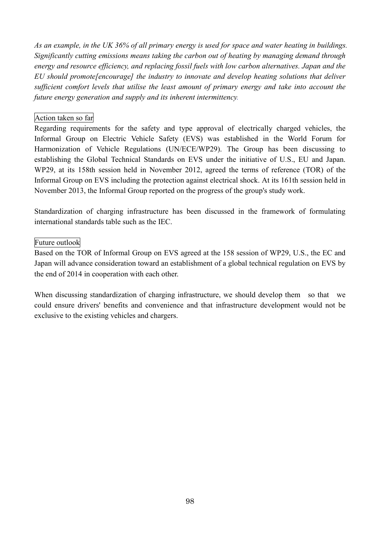As an example, in the UK 36% of all primary energy is used for space and water heating in buildings. *Significantly cutting emissions means taking the carbon out of heating by managing demand through energy and resource efficiency, and replacing fossil fuels with low carbon alternatives. Japan and the EU should promote[encourage] the industry to innovate and develop heating solutions that deliver sufficient comfort levels that utilise the least amount of primary energy and take into account the future energy generation and supply and its inherent intermittency.*

### Action taken so far

Regarding requirements for the safety and type approval of electrically charged vehicles, the Informal Group on Electric Vehicle Safety (EVS) was established in the World Forum for Harmonization of Vehicle Regulations (UN/ECE/WP29). The Group has been discussing to establishing the Global Technical Standards on EVS under the initiative of U.S., EU and Japan. WP29, at its 158th session held in November 2012, agreed the terms of reference (TOR) of the Informal Group on EVS including the protection against electrical shock. At its 161th session held in November 2013, the Informal Group reported on the progress of the group's study work.

Standardization of charging infrastructure has been discussed in the framework of formulating international standards table such as the IEC.

### Future outlook

Based on the TOR of Informal Group on EVS agreed at the 158 session of WP29, U.S., the EC and Japan will advance consideration toward an establishment of a global technical regulation on EVS by the end of 2014 in cooperation with each other.

When discussing standardization of charging infrastructure, we should develop them so that we could ensure drivers' benefits and convenience and that infrastructure development would not be exclusive to the existing vehicles and chargers.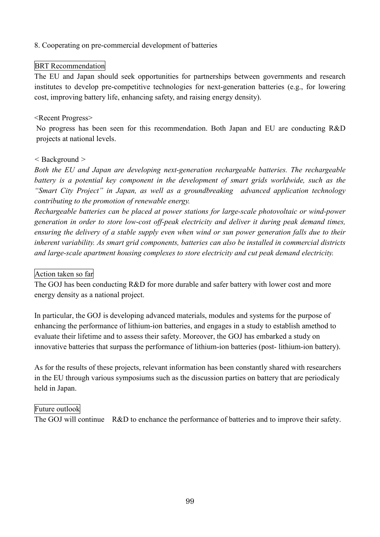### 8. Cooperating on pre-commercial development of batteries

# BRT Recommendation

The EU and Japan should seek opportunities for partnerships between governments and research institutes to develop pre-competitive technologies for next-generation batteries (e.g., for lowering cost, improving battery life, enhancing safety, and raising energy density).

### <Recent Progress>

No progress has been seen for this recommendation. Both Japan and EU are conducting R&D projects at national levels.

#### *<* Background *>*

*Both the EU and Japan are developing next-generation rechargeable batteries. The rechargeable battery is a potential key component in the development of smart grids worldwide, such as the "Smart City Project" in Japan, as well as a groundbreaking advanced application technology contributing to the promotion of renewable energy.*

*Rechargeable batteries can be placed at power stations for large-scale photovoltaic or wind-power generation in order to store low-cost off-peak electricity and deliver it during peak demand times, ensuring the delivery of a stable supply even when wind or sun power generation falls due to their inherent variability. As smart grid components, batteries can also be installed in commercial districts and large-scale apartment housing complexes to store electricity and cut peak demand electricity.*

### Action taken so far

The GOJ has been conducting R&D for more durable and safer battery with lower cost and more energy density as a national project.

In particular, the GOJ is developing advanced materials, modules and systems for the purpose of enhancing the performance of lithium-ion batteries, and engages in a study to establish amethod to evaluate their lifetime and to assess their safety. Moreover, the GOJ has embarked a study on innovative batteries that surpass the performance of lithium-ion batteries (post- lithium-ion battery).

As for the results of these projects, relevant information has been constantly shared with researchers in the EU through various symposiums such as the discussion parties on battery that are periodicaly held in Japan.

### Future outlook

The GOJ will continue R&D to enchance the performance of batteries and to improve their safety.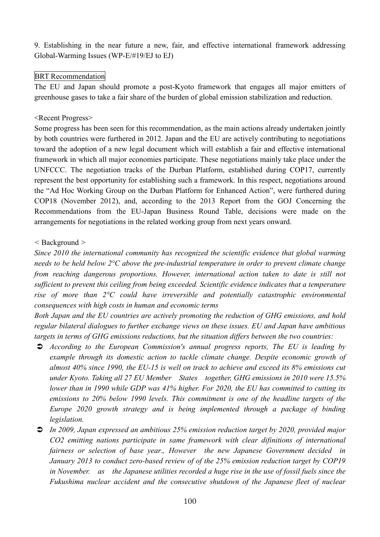9. Establishing in the near future a new, fair, and effective international framework addressing Global-Warming Issues (WP-E/#19/EJ to EJ)

### BRT Recommendation

The EU and Japan should promote a post-Kyoto framework that engages all major emitters of greenhouse gases to take a fair share of the burden of global emission stabilization and reduction.

#### <Recent Progress>

Some progress has been seen for this recommendation, as the main actions already undertaken jointly by both countries were furthered in 2012. Japan and the EU are actively contributing to negotiations toward the adoption of a new legal document which will establish a fair and effective international framework in which all major economies participate. These negotiations mainly take place under the UNFCCC. The negotiation tracks of the Durban Platform, established during COP17, currently represent the best opportunity for establishing such a framework. In this respect, negotiations around the "Ad Hoc Working Group on the Durban Platform for Enhanced Action", were furthered during COP18 (November 2012), and, according to the 2013 Report from the GOJ Concerning the Recommendations from the EU-Japan Business Round Table, decisions were made on the arrangements for negotiations in the related working group from next years onward.

#### *<* Background *>*

*Since 2010 the international community has recognized the scientific evidence that global warming needs to be held below 2°C above the pre-industrial temperature in order to prevent climate change from reaching dangerous proportions. However, international action taken to date is still not sufficient to prevent this ceiling from being exceeded. Scientific evidence indicates that a temperature rise of more than 2°C could have irreversible and potentially catastrophic environmental consequences with high costs in human and economic terms*

*Both Japan and the EU countries are actively promoting the reduction of GHG emissions, and hold regular bilateral dialogues to further exchange views on these issues. EU and Japan have ambitious targets in terms of GHG emissions reductions, but the situation differs between the two countries:*

- *According to the European Commission's annual progress reports, The EU is leading by example through its domestic action to tackle climate change. Despite economic growth of almost 40% since 1990, the EU-15 is well on track to achieve and exceed its 8% emissions cut under Kyoto. Taking all 27 EU Member States together, GHG emissions in 2010 were 15.5% lower than in 1990 while GDP was 41% higher. For 2020, the EU has committed to cutting its emissions to 20% below 1990 levels. This commitment is one of the headline targets of the Europe 2020 growth strategy and is being implemented through a package of binding legislation.*
- *In 2009, Japan expressed an ambitious 25% emission reduction target by 2020, provided major CO2 emitting nations participate in same framework with clear difinitions of international fairness or selection of base year*.*, However the new Japanese Government decided in January 2013 to conduct zero-based review of of the 25% emission reduction target by COP19 in November. as the Japanese utilities recorded a huge rise in the use of fossil fuels since the Fukushima nuclear accident and the consecutive shutdown of the Japanese fleet of nuclear*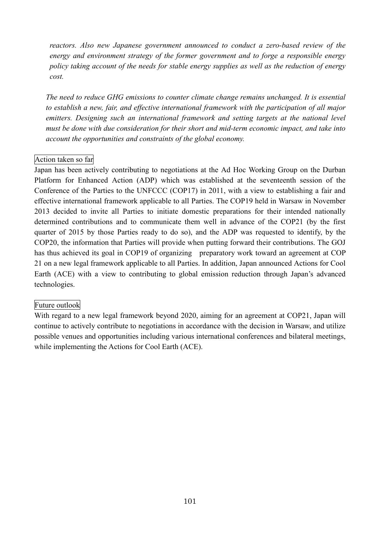*reactors. Also new Japanese government announced to conduct a zero-based review of the energy and environment strategy of the former government and to forge a responsible energy policy taking account of the needs for stable energy supplies as well as the reduction of energy cost.*

*The need to reduce GHG emissions to counter climate change remains unchanged. It is essential to establish a new, fair, and effective international framework with the participation of all major emitters. Designing such an international framework and setting targets at the national level must be done with due consideration for their short and mid-term economic impact, and take into account the opportunities and constraints of the global economy.*

#### Action taken so far

Japan has been actively contributing to negotiations at the Ad Hoc Working Group on the Durban Platform for Enhanced Action (ADP) which was established at the seventeenth session of the Conference of the Parties to the UNFCCC (COP17) in 2011, with a view to establishing a fair and effective international framework applicable to all Parties. The COP19 held in Warsaw in November 2013 decided to invite all Parties to initiate domestic preparations for their intended nationally determined contributions and to communicate them well in advance of the COP21 (by the first quarter of 2015 by those Parties ready to do so), and the ADP was requested to identify, by the COP20, the information that Parties will provide when putting forward their contributions. The GOJ has thus achieved its goal in COP19 of organizing preparatory work toward an agreement at COP 21 on a new legal framework applicable to all Parties. In addition, Japan announced Actions for Cool Earth (ACE) with a view to contributing to global emission reduction through Japan's advanced technologies.

#### Future outlook

With regard to a new legal framework beyond 2020, aiming for an agreement at COP21, Japan will continue to actively contribute to negotiations in accordance with the decision in Warsaw, and utilize possible venues and opportunities including various international conferences and bilateral meetings, while implementing the Actions for Cool Earth (ACE).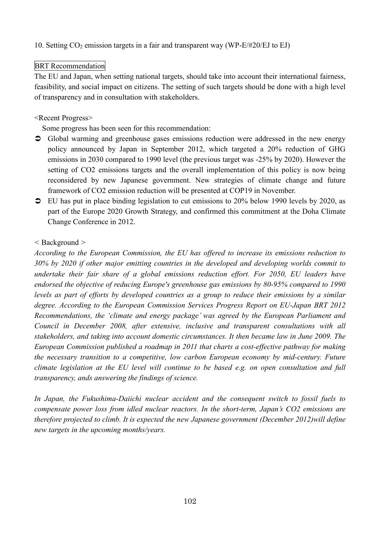### 10. Setting  $CO_2$  emission targets in a fair and transparent way (WP-E/#20/EJ to EJ)

# BRT Recommendation

The EU and Japan, when setting national targets, should take into account their international fairness, feasibility, and social impact on citizens. The setting of such targets should be done with a high level of transparency and in consultation with stakeholders.

### <Recent Progress>

Some progress has been seen for this recommendation:

- Global warming and greenhouse gases emissions reduction were addressed in the new energy policy announced by Japan in September 2012, which targeted a 20% reduction of GHG emissions in 2030 compared to 1990 level (the previous target was -25% by 2020). However the setting of CO2 emissions targets and the overall implementation of this policy is now being reconsidered by new Japanese government. New strategies of climate change and future framework of CO2 emission reduction will be presented at COP19 in November.
- $\supset$  EU has put in place binding legislation to cut emissions to 20% below 1990 levels by 2020, as part of the Europe 2020 Growth Strategy, and confirmed this commitment at the Doha Climate Change Conference in 2012.

# *<* Background *>*

*According to the European Commission, the EU has offered to increase its emissions reduction to 30% by 2020 if other major emitting countries in the developed and developing worlds commit to undertake their fair share of a global emissions reduction effort. For 2050, EU leaders have endorsed the objective of reducing Europe's greenhouse gas emissions by 80-95% compared to 1990 levels as part of efforts by developed countries as a group to reduce their emissions by a similar degree. According to the European Commission Services Progress Report on EU-Japan BRT 2012 Recommendations, the 'climate and energy package' was agreed by the European Parliament and Council in December 2008, after extensive, inclusive and transparent consultations with all stakeholders, and taking into account domestic circumstances. It then became law in June 2009. The European Commission published a roadmap in 2011 that charts a cost-effective pathway for making the necessary transition to a competitive, low carbon European economy by mid-century. Future climate legislation at the EU level will continue to be based e.g. on open consultation and full transparency, ands answering the findings of science.*

*In Japan, the Fukushima-Daiichi nuclear accident and the consequent switch to fossil fuels to compensate power loss from idled nuclear reactors. In the short-term, Japan's CO2 emissions are therefore projected to climb. It is expected the new Japanese government (December 2012)will define new targets in the upcoming months/years.*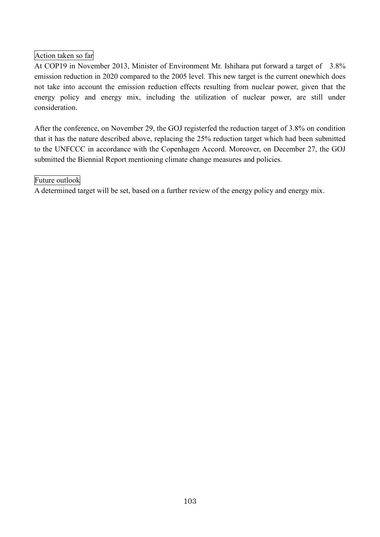# Action taken so far

At COP19 in November 2013, Minister of Environment Mr. Ishihara put forward a target of 3.8% emission reduction in 2020 compared to the 2005 level. This new target is the current onewhich does not take into account the emission reduction effects resulting from nuclear power, given that the energy policy and energy mix, including the utilization of nuclear power, are still under consideration.

After the conference, on November 29, the GOJ registerfed the reduction target of 3.8% on condition that it has the nature described above, replacing the 25% reduction target which had been submitted to the UNFCCC in accordance with the Copenhagen Accord. Moreover, on December 27, the GOJ submitted the Biennial Report mentioning climate change measures and policies.

### Future outlook

A determined target will be set, based on a further review of the energy policy and energy mix.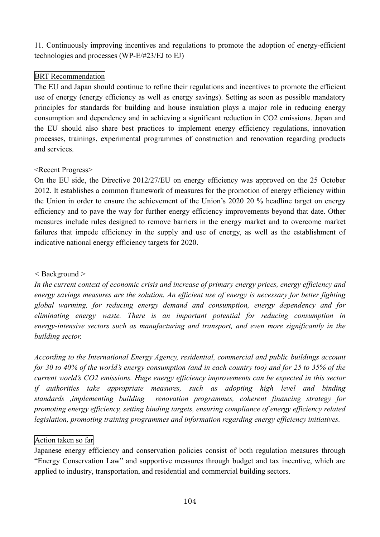11. Continuously improving incentives and regulations to promote the adoption of energy-efficient technologies and processes (WP-E/#23/EJ to EJ)

# BRT Recommendation

The EU and Japan should continue to refine their regulations and incentives to promote the efficient use of energy (energy efficiency as well as energy savings). Setting as soon as possible mandatory principles for standards for building and house insulation plays a major role in reducing energy consumption and dependency and in achieving a significant reduction in CO2 emissions. Japan and the EU should also share best practices to implement energy efficiency regulations, innovation processes, trainings, experimental programmes of construction and renovation regarding products and services.

# <Recent Progress>

On the EU side, the Directive 2012/27/EU on energy efficiency was approved on the 25 October 2012. It establishes a common framework of measures for the promotion of energy efficiency within the Union in order to ensure the achievement of the Union's 2020 20 % headline target on energy efficiency and to pave the way for further energy efficiency improvements beyond that date. Other measures include rules designed to remove barriers in the energy market and to overcome market failures that impede efficiency in the supply and use of energy, as well as the establishment of indicative national energy efficiency targets for 2020.

# *<* Background *>*

*In the current context of economic crisis and increase of primary energy prices, energy efficiency and energy savings measures are the solution. An efficient use of energy is necessary for better fighting global warming, for reducing energy demand and consumption, energy dependency and for eliminating energy waste. There is an important potential for reducing consumption in energy-intensive sectors such as manufacturing and transport, and even more significantly in the building sector.*

*According to the International Energy Agency, residential, commercial and public buildings account* for 30 to 40% of the world's energy consumption (and in each country too) and for 25 to 35% of the *current world's CO2 emissions. Huge energy efficiency improvements can be expected in this sector if authorities take appropriate measures, such as adopting high level and binding standards ,implementing building renovation programmes, coherent financing strategy for promoting energy efficiency, setting binding targets, ensuring compliance of energy efficiency related legislation, promoting training programmes and information regarding energy efficiency initiatives.*

### Action taken so far

Japanese energy efficiency and conservation policies consist of both regulation measures through "Energy Conservation Law" and supportive measures through budget and tax incentive, which are applied to industry, transportation, and residential and commercial building sectors.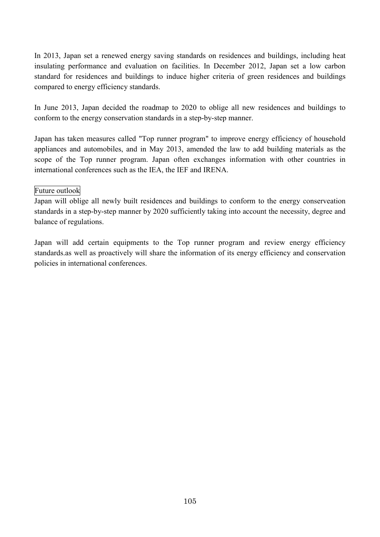In 2013, Japan set a renewed energy saving standards on residences and buildings, including heat insulating performance and evaluation on facilities. In December 2012, Japan set a low carbon standard for residences and buildings to induce higher criteria of green residences and buildings compared to energy efficiency standards.

In June 2013, Japan decided the roadmap to 2020 to oblige all new residences and buildings to conform to the energy conservation standards in a step-by-step manner.

Japan has taken measures called "Top runner program" to improve energy efficiency of household appliances and automobiles, and in May 2013, amended the law to add building materials as the scope of the Top runner program. Japan often exchanges information with other countries in international conferences such as the IEA, the IEF and IRENA.

# Future outlook

Japan will oblige all newly built residences and buildings to conform to the energy conserveation standards in a step-by-step manner by 2020 sufficiently taking into account the necessity, degree and balance of regulations.

Japan will add certain equipments to the Top runner program and review energy efficiency standards.as well as proactively will share the information of its energy efficiency and conservation policies in international conferences.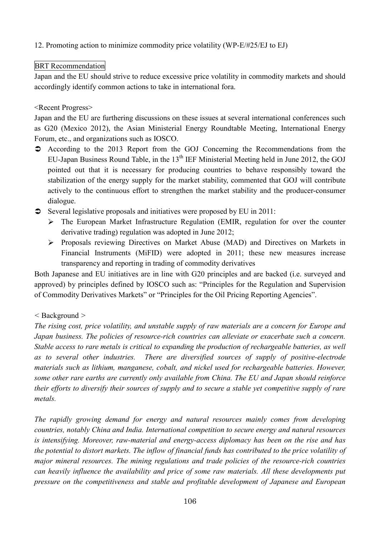# 12. Promoting action to minimize commodity price volatility (WP-E/#25/EJ to EJ)

### BRT Recommendation

Japan and the EU should strive to reduce excessive price volatility in commodity markets and should accordingly identify common actions to take in international fora.

### <Recent Progress>

Japan and the EU are furthering discussions on these issues at several international conferences such as G20 (Mexico 2012), the Asian Ministerial Energy Roundtable Meeting, International Energy Forum, etc., and organizations such as IOSCO.

- According to the 2013 Report from the GOJ Concerning the Recommendations from the EU-Japan Business Round Table, in the  $13<sup>th</sup> IEF$  Ministerial Meeting held in June 2012, the GOJ pointed out that it is necessary for producing countries to behave responsibly toward the stabilization of the energy supply for the market stability, commented that GOJ will contribute actively to the continuous effort to strengthen the market stability and the producer-consumer dialogue.
- Several legislative proposals and initiatives were proposed by EU in 2011:
	- $\triangleright$  The European Market Infrastructure Regulation (EMIR, regulation for over the counter derivative trading) regulation was adopted in June 2012;
	- Proposals reviewing Directives on Market Abuse (MAD) and Directives on Markets in Financial Instruments (MiFID) were adopted in 2011; these new measures increase transparency and reporting in trading of commodity derivatives

Both Japanese and EU initiatives are in line with G20 principles and are backed (i.e. surveyed and approved) by principles defined by IOSCO such as: "Principles for the Regulation and Supervision of Commodity Derivatives Markets" or "Principles for the Oil Pricing Reporting Agencies".

### *<* Background *>*

*The rising cost, price volatility, and unstable supply of raw materials are a concern for Europe and Japan business. The policies of resource-rich countries can alleviate or exacerbate such a concern. Stable access to rare metals is critical to expanding the production of rechargeable batteries, as well as to several other industries. There are diversified sources of supply of positive-electrode materials such as lithium, manganese, cobalt, and nickel used for rechargeable batteries. However, some other rare earths are currently only available from China. The EU and Japan should reinforce* their efforts to diversify their sources of supply and to secure a stable yet competitive supply of rare *metals.*

*The rapidly growing demand for energy and natural resources mainly comes from developing countries, notably China and India. International competition to secure energy and natural resources is intensifying. Moreover, raw-material and energy-access diplomacy has been on the rise and has* the potential to distort markets. The inflow of financial funds has contributed to the price volatility of *major mineral resources. The mining regulations and trade policies of the resource-rich countries can heavily influence the availability and price of some raw materials. All these developments put pressure on the competitiveness and stable and profitable development of Japanese and European*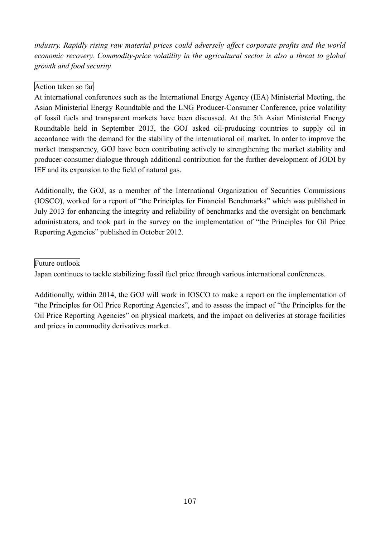*industry. Rapidly rising raw material prices could adversely affect corporate profits and the world economic recovery. Commodity-price volatility in the agricultural sector is also a threat to global growth and food security.*

# Action taken so far

At international conferences such as the International Energy Agency (IEA) Ministerial Meeting, the Asian Ministerial Energy Roundtable and the LNG Producer-Consumer Conference, price volatility of fossil fuels and transparent markets have been discussed. At the 5th Asian Ministerial Energy Roundtable held in September 2013, the GOJ asked oil-pruducing countries to supply oil in accordance with the demand for the stability of the international oil market. In order to improve the market transparency, GOJ have been contributing actively to strengthening the market stability and producer-consumer dialogue through additional contribution for the further development of JODI by IEF and its expansion to the field of natural gas.

Additionally, the GOJ, as a member of the International Organization of Securities Commissions (IOSCO), worked for a report of "the Principles for Financial Benchmarks" which was published in July 2013 for enhancing the integrity and reliability of benchmarks and the oversight on benchmark administrators, and took part in the survey on the implementation of "the Principles for Oil Price Reporting Agencies" published in October 2012.

Future outlook

Japan continues to tackle stabilizing fossil fuel price through various international conferences.

Additionally, within 2014, the GOJ will work in IOSCO to make a report on the implementation of "the Principles for Oil Price Reporting Agencies", and to assess the impact of "the Principles for the Oil Price Reporting Agencies" on physical markets, and the impact on deliveries at storage facilities and prices in commodity derivatives market.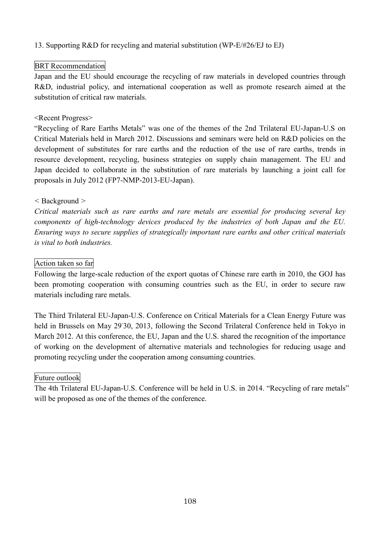# 13. Supporting R&D for recycling and material substitution (WP-E/#26/EJ to EJ)

## BRT Recommendation

Japan and the EU should encourage the recycling of raw materials in developed countries through R&D, industrial policy, and international cooperation as well as promote research aimed at the substitution of critical raw materials.

### <Recent Progress>

"Recycling of Rare Earths Metals" was one of the themes of the 2nd Trilateral EU-Japan-U.S on Critical Materials held in March 2012. Discussions and seminars were held on R&D policies on the development of substitutes for rare earths and the reduction of the use of rare earths, trends in resource development, recycling, business strategies on supply chain management. The EU and Japan decided to collaborate in the substitution of rare materials by launching a joint call for proposals in July 2012 (FP7-NMP-2013-EU-Japan).

### *<* Background *>*

*Critical materials such as rare earths and rare metals are essential for producing several key components of high-technology devices produced by the industries of both Japan and the EU. Ensuring ways to secure supplies of strategically important rare earths and other critical materials is vital to both industries.*

# Action taken so far

Following the large-scale reduction of the export quotas of Chinese rare earth in 2010, the GOJ has been promoting cooperation with consuming countries such as the EU, in order to secure raw materials including rare metals.

The Third Trilateral EU-Japan-U.S. Conference on Critical Materials for a Clean Energy Future was held in Brussels on May 29<sup>-</sup>30, 2013, following the Second Trilateral Conference held in Tokyo in March 2012. At this conference, the EU, Japan and the U.S. shared the recognition of the importance of working on the development of alternative materials and technologies for reducing usage and promoting recycling under the cooperation among consuming countries.

### Future outlook

The 4th Trilateral EU-Japan-U.S. Conference will be held in U.S. in 2014. "Recycling of rare metals" will be proposed as one of the themes of the conference.